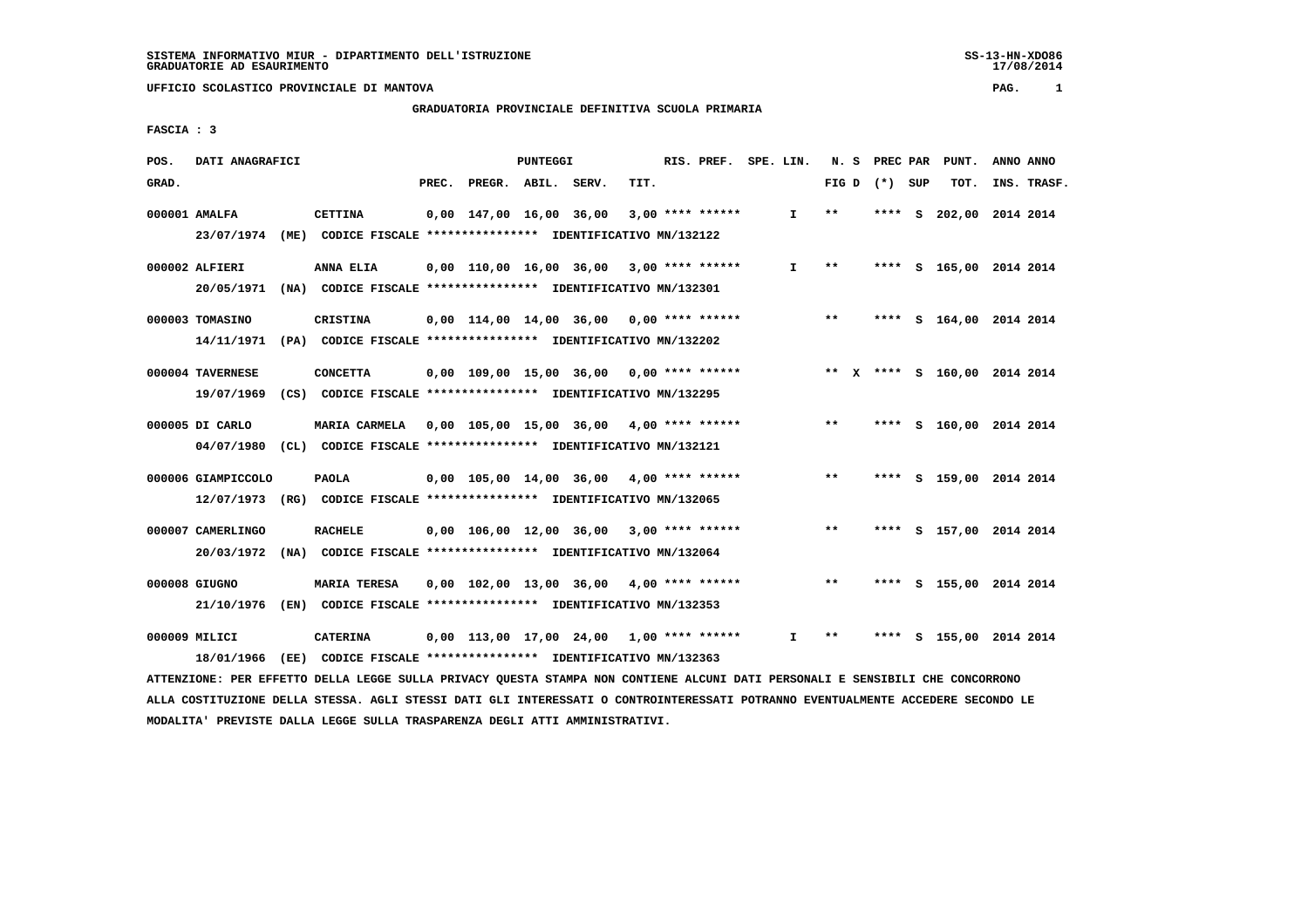# **GRADUATORIA PROVINCIALE DEFINITIVA SCUOLA PRIMARIA**

 **FASCIA : 3**

| POS.  | DATI ANAGRAFICI                 |      |                                                                                 |       |                                            | PUNTEGGI |      | RIS. PREF. SPE. LIN. |              |                 |      |   | N. S PREC PAR PUNT.          | ANNO ANNO |             |
|-------|---------------------------------|------|---------------------------------------------------------------------------------|-------|--------------------------------------------|----------|------|----------------------|--------------|-----------------|------|---|------------------------------|-----------|-------------|
| GRAD. |                                 |      |                                                                                 | PREC. | PREGR. ABIL. SERV.                         |          | TIT. |                      |              | FIG D $(*)$ SUP |      |   | TOT.                         |           | INS. TRASF. |
|       | 000001 AMALFA                   |      | <b>CETTINA</b>                                                                  |       | 0,00 147,00 16,00 36,00                    |          |      | $3,00$ **** ******   | I.           | $* *$           | **** | s | 202,00 2014 2014             |           |             |
|       | 23/07/1974                      | (ME) | CODICE FISCALE **************** IDENTIFICATIVO MN/132122                        |       |                                            |          |      |                      |              |                 |      |   |                              |           |             |
|       | 000002 ALFIERI                  |      | ANNA ELIA                                                                       |       | $0,00$ 110,00 16,00 36,00 3,00 **** ****** |          |      |                      | $\mathbf{I}$ | $***$           |      |   | **** S 165,00 2014 2014      |           |             |
|       | 20/05/1971                      |      | (NA) CODICE FISCALE **************** IDENTIFICATIVO MN/132301                   |       |                                            |          |      |                      |              |                 |      |   |                              |           |             |
|       | 000003 TOMASINO                 |      | CRISTINA                                                                        |       | $0,00$ 114,00 14,00 36,00 0,00 **** ****** |          |      |                      |              | $***$           |      |   | **** S 164,00 2014 2014      |           |             |
|       | 14/11/1971                      |      | (PA) CODICE FISCALE *************** IDENTIFICATIVO MN/132202                    |       |                                            |          |      |                      |              |                 |      |   |                              |           |             |
|       | 000004 TAVERNESE                |      | <b>CONCETTA</b>                                                                 |       | $0,00$ 109,00 15,00 36,00 0,00 **** ****** |          |      |                      |              |                 |      |   | ** X **** S 160,00 2014 2014 |           |             |
|       | 19/07/1969                      |      | (CS) CODICE FISCALE **************** IDENTIFICATIVO MN/132295                   |       |                                            |          |      |                      |              |                 |      |   |                              |           |             |
|       | 000005 DI CARLO                 |      | MARIA CARMELA                                                                   |       | 0,00 105,00 15,00 36,00 4,00 **** ******   |          |      |                      |              | $***$           |      |   | **** S 160,00 2014 2014      |           |             |
|       | 04/07/1980                      |      | (CL) CODICE FISCALE **************** IDENTIFICATIVO MN/132121                   |       |                                            |          |      |                      |              |                 |      |   |                              |           |             |
|       | 000006 GIAMPICCOLO              |      | <b>PAOLA</b>                                                                    |       | $0,00$ 105,00 14,00 36,00 4,00 **** ****** |          |      |                      |              | $***$           |      |   | **** S 159,00 2014 2014      |           |             |
|       | 12/07/1973                      |      | (RG) CODICE FISCALE **************** IDENTIFICATIVO MN/132065                   |       |                                            |          |      |                      |              |                 |      |   |                              |           |             |
|       |                                 |      |                                                                                 |       |                                            |          |      |                      |              |                 |      |   |                              |           |             |
|       | 000007 CAMERLINGO<br>20/03/1972 |      | <b>RACHELE</b><br>(NA) CODICE FISCALE **************** IDENTIFICATIVO MN/132064 |       | $0,00$ 106,00 12,00 36,00 3,00 **** ****** |          |      |                      |              | $* *$           |      |   | **** S 157,00 2014 2014      |           |             |
|       |                                 |      |                                                                                 |       |                                            |          |      |                      |              |                 |      |   |                              |           |             |
|       | 000008 GIUGNO                   |      | <b>MARIA TERESA</b>                                                             |       | $0,00$ 102,00 13,00 36,00 4,00 **** ****** |          |      |                      |              | $***$           | **** |   | S 155,00 2014 2014           |           |             |
|       | 21/10/1976                      |      | (EN) CODICE FISCALE **************** IDENTIFICATIVO MN/132353                   |       |                                            |          |      |                      |              |                 |      |   |                              |           |             |
|       | 000009 MILICI                   |      | <b>CATERINA</b>                                                                 |       | $0.00$ 113,00 17,00 24,00 1,00 **** ****** |          |      |                      | I.           | $***$           |      |   | **** S 155,00 2014 2014      |           |             |
|       | 18/01/1966                      |      | (EE) CODICE FISCALE *************** IDENTIFICATIVO MN/132363                    |       |                                            |          |      |                      |              |                 |      |   |                              |           |             |

 **ATTENZIONE: PER EFFETTO DELLA LEGGE SULLA PRIVACY QUESTA STAMPA NON CONTIENE ALCUNI DATI PERSONALI E SENSIBILI CHE CONCORRONO ALLA COSTITUZIONE DELLA STESSA. AGLI STESSI DATI GLI INTERESSATI O CONTROINTERESSATI POTRANNO EVENTUALMENTE ACCEDERE SECONDO LE MODALITA' PREVISTE DALLA LEGGE SULLA TRASPARENZA DEGLI ATTI AMMINISTRATIVI.**

SS-13-HN-XDO86<br>17/08/2014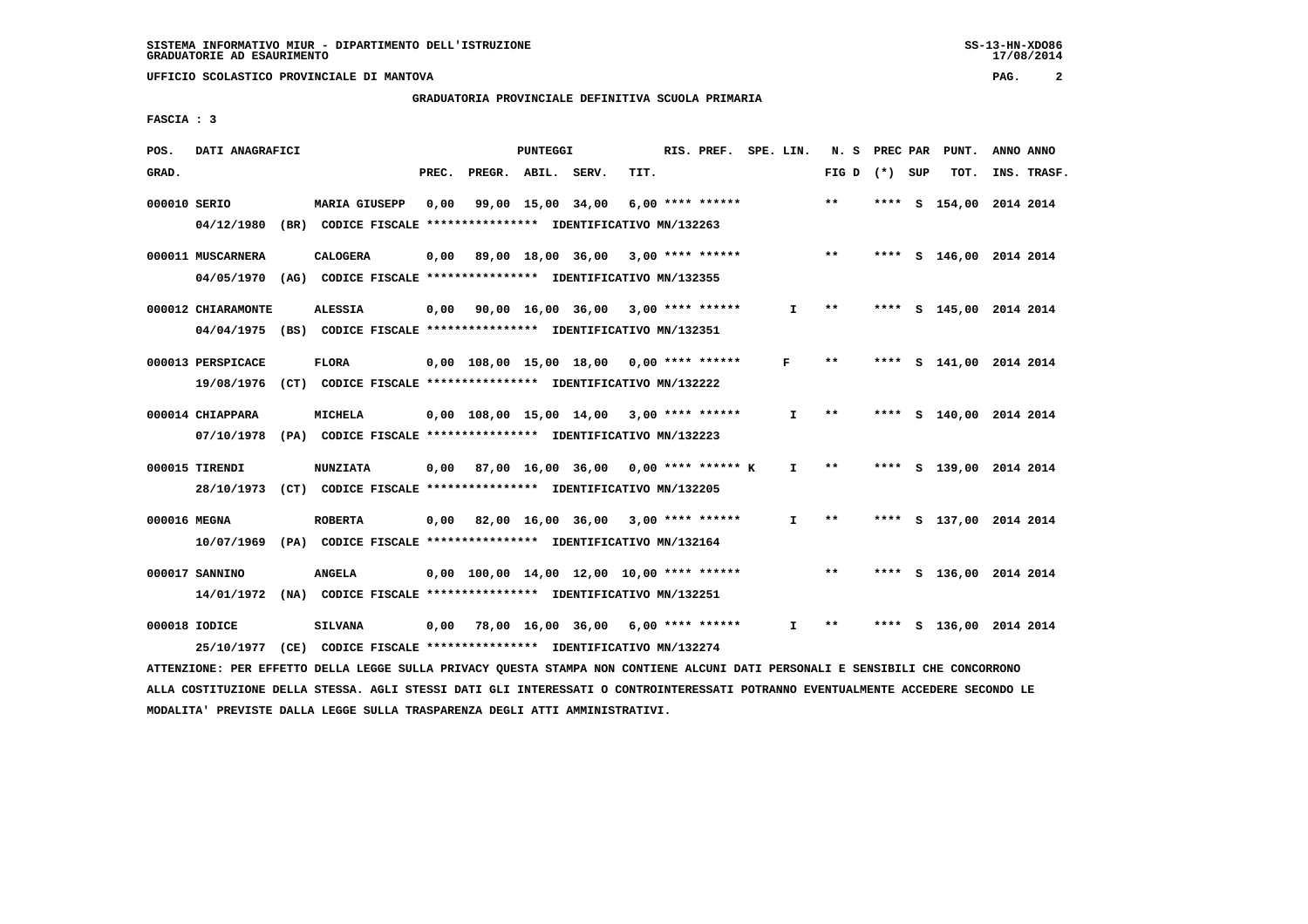# **GRADUATORIA PROVINCIALE DEFINITIVA SCUOLA PRIMARIA**

 **FASCIA : 3**

| POS.         | DATI ANAGRAFICI                                                                                                               |                                                               |       |                    | PUNTEGGI |                                             |      | RIS. PREF. SPE. LIN. |              |                 | N. S PREC PAR | PUNT.                   | ANNO ANNO   |
|--------------|-------------------------------------------------------------------------------------------------------------------------------|---------------------------------------------------------------|-------|--------------------|----------|---------------------------------------------|------|----------------------|--------------|-----------------|---------------|-------------------------|-------------|
| GRAD.        |                                                                                                                               |                                                               | PREC. | PREGR. ABIL. SERV. |          |                                             | TIT. |                      |              | FIG D $(*)$ SUP |               | TOT.                    | INS. TRASF. |
| 000010 SERIO |                                                                                                                               | <b>MARIA GIUSEPP</b>                                          | 0,00  |                    |          | 99,00 15,00 34,00                           |      | $6,00$ **** ******   |              | $***$           |               | **** S 154,00 2014 2014 |             |
|              | 04/12/1980                                                                                                                    | (BR) CODICE FISCALE **************** IDENTIFICATIVO MN/132263 |       |                    |          |                                             |      |                      |              |                 |               |                         |             |
|              | 000011 MUSCARNERA                                                                                                             | <b>CALOGERA</b>                                               |       |                    |          | $0,00$ 89,00 18,00 36,00 3,00 **** ******   |      |                      |              | $\star\star$    |               | **** S 146,00 2014 2014 |             |
|              | 04/05/1970 (AG) CODICE FISCALE *************** IDENTIFICATIVO MN/132355                                                       |                                                               |       |                    |          |                                             |      |                      |              |                 |               |                         |             |
|              | 000012 CHIARAMONTE                                                                                                            | <b>ALESSIA</b>                                                |       |                    |          | 0,00 90,00 16,00 36,00 3,00 **** ******     |      |                      | I.           | $***$           |               | **** S 145,00 2014 2014 |             |
|              | 04/04/1975 (BS) CODICE FISCALE *************** IDENTIFICATIVO MN/132351                                                       |                                                               |       |                    |          |                                             |      |                      |              |                 |               |                         |             |
|              | 000013 PERSPICACE                                                                                                             | <b>FLORA</b>                                                  |       |                    |          | $0,00$ 108,00 15,00 18,00 0,00 **** ******  |      |                      | F            | **              |               | **** S 141,00 2014 2014 |             |
|              | 19/08/1976 (CT) CODICE FISCALE *************** IDENTIFICATIVO MN/132222                                                       |                                                               |       |                    |          |                                             |      |                      |              |                 |               |                         |             |
|              | 000014 CHIAPPARA                                                                                                              | <b>MICHELA</b>                                                |       |                    |          | $0.00$ 108.00 15.00 14.00 3.00 **** ******  |      |                      | $\mathbf{I}$ | $***$           |               | **** S 140,00 2014 2014 |             |
|              | 07/10/1978 (PA) CODICE FISCALE *************** IDENTIFICATIVO MN/132223                                                       |                                                               |       |                    |          |                                             |      |                      |              |                 |               |                         |             |
|              | 000015 TIRENDI                                                                                                                | <b>NUNZIATA</b>                                               |       |                    |          | $0,00$ 87,00 16,00 36,00 0,00 **** ****** K |      |                      | $\mathbf{I}$ | $***$           |               | **** S 139,00 2014 2014 |             |
|              | 28/10/1973 (CT) CODICE FISCALE *************** IDENTIFICATIVO MN/132205                                                       |                                                               |       |                    |          |                                             |      |                      |              |                 |               |                         |             |
| 000016 MEGNA |                                                                                                                               | <b>ROBERTA</b>                                                |       |                    |          | $0,00$ 82,00 16,00 36,00 3,00 **** ******   |      |                      | $\mathbf{I}$ | $***$           |               | **** S 137,00 2014 2014 |             |
|              | 10/07/1969 (PA) CODICE FISCALE *************** IDENTIFICATIVO MN/132164                                                       |                                                               |       |                    |          |                                             |      |                      |              |                 |               |                         |             |
|              | 000017 SANNINO                                                                                                                | <b>ANGELA</b>                                                 |       |                    |          | $0,00$ 100,00 14,00 12,00 10,00 **** ****** |      |                      |              | $* *$           |               | **** S 136,00 2014 2014 |             |
|              | 14/01/1972 (NA) CODICE FISCALE *************** IDENTIFICATIVO MN/132251                                                       |                                                               |       |                    |          |                                             |      |                      |              |                 |               |                         |             |
|              | 000018 IODICE                                                                                                                 | <b>SILVANA</b>                                                |       |                    |          | $0,00$ 78,00 16,00 36,00 6,00 **** ******   |      |                      | $\mathbf{I}$ | $***$           |               | **** S 136,00 2014 2014 |             |
|              | 25/10/1977 (CE) CODICE FISCALE *************** IDENTIFICATIVO MN/132274                                                       |                                                               |       |                    |          |                                             |      |                      |              |                 |               |                         |             |
|              | ATTENZIONE: PER EFFETTO DELLA LEGGE SULLA PRIVACY QUESTA STAMPA NON CONTIENE ALCUNI DATI PERSONALI E SENSIBILI CHE CONCORRONO |                                                               |       |                    |          |                                             |      |                      |              |                 |               |                         |             |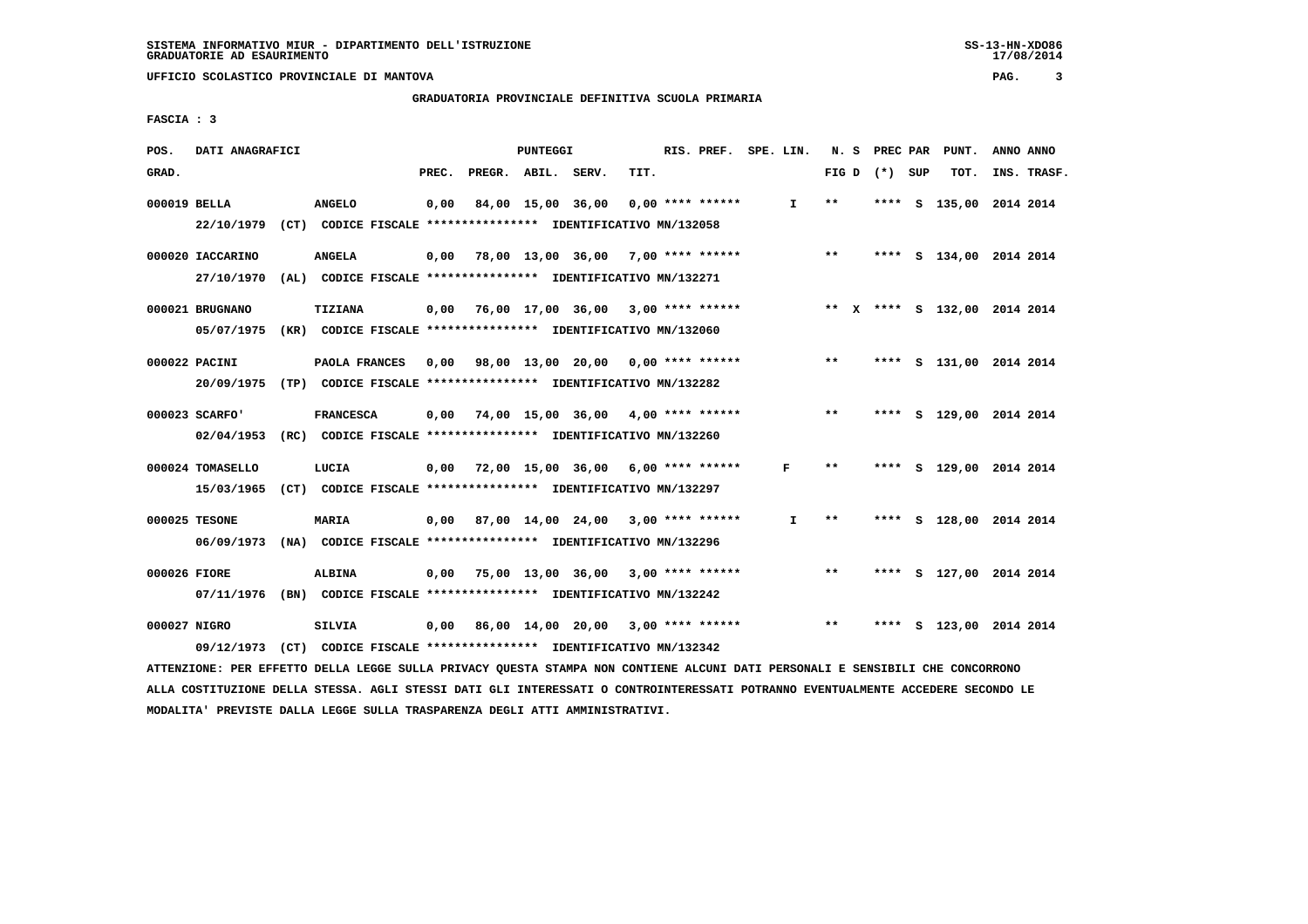**GRADUATORIA PROVINCIALE DEFINITIVA SCUOLA PRIMARIA**

 **FASCIA : 3**

| POS.         | DATI ANAGRAFICI  |                                                                                                                               |       |                    | PUNTEGGI |                                           |      | RIS. PREF. SPE. LIN. |              |       | N. S PREC PAR   | PUNT.                        | ANNO ANNO   |
|--------------|------------------|-------------------------------------------------------------------------------------------------------------------------------|-------|--------------------|----------|-------------------------------------------|------|----------------------|--------------|-------|-----------------|------------------------------|-------------|
| GRAD.        |                  |                                                                                                                               | PREC. | PREGR. ABIL. SERV. |          |                                           | TIT. |                      |              |       | FIG D $(*)$ SUP | TOT.                         | INS. TRASF. |
| 000019 BELLA |                  | <b>ANGELO</b>                                                                                                                 | 0,00  |                    |          | 84,00 15,00 36,00                         |      | $0.00$ **** ******   | $\mathbf{I}$ | $* *$ |                 | **** S 135,00 2014 2014      |             |
|              | 22/10/1979       | (CT) CODICE FISCALE **************** IDENTIFICATIVO MN/132058                                                                 |       |                    |          |                                           |      |                      |              |       |                 |                              |             |
|              | 000020 IACCARINO | <b>ANGELA</b>                                                                                                                 | 0,00  |                    |          | 78,00 13,00 36,00 7,00 **** ******        |      |                      |              | $***$ |                 | **** S 134,00 2014 2014      |             |
|              | 27/10/1970       | (AL) CODICE FISCALE **************** IDENTIFICATIVO MN/132271                                                                 |       |                    |          |                                           |      |                      |              |       |                 |                              |             |
|              | 000021 BRUGNANO  | <b>TIZIANA</b>                                                                                                                | 0,00  |                    |          | 76,00 17,00 36,00 3,00 **** ******        |      |                      |              |       |                 | ** X **** S 132,00 2014 2014 |             |
|              |                  | 05/07/1975 (KR) CODICE FISCALE *************** IDENTIFICATIVO MN/132060                                                       |       |                    |          |                                           |      |                      |              |       |                 |                              |             |
|              | 000022 PACINI    | PAOLA FRANCES                                                                                                                 | 0,00  |                    |          | 98,00 13,00 20,00 0,00 **** ******        |      |                      |              | $**$  |                 | **** S 131,00 2014 2014      |             |
|              | 20/09/1975       | (TP) CODICE FISCALE **************** IDENTIFICATIVO MN/132282                                                                 |       |                    |          |                                           |      |                      |              |       |                 |                              |             |
|              | 000023 SCARFO'   | <b>FRANCESCA</b>                                                                                                              | 0,00  |                    |          | 74,00 15,00 36,00 4,00 **** ******        |      |                      |              | $***$ |                 | **** S 129,00 2014 2014      |             |
|              |                  | 02/04/1953 (RC) CODICE FISCALE *************** IDENTIFICATIVO MN/132260                                                       |       |                    |          |                                           |      |                      |              |       |                 |                              |             |
|              |                  |                                                                                                                               |       |                    |          |                                           |      |                      |              |       |                 |                              |             |
|              | 000024 TOMASELLO | LUCIA<br>15/03/1965 (CT) CODICE FISCALE *************** IDENTIFICATIVO MN/132297                                              |       |                    |          | $0,00$ 72,00 15,00 36,00 6,00 **** ****** |      |                      | F            | $***$ |                 | **** S 129,00 2014 2014      |             |
|              |                  |                                                                                                                               |       |                    |          |                                           |      |                      |              |       |                 |                              |             |
|              | 000025 TESONE    | MARIA                                                                                                                         |       |                    |          | 0,00 87,00 14,00 24,00                    |      | $3,00$ **** ******   | $\mathbf{I}$ | $* *$ |                 | **** S 128,00 2014 2014      |             |
|              |                  | 06/09/1973 (NA) CODICE FISCALE *************** IDENTIFICATIVO MN/132296                                                       |       |                    |          |                                           |      |                      |              |       |                 |                              |             |
| 000026 FIORE |                  | <b>ALBINA</b>                                                                                                                 | 0.00  |                    |          | 75,00 13,00 36,00 3,00 **** ******        |      |                      |              | $***$ |                 | **** S 127,00 2014 2014      |             |
|              |                  | 07/11/1976 (BN) CODICE FISCALE *************** IDENTIFICATIVO MN/132242                                                       |       |                    |          |                                           |      |                      |              |       |                 |                              |             |
| 000027 NIGRO |                  | SILVIA                                                                                                                        |       |                    |          | $0,00$ 86,00 14,00 20,00 3,00 **** ****** |      |                      |              | $***$ |                 | **** S 123,00 2014 2014      |             |
|              | 09/12/1973       | (CT) CODICE FISCALE **************** IDENTIFICATIVO MN/132342                                                                 |       |                    |          |                                           |      |                      |              |       |                 |                              |             |
|              |                  | ATTENZIONE: PER EFFETTO DELLA LEGGE SULLA PRIVACY QUESTA STAMPA NON CONTIENE ALCUNI DATI PERSONALI E SENSIBILI CHE CONCORRONO |       |                    |          |                                           |      |                      |              |       |                 |                              |             |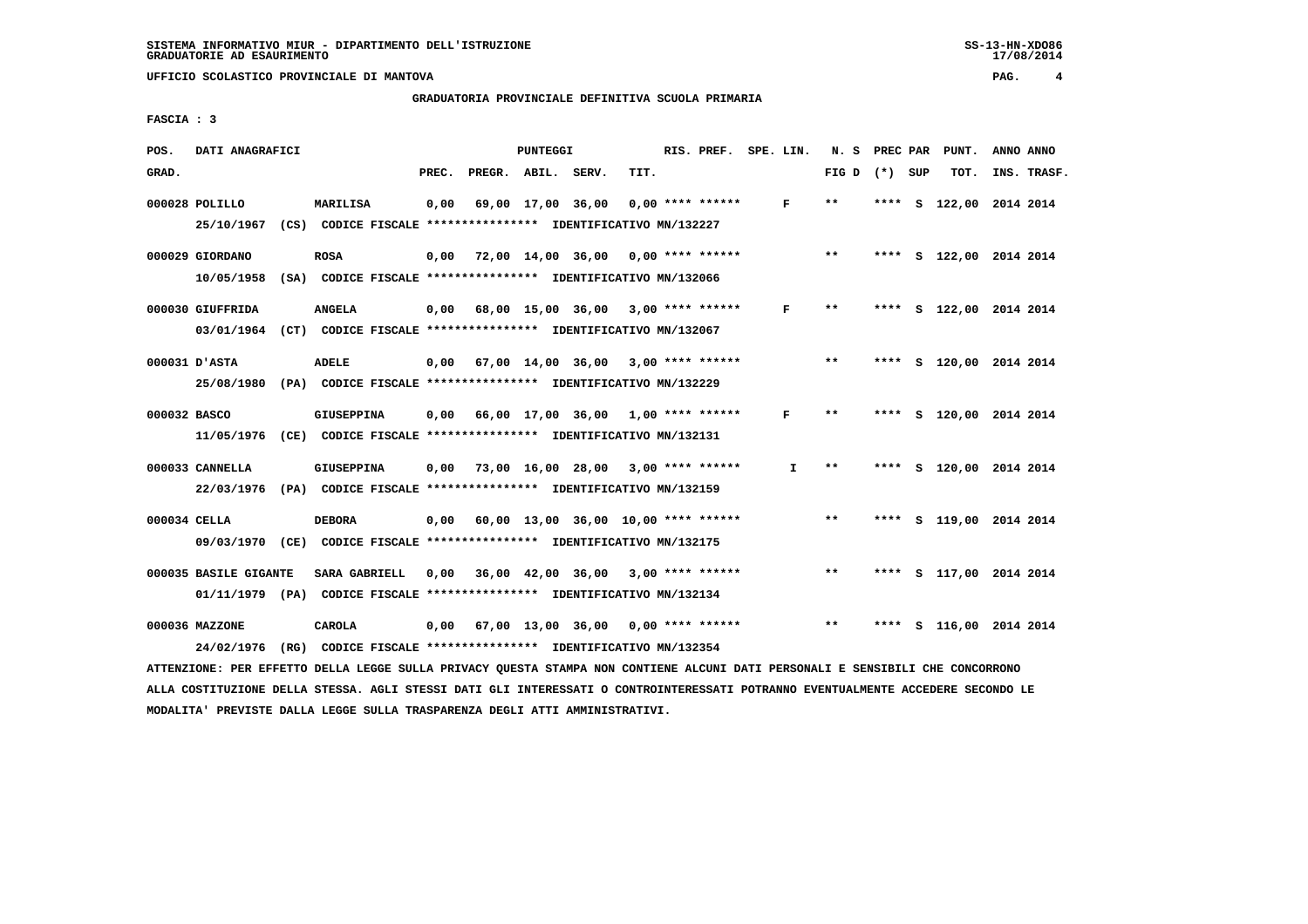# **GRADUATORIA PROVINCIALE DEFINITIVA SCUOLA PRIMARIA**

 **FASCIA : 3**

| POS.         | DATI ANAGRAFICI                                                                            |      |                                                                                    |       |                                                                                      | <b>PUNTEGGI</b> |                                     |      | RIS. PREF.         | SPE. LIN.    | N. S        | PREC PAR |     | PUNT.              | ANNO ANNO |             |
|--------------|--------------------------------------------------------------------------------------------|------|------------------------------------------------------------------------------------|-------|--------------------------------------------------------------------------------------|-----------------|-------------------------------------|------|--------------------|--------------|-------------|----------|-----|--------------------|-----------|-------------|
| GRAD.        |                                                                                            |      |                                                                                    | PREC. | PREGR. ABIL. SERV.                                                                   |                 |                                     | TIT. |                    |              | FIG D $(*)$ |          | SUP | TOT.               |           | INS. TRASF. |
|              | 000028 POLILLO<br>25/10/1967                                                               |      | MARILISA<br>(CS) CODICE FISCALE **************** IDENTIFICATIVO MN/132227          | 0.00  |                                                                                      |                 | 69,00 17,00 36,00                   |      | $0.00$ **** ****** | F            | $* *$       | ****     |     | S 122,00 2014 2014 |           |             |
|              | 000029 GIORDANO<br>10/05/1958                                                              |      | <b>ROSA</b><br>(SA) CODICE FISCALE **************** IDENTIFICATIVO MN/132066       | 0,00  | 72,00 14,00 36,00                                                                    |                 |                                     |      | $0.00$ **** ****** |              | $***$       | ****     |     | S 122,00 2014 2014 |           |             |
|              | 000030 GIUFFRIDA<br>03/01/1964                                                             | (CT) | <b>ANGELA</b>                                                                      | 0,00  | CODICE FISCALE **************** IDENTIFICATIVO MN/132067                             |                 | 68,00 15,00 36,00                   |      | $3,00$ **** ****** | F            | $**$        | ****     |     | S 122,00 2014 2014 |           |             |
|              | 000031 D'ASTA<br>25/08/1980                                                                | (PA) | <b>ADELE</b>                                                                       |       | $0,00$ 67,00 14,00 36,00<br>CODICE FISCALE **************** IDENTIFICATIVO MN/132229 |                 |                                     |      | $3,00$ **** ****** |              | $***$       | ****     |     | S 120,00 2014 2014 |           |             |
| 000032 BASCO | 11/05/1976                                                                                 |      | <b>GIUSEPPINA</b><br>(CE) CODICE FISCALE **************** IDENTIFICATIVO MN/132131 | 0,00  |                                                                                      |                 | 66,00 17,00 36,00 1,00 **** ******  |      |                    | F            | $* *$       | ****     |     | S 120,00 2014 2014 |           |             |
|              | 000033 CANNELLA<br>22/03/1976 (PA) CODICE FISCALE *************** IDENTIFICATIVO MN/132159 |      | <b>GIUSEPPINA</b>                                                                  | 0.00  |                                                                                      |                 | 73,00 16,00 28,00 3,00 **** ******  |      |                    | $\mathbf{I}$ | $* *$       | ****     |     | S 120,00 2014 2014 |           |             |
| 000034 CELLA | 09/03/1970 (CE) CODICE FISCALE *************** IDENTIFICATIVO MN/132175                    |      | <b>DEBORA</b>                                                                      | 0,00  |                                                                                      |                 | 60,00 13,00 36,00 10,00 **** ****** |      |                    |              | $* *$       | ****     |     | S 119,00 2014 2014 |           |             |
|              | 000035 BASILE GIGANTE<br>01/11/1979 (PA)                                                   |      | SARA GABRIELL                                                                      | 0.00  | CODICE FISCALE **************** IDENTIFICATIVO MN/132134                             |                 | 36,00 42,00 36,00                   |      | $3,00$ **** ****** |              | $* *$       | ****     |     | S 117,00 2014 2014 |           |             |
|              | 000036 MAZZONE<br>24/02/1976                                                               | (RG) | CAROLA                                                                             |       | 0,00 67,00 13,00 36,00<br>CODICE FISCALE **************** IDENTIFICATIVO MN/132354   |                 |                                     |      | $0.00$ **** ****** |              | **          | ****     | S.  | 116,00 2014 2014   |           |             |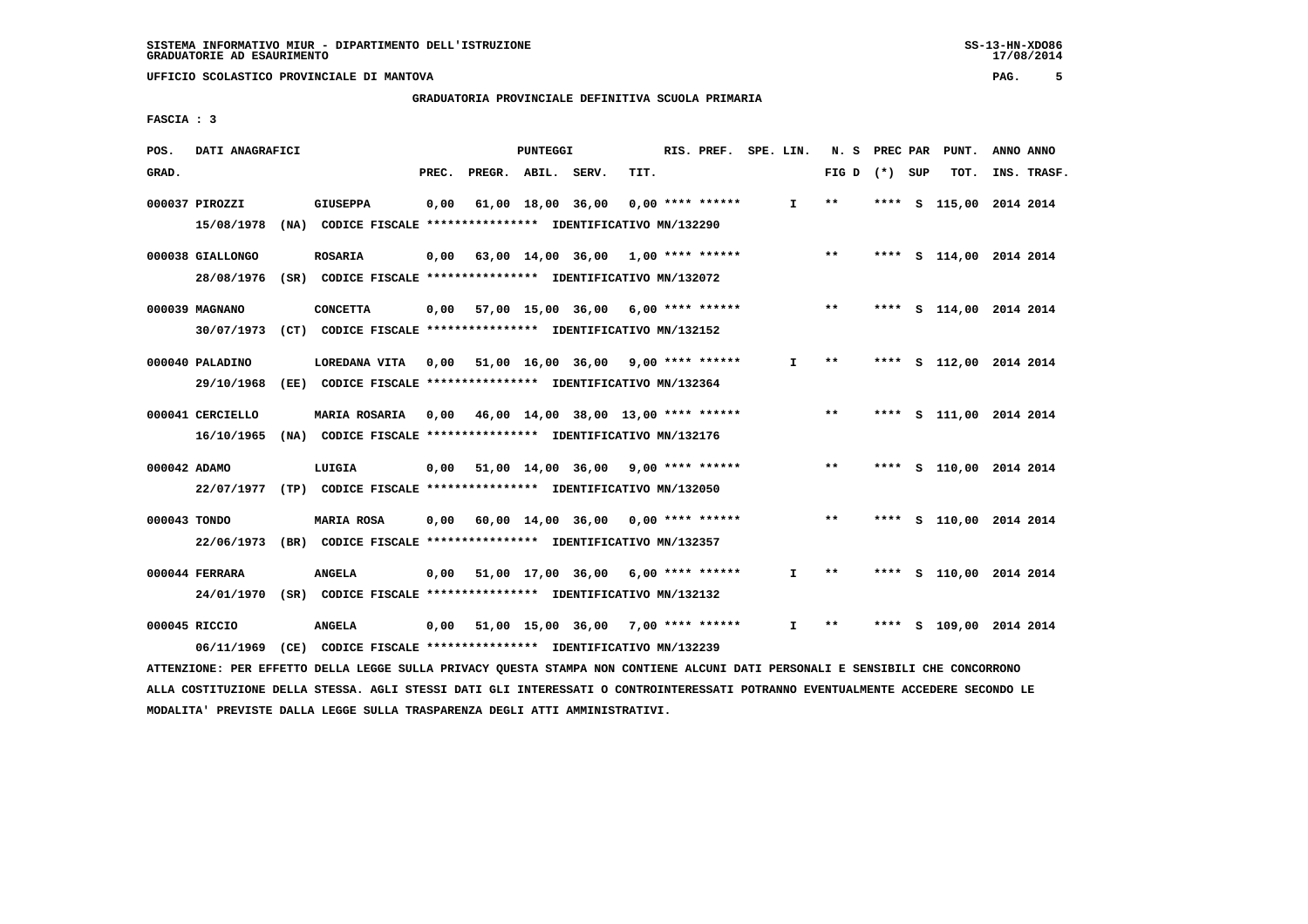**GRADUATORIA PROVINCIALE DEFINITIVA SCUOLA PRIMARIA**

 **FASCIA : 3**

| POS.         | DATI ANAGRAFICI  |                                                                                                                               |       |                    | PUNTEGGI |                                            |      | RIS. PREF. SPE. LIN. |              |                 |      |     | N. S PREC PAR PUNT.     | ANNO ANNO |             |
|--------------|------------------|-------------------------------------------------------------------------------------------------------------------------------|-------|--------------------|----------|--------------------------------------------|------|----------------------|--------------|-----------------|------|-----|-------------------------|-----------|-------------|
| GRAD.        |                  |                                                                                                                               | PREC. | PREGR. ABIL. SERV. |          |                                            | TIT. |                      |              | FIG D $(*)$ SUP |      |     | TOT.                    |           | INS. TRASF. |
|              | 000037 PIROZZI   | <b>GIUSEPPA</b>                                                                                                               | 0,00  |                    |          | 61,00 18,00 36,00                          |      | 0,00 **** ******     | $\mathbf{I}$ | $***$           | **** | - S | 115,00 2014 2014        |           |             |
|              | 15/08/1978       | (NA) CODICE FISCALE **************** IDENTIFICATIVO MN/132290                                                                 |       |                    |          |                                            |      |                      |              |                 |      |     |                         |           |             |
|              | 000038 GIALLONGO | <b>ROSARIA</b>                                                                                                                |       |                    |          | $0,00$ 63,00 14,00 36,00 1,00 **** ******  |      |                      |              | $***$           |      |     | **** S 114,00 2014 2014 |           |             |
|              | 28/08/1976       | (SR) CODICE FISCALE *************** IDENTIFICATIVO MN/132072                                                                  |       |                    |          |                                            |      |                      |              |                 |      |     |                         |           |             |
|              | 000039 MAGNANO   | <b>CONCETTA</b>                                                                                                               |       |                    |          | $0,00$ 57,00 15,00 36,00 6,00 **** ******  |      |                      |              | $***$           |      |     | **** S 114,00 2014 2014 |           |             |
|              |                  | 30/07/1973 (CT) CODICE FISCALE *************** IDENTIFICATIVO MN/132152                                                       |       |                    |          |                                            |      |                      |              |                 |      |     |                         |           |             |
|              | 000040 PALADINO  | LOREDANA VITA                                                                                                                 |       |                    |          | 0,00 51,00 16,00 36,00                     |      | $9,00$ **** ******   | $\mathbf{I}$ | $\star\star$    |      |     | **** S 112,00 2014 2014 |           |             |
|              | 29/10/1968       | (EE) CODICE FISCALE **************** IDENTIFICATIVO MN/132364                                                                 |       |                    |          |                                            |      |                      |              |                 |      |     |                         |           |             |
|              | 000041 CERCIELLO | <b>MARIA ROSARIA</b>                                                                                                          |       |                    |          | $0,00$ 46,00 14,00 38,00 13,00 **** ****** |      |                      |              | $***$           |      |     | **** S 111,00 2014 2014 |           |             |
|              | 16/10/1965       | (NA) CODICE FISCALE **************** IDENTIFICATIVO MN/132176                                                                 |       |                    |          |                                            |      |                      |              |                 |      |     |                         |           |             |
| 000042 ADAMO |                  | LUIGIA                                                                                                                        |       |                    |          | 0,00 51,00 14,00 36,00 9,00 **** ******    |      |                      |              | $***$           |      |     | **** S 110,00 2014 2014 |           |             |
|              |                  | 22/07/1977 (TP) CODICE FISCALE *************** IDENTIFICATIVO MN/132050                                                       |       |                    |          |                                            |      |                      |              |                 |      |     |                         |           |             |
| 000043 TONDO |                  | <b>MARIA ROSA</b>                                                                                                             |       |                    |          | 0,00 60,00 14,00 36,00                     |      | $0.00$ **** ******   |              | $***$           |      |     | **** S 110,00 2014 2014 |           |             |
|              |                  | 22/06/1973 (BR) CODICE FISCALE *************** IDENTIFICATIVO MN/132357                                                       |       |                    |          |                                            |      |                      |              |                 |      |     |                         |           |             |
|              | 000044 FERRARA   | <b>ANGELA</b>                                                                                                                 |       |                    |          | $0,00$ 51,00 17,00 36,00 6,00 **** ******  |      |                      | $\mathbf{I}$ | $* *$           |      |     | **** S 110,00 2014 2014 |           |             |
|              |                  | 24/01/1970 (SR) CODICE FISCALE *************** IDENTIFICATIVO MN/132132                                                       |       |                    |          |                                            |      |                      |              |                 |      |     |                         |           |             |
|              | 000045 RICCIO    | <b>ANGELA</b>                                                                                                                 | 0,00  |                    |          | 51,00 15,00 36,00 7,00 **** ******         |      |                      | I.           | $***$           |      |     | **** S 109,00 2014 2014 |           |             |
|              | 06/11/1969       | (CE) CODICE FISCALE **************** IDENTIFICATIVO MN/132239                                                                 |       |                    |          |                                            |      |                      |              |                 |      |     |                         |           |             |
|              |                  | ATTENZIONE: PER EFFETTO DELLA LEGGE SULLA PRIVACY QUESTA STAMPA NON CONTIENE ALCUNI DATI PERSONALI E SENSIBILI CHE CONCORRONO |       |                    |          |                                            |      |                      |              |                 |      |     |                         |           |             |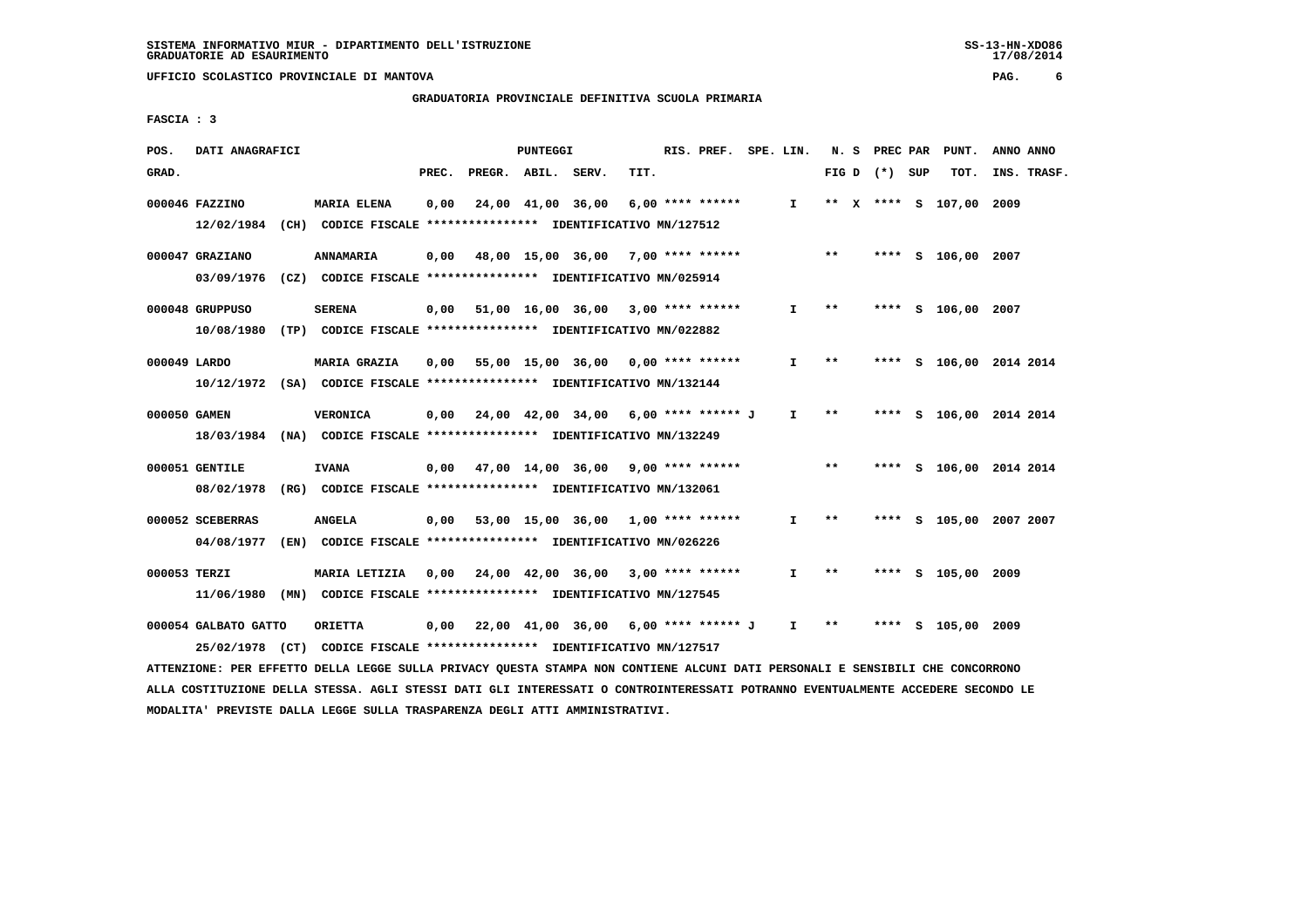**GRADUATORIA PROVINCIALE DEFINITIVA SCUOLA PRIMARIA**

 **FASCIA : 3**

| POS.         | DATI ANAGRAFICI                                                                           |                     |       |                    | <b>PUNTEGGI</b> |                                                                                                                            |      | RIS. PREF. SPE. LIN. |              |       | N. S PREC PAR   |   | PUNT.                   | ANNO ANNO |             |
|--------------|-------------------------------------------------------------------------------------------|---------------------|-------|--------------------|-----------------|----------------------------------------------------------------------------------------------------------------------------|------|----------------------|--------------|-------|-----------------|---|-------------------------|-----------|-------------|
| GRAD.        |                                                                                           |                     | PREC. | PREGR. ABIL. SERV. |                 |                                                                                                                            | TIT. |                      |              |       | FIG D $(*)$ SUP |   | тот.                    |           | INS. TRASF. |
|              | 000046 FAZZINO<br>12/02/1984 (CH) CODICE FISCALE *************** IDENTIFICATIVO MN/127512 | <b>MARIA ELENA</b>  | 0,00  |                    |                 | 24,00 41,00 36,00                                                                                                          |      | 6,00 **** ******     | I.           |       |                 |   | ** X **** S 107,00 2009 |           |             |
|              | 000047 GRAZIANO<br>03/09/1976                                                             | <b>ANNAMARIA</b>    | 0,00  |                    |                 | 48,00 15,00 36,00<br>(CZ) CODICE FISCALE **************** IDENTIFICATIVO MN/025914                                         |      | $7,00$ **** ******   |              | $***$ |                 |   | **** S 106,00 2007      |           |             |
|              | 000048 GRUPPUSO<br>10/08/1980                                                             | <b>SERENA</b>       | 0,00  |                    |                 | 51,00 16,00 36,00 3,00 **** ******<br>(TP) CODICE FISCALE **************** IDENTIFICATIVO MN/022882                        |      |                      | I.           | $***$ |                 |   | **** S 106,00 2007      |           |             |
| 000049 LARDO | 10/12/1972 (SA) CODICE FISCALE *************** IDENTIFICATIVO MN/132144                   | <b>MARIA GRAZIA</b> | 0,00  | 55,00 15,00 36,00  |                 |                                                                                                                            |      | 0,00 **** ******     | $\mathbf{I}$ | **    |                 |   | **** S 106,00 2014 2014 |           |             |
| 000050 GAMEN | 18/03/1984 (NA) CODICE FISCALE *************** IDENTIFICATIVO MN/132249                   | <b>VERONICA</b>     |       |                    |                 | $0,00$ $24,00$ $42,00$ $34,00$ $6,00$ $***$ **** ***** J                                                                   |      |                      | $\mathbf{I}$ | **    |                 |   | **** S 106,00 2014 2014 |           |             |
|              | 000051 GENTILE<br>08/02/1978                                                              | <b>IVANA</b>        |       |                    |                 | $0.00$ 47.00 14.00 36.00 9.00 **** ******<br>(RG) CODICE FISCALE **************** IDENTIFICATIVO MN/132061                 |      |                      |              | $***$ |                 |   | **** S 106,00 2014 2014 |           |             |
|              | 000052 SCEBERRAS<br>04/08/1977                                                            | <b>ANGELA</b>       |       |                    |                 | $0.00$ 53.00 15.00 36.00 1.00 **** ******<br>(EN) CODICE FISCALE **************** IDENTIFICATIVO MN/026226                 |      |                      | I.           | **    |                 |   | **** S 105,00 2007 2007 |           |             |
| 000053 TERZI | 11/06/1980                                                                                | MARIA LETIZIA       |       |                    |                 | $0.00$ $24.00$ $42.00$ $36.00$<br>(MN) CODICE FISCALE **************** IDENTIFICATIVO MN/127545                            |      | $3,00$ **** ******   | I.           | $* *$ | ****            |   | S 105,00 2009           |           |             |
|              | 000054 GALBATO GATTO<br>25/02/1978                                                        | <b>ORIETTA</b>      |       |                    |                 | $0,00$ $22,00$ $41,00$ $36,00$ $6,00$ $***$ **** ****** J<br>(CT) CODICE FISCALE **************** IDENTIFICATIVO MN/127517 |      |                      | $\mathbf{I}$ | $* *$ | ****            | s | 105,00 2009             |           |             |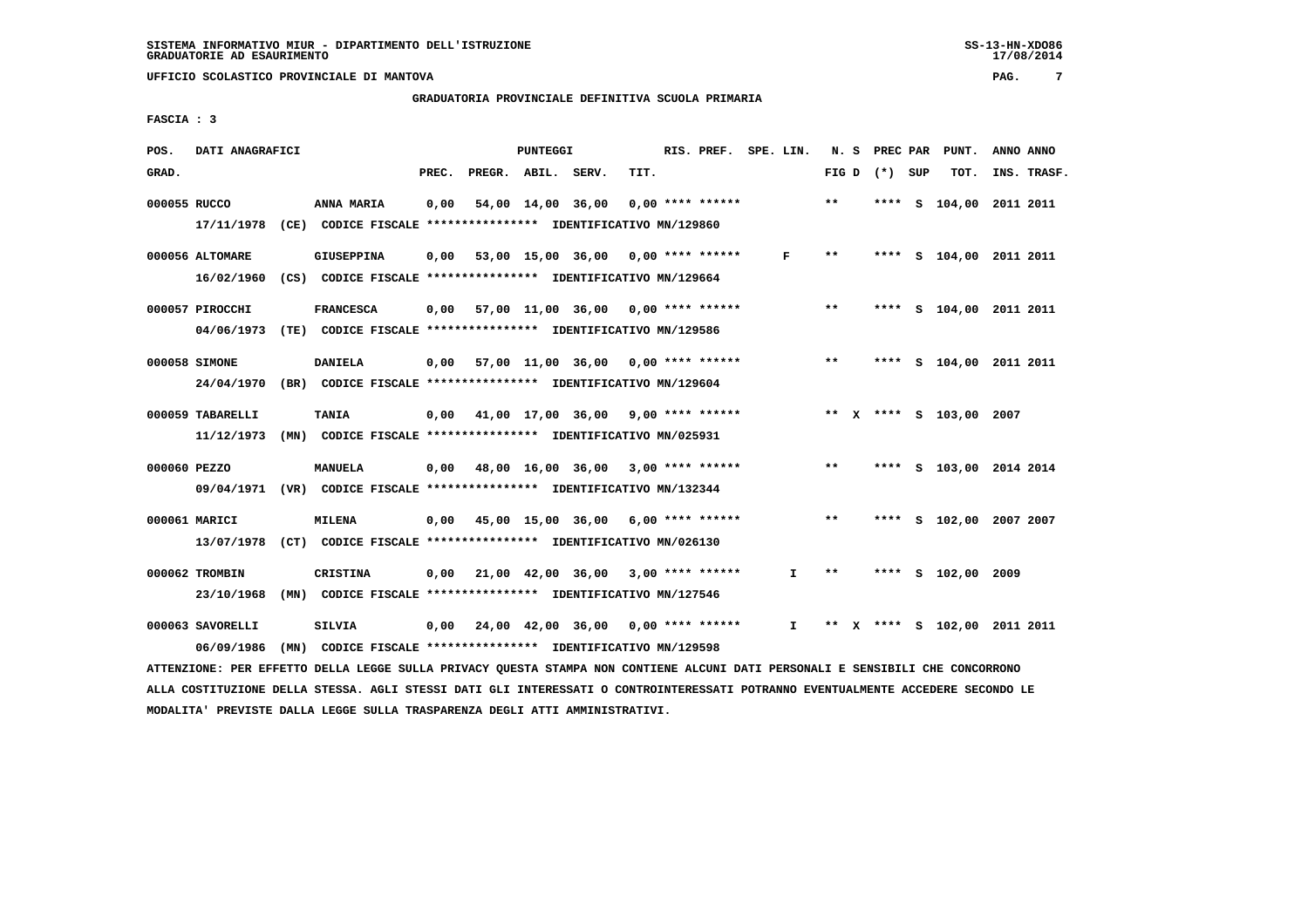**GRADUATORIA PROVINCIALE DEFINITIVA SCUOLA PRIMARIA**

 **FASCIA : 3**

| POS.         | DATI ANAGRAFICI  |                                                                                                                               |       | PUNTEGGI |                                                         |      | RIS. PREF. SPE. LIN. |              |                 | N. S PREC PAR | PUNT.                        | ANNO ANNO |             |
|--------------|------------------|-------------------------------------------------------------------------------------------------------------------------------|-------|----------|---------------------------------------------------------|------|----------------------|--------------|-----------------|---------------|------------------------------|-----------|-------------|
| GRAD.        |                  |                                                                                                                               | PREC. |          | PREGR. ABIL. SERV.                                      | TIT. |                      |              | FIG D $(*)$ SUP |               | TOT.                         |           | INS. TRASF. |
| 000055 RUCCO |                  | ANNA MARIA                                                                                                                    | 0,00  |          | 54,00 14,00 36,00                                       |      | $0,00$ **** ******   |              | $**$            |               | **** S 104,00 2011 2011      |           |             |
|              | 17/11/1978       | (CE) CODICE FISCALE **************** IDENTIFICATIVO MN/129860                                                                 |       |          |                                                         |      |                      |              |                 |               |                              |           |             |
|              | 000056 ALTOMARE  | <b>GIUSEPPINA</b>                                                                                                             | 0,00  |          | 53,00 15,00 36,00 0,00 **** ******                      |      |                      | F            | **              |               | **** S 104,00 2011 2011      |           |             |
|              | 16/02/1960       | (CS) CODICE FISCALE **************** IDENTIFICATIVO MN/129664                                                                 |       |          |                                                         |      |                      |              |                 |               |                              |           |             |
|              | 000057 PIROCCHI  | <b>FRANCESCA</b>                                                                                                              |       |          | $0,00$ 57,00 11,00 36,00 0,00 **** ******               |      |                      |              | $* *$           |               | **** S 104,00 2011 2011      |           |             |
|              |                  | 04/06/1973 (TE) CODICE FISCALE *************** IDENTIFICATIVO MN/129586                                                       |       |          |                                                         |      |                      |              |                 |               |                              |           |             |
|              | 000058 SIMONE    | <b>DANIELA</b>                                                                                                                |       |          | $0,00$ 57,00 11,00 36,00 0,00 **** ******               |      |                      |              | $***$           |               | **** S 104,00 2011 2011      |           |             |
|              | 24/04/1970       | (BR) CODICE FISCALE **************** IDENTIFICATIVO MN/129604                                                                 |       |          |                                                         |      |                      |              |                 |               |                              |           |             |
|              | 000059 TABARELLI | <b>TANIA</b>                                                                                                                  |       |          | $0,00$ 41,00 17,00 36,00 9,00 **** ******               |      |                      |              |                 |               | ** X **** S 103,00 2007      |           |             |
|              | 11/12/1973       | (MN) CODICE FISCALE **************** IDENTIFICATIVO MN/025931                                                                 |       |          |                                                         |      |                      |              |                 |               |                              |           |             |
| 000060 PEZZO |                  | MANUELA                                                                                                                       | 0,00  |          | 48,00 16,00 36,00 3,00 **** ******                      |      |                      |              | $***$           |               | **** S 103,00 2014 2014      |           |             |
|              |                  | 09/04/1971 (VR) CODICE FISCALE *************** IDENTIFICATIVO MN/132344                                                       |       |          |                                                         |      |                      |              |                 |               |                              |           |             |
|              | 000061 MARICI    | <b>MILENA</b>                                                                                                                 |       |          | 0,00 45,00 15,00 36,00                                  |      | $6,00$ **** ******   |              | $***$           |               | **** S 102,00 2007 2007      |           |             |
|              |                  | 13/07/1978 (CT) CODICE FISCALE *************** IDENTIFICATIVO MN/026130                                                       |       |          |                                                         |      |                      |              |                 |               |                              |           |             |
|              | 000062 TROMBIN   | <b>CRISTINA</b>                                                                                                               |       |          | $0,00$ $21,00$ $42,00$ $36,00$ $3,00$ $***$ **** ****** |      |                      | $\mathbf{I}$ | $* *$           |               | **** S 102,00 2009           |           |             |
|              | 23/10/1968       | (MN) CODICE FISCALE **************** IDENTIFICATIVO MN/127546                                                                 |       |          |                                                         |      |                      |              |                 |               |                              |           |             |
|              | 000063 SAVORELLI | SILVIA                                                                                                                        | 0,00  |          | 24,00 42,00 36,00 0,00 **** ******                      |      |                      | I.           |                 |               | ** X **** S 102,00 2011 2011 |           |             |
|              | 06/09/1986       | (MN) CODICE FISCALE *************** IDENTIFICATIVO MN/129598                                                                  |       |          |                                                         |      |                      |              |                 |               |                              |           |             |
|              |                  | ATTENZIONE: PER EFFETTO DELLA LEGGE SULLA PRIVACY QUESTA STAMPA NON CONTIENE ALCUNI DATI PERSONALI E SENSIBILI CHE CONCORRONO |       |          |                                                         |      |                      |              |                 |               |                              |           |             |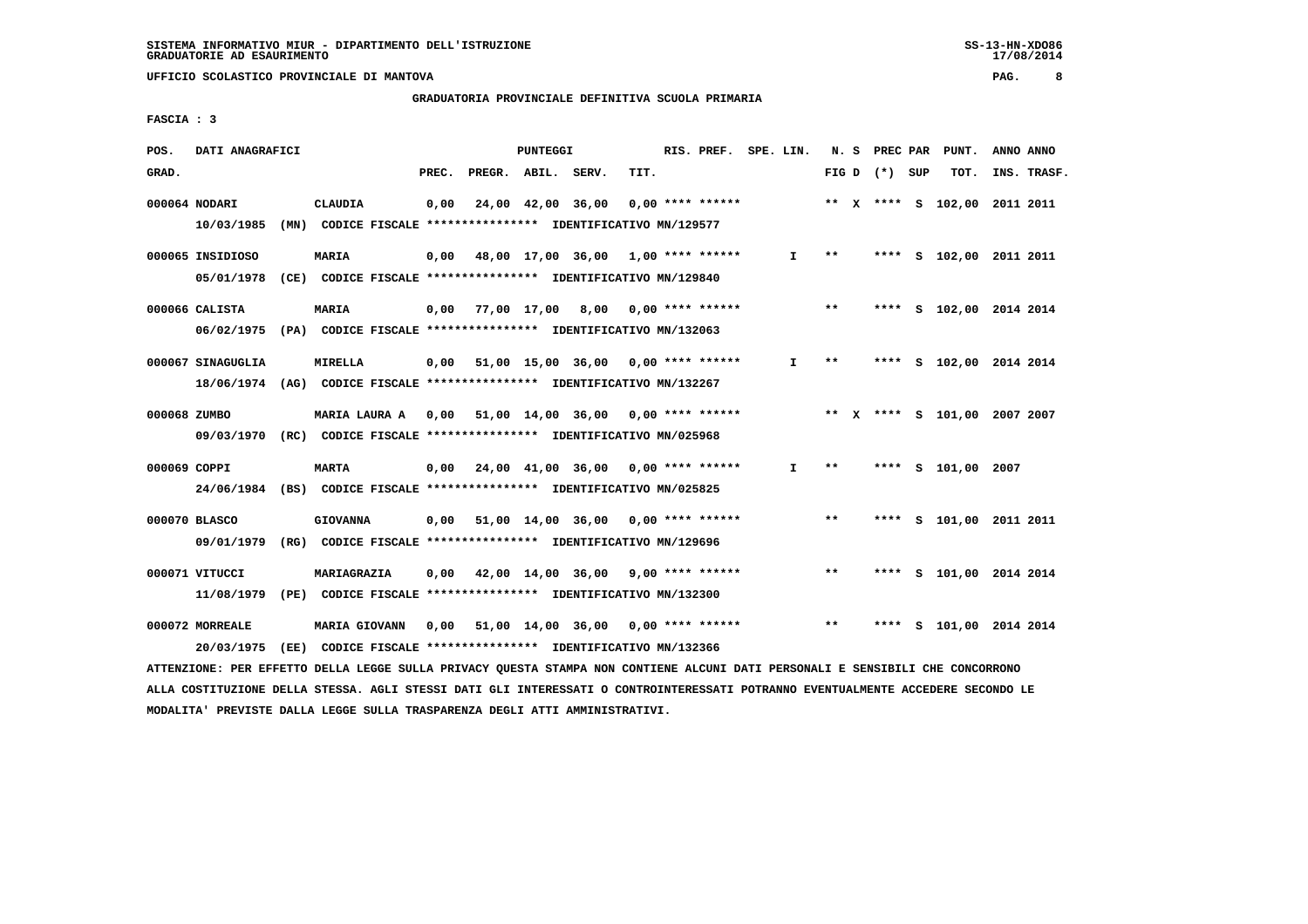# **GRADUATORIA PROVINCIALE DEFINITIVA SCUOLA PRIMARIA**

 **FASCIA : 3**

| POS.<br>DATI ANAGRAFICI        |                                                                                           | PUNTEGGI                                                                                |                                                  | RIS. PREF.         | SPE. LIN.    |       | N. S PREC PAR      | PUNT. | ANNO ANNO                    |
|--------------------------------|-------------------------------------------------------------------------------------------|-----------------------------------------------------------------------------------------|--------------------------------------------------|--------------------|--------------|-------|--------------------|-------|------------------------------|
| GRAD.                          |                                                                                           | PREC.<br>PREGR. ABIL. SERV.                                                             | TIT.                                             |                    |              |       | FIG D $(*)$ SUP    | TOT.  | INS. TRASF.                  |
| 000064 NODARI<br>10/03/1985    | <b>CLAUDIA</b><br>(MN) CODICE FISCALE *************** IDENTIFICATIVO MN/129577            | 24,00 42,00 36,00<br>0,00                                                               |                                                  | $0.00$ **** ****** |              |       |                    |       | ** X **** S 102,00 2011 2011 |
| 000065 INSIDIOSO<br>05/01/1978 | <b>MARIA</b><br>(CE) CODICE FISCALE **************** IDENTIFICATIVO MN/129840             | 0,00                                                                                    | 48,00 17,00 36,00 1,00 **** ******               |                    | $\mathbf{I}$ | $* *$ |                    |       | **** S 102,00 2011 2011      |
| 000066 CALISTA                 | <b>MARIA</b><br>06/02/1975 (PA) CODICE FISCALE *************** IDENTIFICATIVO MN/132063   | 77,00 17,00 8,00<br>0,00                                                                |                                                  | 0,00 **** ******   |              | $***$ |                    |       | **** S 102,00 2014 2014      |
| 000067 SINAGUGLIA              | <b>MIRELLA</b><br>18/06/1974 (AG) CODICE FISCALE *************** IDENTIFICATIVO MN/132267 | 0,00                                                                                    | 51,00 15,00 36,00 0,00 **** ******               |                    | Ι.           | **    |                    |       | **** S 102,00 2014 2014      |
| 000068 ZUMBO                   | 09/03/1970 (RC) CODICE FISCALE *************** IDENTIFICATIVO MN/025968                   | MARIA LAURA A 0,00 51,00 14,00 36,00                                                    |                                                  | $0.00$ **** ****** |              |       |                    |       | ** X **** S 101,00 2007 2007 |
| 000069 COPPI                   | <b>MARTA</b><br>24/06/1984 (BS) CODICE FISCALE *************** IDENTIFICATIVO MN/025825   | 0,00                                                                                    | 24,00 41,00 36,00 0,00 **** ******               |                    | $\mathbf{I}$ | $***$ | **** S 101,00 2007 |       |                              |
| 000070 BLASCO<br>09/01/1979    | <b>GIOVANNA</b>                                                                           | 0,00 51,00 14,00 36,00<br>(RG) CODICE FISCALE **************** IDENTIFICATIVO MN/129696 |                                                  | $0.00$ **** ****** |              | $***$ |                    |       | **** S 101,00 2011 2011      |
| 000071 VITUCCI<br>11/08/1979   | MARIAGRAZIA                                                                               | 0,00<br>(PE) CODICE FISCALE **************** IDENTIFICATIVO MN/132300                   | $42,00$ $14,00$ $36,00$ $9,00$ $***$ **** ****** |                    |              | $* *$ |                    |       | **** S 101,00 2014 2014      |
| 000072 MORREALE<br>20/03/1975  | MARIA GIOVANN<br>(EE) CODICE FISCALE **************** IDENTIFICATIVO MN/132366            | 0,00<br>51,00 14,00 36,00                                                               |                                                  | $0.00$ **** ****** |              | $***$ | s.<br>****         |       | 101,00 2014 2014             |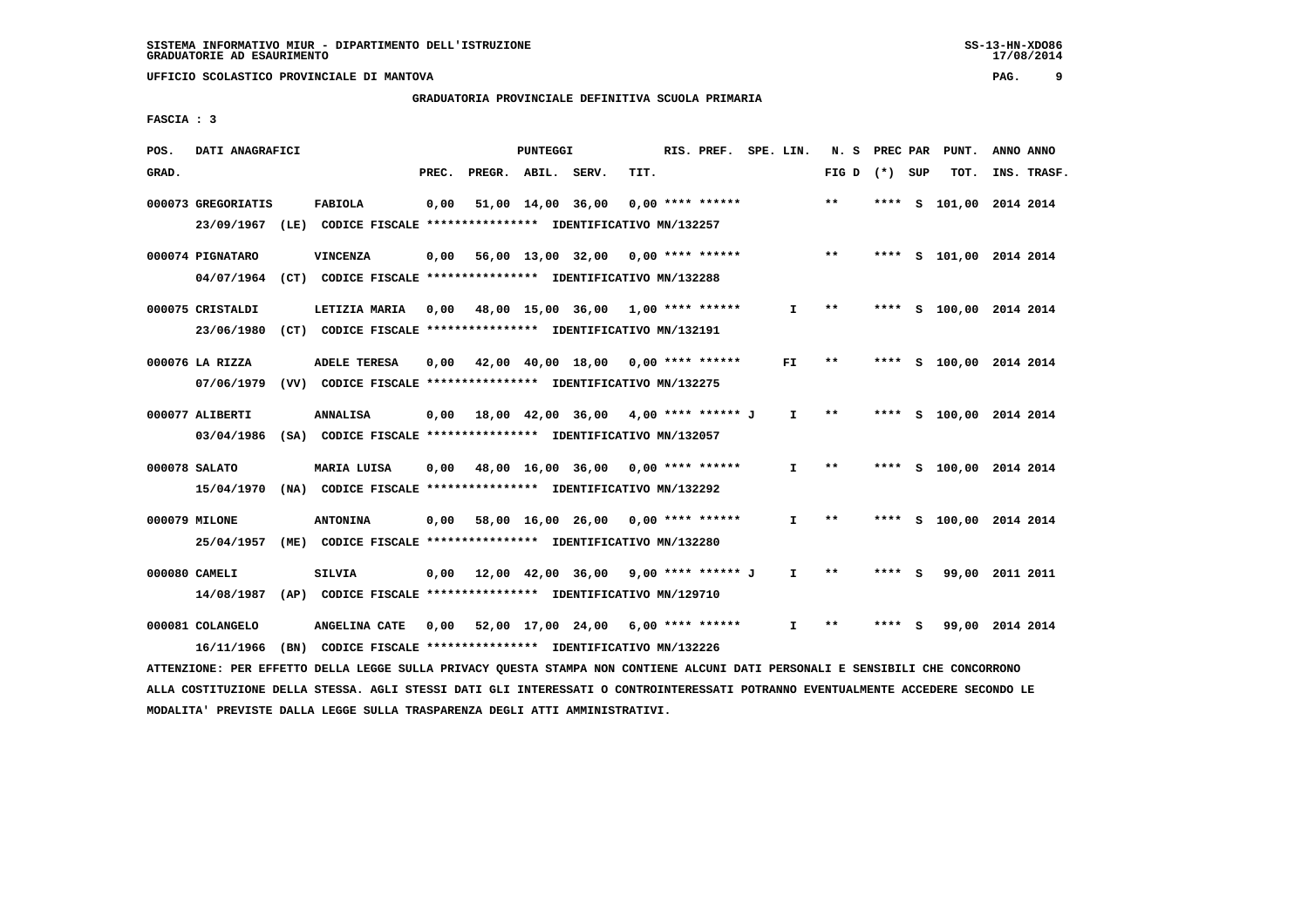# **GRADUATORIA PROVINCIALE DEFINITIVA SCUOLA PRIMARIA**

 **FASCIA : 3**

| POS.  | DATI ANAGRAFICI                  |      |                                                                                       |                                                          |       |                    | PUNTEGGI          |                   |      | RIS. PREF. SPE. LIN. |              | N. S         | PREC PAR |     | PUNT.                   | ANNO ANNO |             |
|-------|----------------------------------|------|---------------------------------------------------------------------------------------|----------------------------------------------------------|-------|--------------------|-------------------|-------------------|------|----------------------|--------------|--------------|----------|-----|-------------------------|-----------|-------------|
| GRAD. |                                  |      |                                                                                       |                                                          | PREC. | PREGR. ABIL. SERV. |                   |                   | TIT. |                      |              | FIG D        | $(* )$   | SUP | TOT.                    |           | INS. TRASF. |
|       | 000073 GREGORIATIS<br>23/09/1967 | (LE) | <b>FABIOLA</b>                                                                        | CODICE FISCALE **************** IDENTIFICATIVO MN/132257 | 0,00  |                    | 51,00 14,00 36,00 |                   |      | $0.00$ **** ******   |              | $* *$        | ****     |     | S 101,00                |           | 2014 2014   |
|       | 000074 PIGNATARO<br>04/07/1964   |      | <b>VINCENZA</b><br>(CT) CODICE FISCALE **************** IDENTIFICATIVO MN/132288      |                                                          | 0,00  |                    |                   | 56,00 13,00 32,00 |      | $0.00$ **** ******   |              | $***$        | ****     |     | S 101,00 2014 2014      |           |             |
|       | 000075 CRISTALDI<br>23/06/1980   |      | LETIZIA MARIA<br>(CT) CODICE FISCALE **************** IDENTIFICATIVO MN/132191        |                                                          | 0,00  |                    |                   | 48,00 15,00 36,00 |      | $1.00$ **** ******   | $\mathbf{I}$ | $* *$        | ****     |     | s 100,00                | 2014 2014 |             |
|       | 000076 LA RIZZA<br>07/06/1979    |      | <b>ADELE TERESA</b><br>(VV) CODICE FISCALE **************** IDENTIFICATIVO MN/132275  |                                                          | 0.00  |                    |                   | 42,00 40,00 18,00 |      | $0.00$ **** ******   | FI.          | $* *$        | ****     |     | S 100,00 2014 2014      |           |             |
|       | 000077 ALIBERTI<br>03/04/1986    |      | <b>ANNALISA</b><br>(SA) CODICE FISCALE **************** IDENTIFICATIVO MN/132057      |                                                          | 0,00  | 18,00 42,00 36,00  |                   |                   |      | 4,00 **** ****** J   | $\mathbf{I}$ | $* *$        | ****     |     | S 100,00 2014 2014      |           |             |
|       | 000078 SALATO<br>15/04/1970      |      | MARIA LUISA<br>(NA) CODICE FISCALE **************** IDENTIFICATIVO MN/132292          |                                                          | 0,00  |                    |                   | 48,00 16,00 36,00 |      | $0.00$ **** ******   | $\mathbf{I}$ | $**$         | ****     |     | S 100,00 2014 2014      |           |             |
|       | 000079 MILONE<br>25/04/1957      | (ME) | <b>ANTONINA</b>                                                                       | CODICE FISCALE **************** IDENTIFICATIVO MN/132280 | 0,00  |                    |                   | 58,00 16,00 26,00 |      | $0.00$ **** ******   | I.           | $* *$        |          |     | **** S 100,00 2014 2014 |           |             |
|       | 000080 CAMELI<br>14/08/1987      |      | <b>SILVIA</b><br>(AP) CODICE FISCALE **************** IDENTIFICATIVO MN/129710        |                                                          | 0,00  |                    |                   | 12,00 42,00 36,00 |      | $9,00$ **** ****** J | I.           | $* *$        | ****     | S   | 99,00                   | 2011 2011 |             |
|       | 000081 COLANGELO<br>16/11/1966   |      | <b>ANGELINA CATE</b><br>(BN) CODICE FISCALE **************** IDENTIFICATIVO MN/132226 |                                                          | 0,00  |                    |                   | 52,00 17,00 24,00 |      | $6,00$ **** ******   | I.           | $\star\star$ | ****     | s   | 99,00                   |           | 2014 2014   |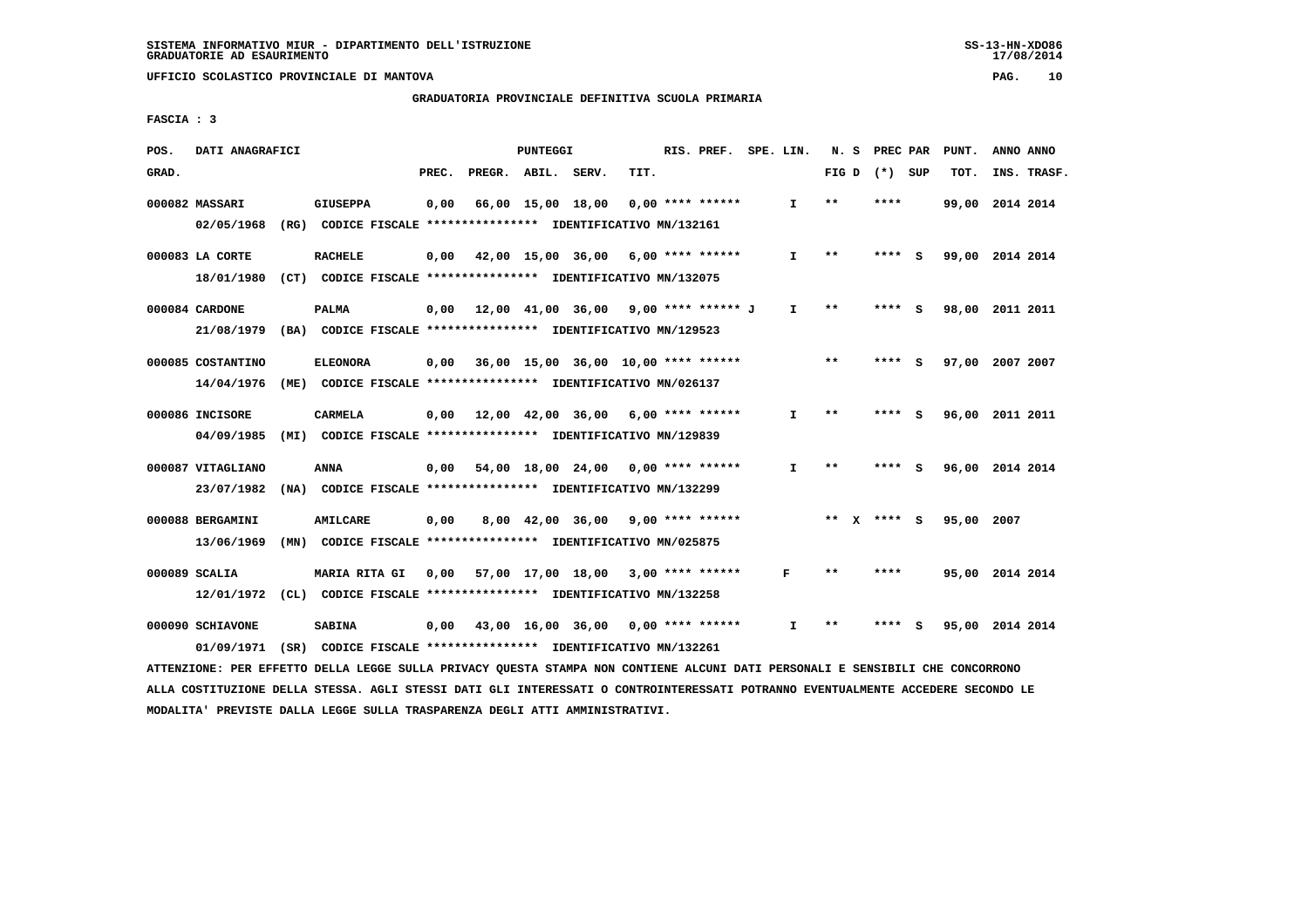#### **GRADUATORIA PROVINCIALE DEFINITIVA SCUOLA PRIMARIA**

 **FASCIA : 3**

| POS.              | DATI ANAGRAFICI    |                                                                                          |       |                    | PUNTEGGI |                                      |      | RIS. PREF.         | SPE. LIN.    | N.S   | PREC PAR      |     | PUNT.           | ANNO ANNO |             |
|-------------------|--------------------|------------------------------------------------------------------------------------------|-------|--------------------|----------|--------------------------------------|------|--------------------|--------------|-------|---------------|-----|-----------------|-----------|-------------|
| GRAD.             |                    |                                                                                          | PREC. | PREGR. ABIL. SERV. |          |                                      | TIT. |                    |              | FIG D | (*) SUP       |     | TOT.            |           | INS. TRASF. |
| 000082 MASSARI    | 02/05/1968         | <b>GIUSEPPA</b><br>(RG) CODICE FISCALE **************** IDENTIFICATIVO MN/132161         | 0,00  |                    |          | 66,00 15,00 18,00                    |      | $0.00$ **** ****** | $\mathbf{I}$ | $* *$ | ****          |     | 99,00           | 2014 2014 |             |
| 000083 LA CORTE   | 18/01/1980<br>(CT) | <b>RACHELE</b><br>CODICE FISCALE **************** IDENTIFICATIVO MN/132075               | 0,00  |                    |          | 42,00 15,00 36,00                    |      | 6,00 **** ******   | $\mathbf{I}$ | $* *$ | ****          | - S | 99,00 2014 2014 |           |             |
| 000084 CARDONE    | 21/08/1979         | <b>PALMA</b><br>(BA) CODICE FISCALE **************** IDENTIFICATIVO MN/129523            | 0,00  |                    |          | 12,00 41,00 36,00 9,00 **** ****** J |      |                    | $\mathbf{I}$ | $**$  | ****          | s   | 98,00           | 2011 2011 |             |
| 000085 COSTANTINO | 14/04/1976<br>(ME) | <b>ELEONORA</b><br>CODICE FISCALE **************** IDENTIFICATIVO MN/026137              | 0.00  |                    |          | 36,00 15,00 36,00 10,00 **** ******  |      |                    |              | $* *$ |               | - S | 97,00 2007 2007 |           |             |
| 000086 INCISORE   | 04/09/1985         | <b>CARMELA</b><br>(MI) CODICE FISCALE **************** IDENTIFICATIVO MN/129839          | 0,00  | 12,00 42,00 36,00  |          |                                      |      | $6,00$ **** ****** | I.           | $**$  | ****          | - 5 | 96,00 2011 2011 |           |             |
| 000087 VITAGLIANO | 23/07/1982<br>(MA) | <b>ANNA</b><br>CODICE FISCALE **************** IDENTIFICATIVO MN/132299                  | 0,00  |                    |          | 54,00 18,00 24,00                    |      | $0.00$ **** ****** | T.           | $* *$ | ****          | S.  | 96,00 2014 2014 |           |             |
| 000088 BERGAMINI  | 13/06/1969<br>(MN) | <b>AMILCARE</b><br>CODICE FISCALE **************** IDENTIFICATIVO MN/025875              | 0.00  |                    |          | 8,00 42,00 36,00                     |      | $9.00$ **** ****** |              |       | ** $X$ **** S |     | 95,00 2007      |           |             |
| 000089 SCALIA     | 12/01/1972<br>CL)  | MARIA RITA GI<br>CODICE FISCALE **************** IDENTIFICATIVO MN/132258                | 0,00  |                    |          | 57,00 17,00 18,00                    |      | $3,00$ **** ****** | F            | $* *$ | ****          |     | 95,00 2014 2014 |           |             |
| 000090 SCHIAVONE  |                    | <b>SABINA</b><br>01/09/1971 (SR) CODICE FISCALE *************** IDENTIFICATIVO MN/132261 | 0.00  |                    |          | 43,00 16,00 36,00                    |      | $0.00$ **** ****** | I.           | **    |               | s   | 95,00 2014 2014 |           |             |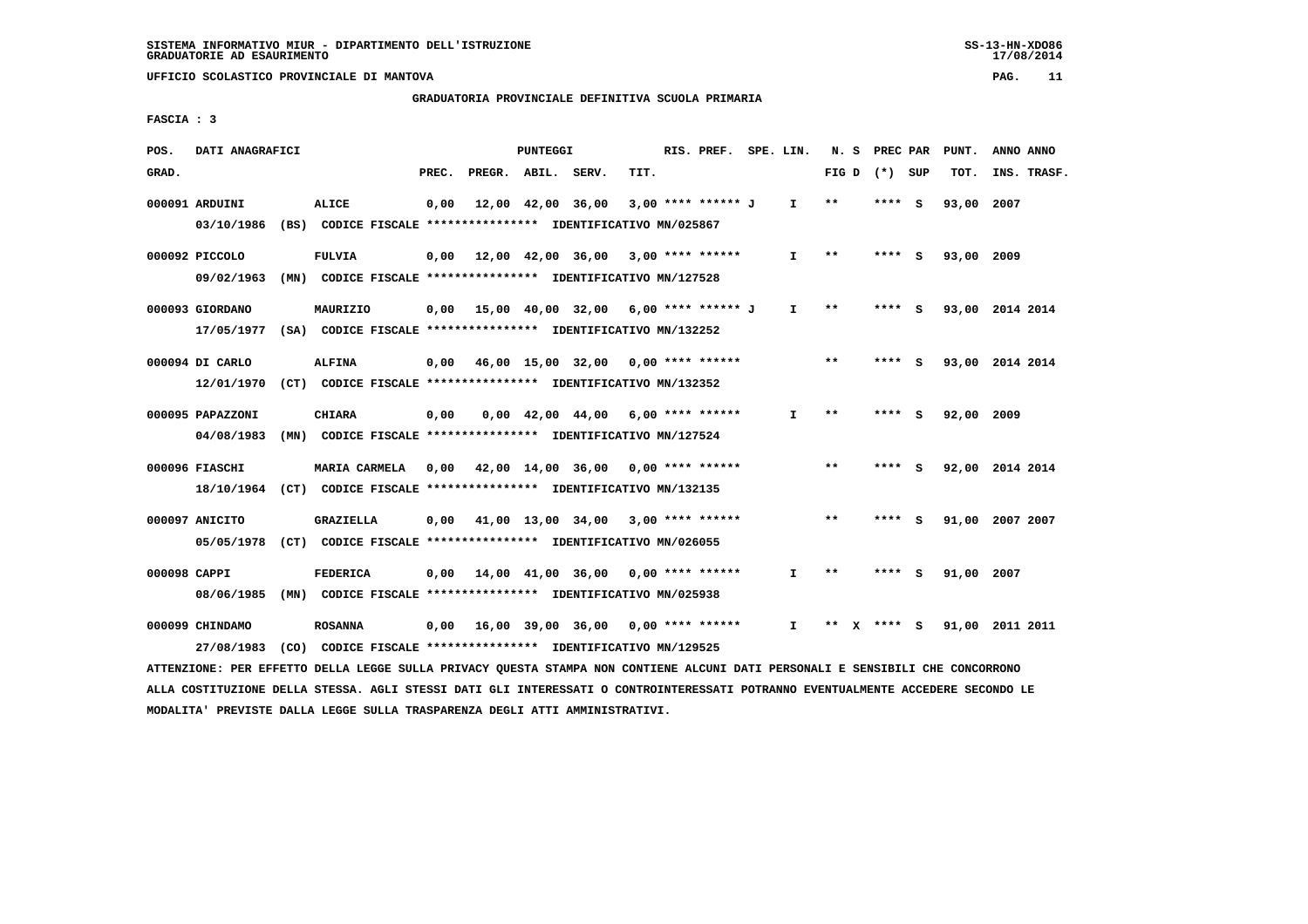**GRADUATORIA PROVINCIALE DEFINITIVA SCUOLA PRIMARIA**

 **FASCIA : 3**

| POS.         | DATI ANAGRAFICI  |                                                                                                                               |       |                    | PUNTEGGI |                                                                |      | RIS. PREF. SPE. LIN. |              |       | N. S PREC PAR   | PUNT.      | ANNO ANNO                   |
|--------------|------------------|-------------------------------------------------------------------------------------------------------------------------------|-------|--------------------|----------|----------------------------------------------------------------|------|----------------------|--------------|-------|-----------------|------------|-----------------------------|
| GRAD.        |                  |                                                                                                                               | PREC. | PREGR. ABIL. SERV. |          |                                                                | TIT. |                      |              |       | FIG D $(*)$ SUP | TOT.       | INS. TRASF.                 |
|              | 000091 ARDUINI   | ALICE                                                                                                                         | 0,00  |                    |          | 12,00 42,00 36,00                                              |      | 3,00 **** ****** J   | I.           | $* *$ | **** S          | 93,00 2007 |                             |
|              |                  | 03/10/1986 (BS) CODICE FISCALE *************** IDENTIFICATIVO MN/025867                                                       |       |                    |          |                                                                |      |                      |              |       |                 |            |                             |
|              | 000092 PICCOLO   | <b>FULVIA</b>                                                                                                                 |       |                    |          | $0,00$ 12,00 42,00 36,00 3,00 **** ******                      |      |                      | $\mathbf{I}$ | $***$ | **** S          | 93,00 2009 |                             |
|              |                  | 09/02/1963 (MN) CODICE FISCALE *************** IDENTIFICATIVO MN/127528                                                       |       |                    |          |                                                                |      |                      |              |       |                 |            |                             |
|              | 000093 GIORDANO  | MAURIZIO                                                                                                                      |       |                    |          | $0,00$ 15,00 40,00 32,00 6,00 **** ****** J                    |      |                      | I.           | $***$ | **** S          |            | 93,00 2014 2014             |
|              |                  | 17/05/1977 (SA) CODICE FISCALE *************** IDENTIFICATIVO MN/132252                                                       |       |                    |          |                                                                |      |                      |              |       |                 |            |                             |
|              | 000094 DI CARLO  | <b>ALFINA</b>                                                                                                                 |       |                    |          | $0,00$ 46,00 15,00 32,00 0,00 **** ******                      |      |                      |              | $* *$ | **** S          |            | 93,00 2014 2014             |
|              |                  | 12/01/1970 (CT) CODICE FISCALE *************** IDENTIFICATIVO MN/132352                                                       |       |                    |          |                                                                |      |                      |              |       |                 |            |                             |
|              | 000095 PAPAZZONI | <b>CHIARA</b>                                                                                                                 | 0,00  |                    |          | $0.00 \quad 42.00 \quad 44.00 \quad 6.00 \quad *** \quad ***}$ |      |                      | I.           | $***$ | **** S          | 92,00 2009 |                             |
|              |                  | 04/08/1983 (MN) CODICE FISCALE *************** IDENTIFICATIVO MN/127524                                                       |       |                    |          |                                                                |      |                      |              |       |                 |            |                             |
|              | 000096 FIASCHI   | MARIA CARMELA 0,00 42,00 14,00 36,00 0,00 **** ******                                                                         |       |                    |          |                                                                |      |                      |              | $* *$ | $***$ S         |            | 92,00 2014 2014             |
|              |                  | 18/10/1964 (CT) CODICE FISCALE *************** IDENTIFICATIVO MN/132135                                                       |       |                    |          |                                                                |      |                      |              |       |                 |            |                             |
|              | 000097 ANICITO   | GRAZIELLA                                                                                                                     |       |                    |          | $0,00$ 41,00 13,00 34,00 3,00 **** ******                      |      |                      |              | $***$ | **** S          |            | 91,00 2007 2007             |
|              |                  | 05/05/1978 (CT) CODICE FISCALE *************** IDENTIFICATIVO MN/026055                                                       |       |                    |          |                                                                |      |                      |              |       |                 |            |                             |
| 000098 CAPPI |                  | FEDERICA                                                                                                                      |       |                    |          | $0,00$ 14,00 41,00 36,00 0,00 **** ******                      |      |                      | $\mathbf{I}$ | $* *$ | **** S          | 91,00 2007 |                             |
|              |                  | 08/06/1985 (MN) CODICE FISCALE *************** IDENTIFICATIVO MN/025938                                                       |       |                    |          |                                                                |      |                      |              |       |                 |            |                             |
|              | 000099 CHINDAMO  | <b>ROSANNA</b>                                                                                                                |       |                    |          | 0,00 16,00 39,00 36,00 0,00 **** ******                        |      |                      | $\mathbf{I}$ |       |                 |            | ** X **** S 91,00 2011 2011 |
|              | 27/08/1983       | (CO) CODICE FISCALE **************** IDENTIFICATIVO MN/129525                                                                 |       |                    |          |                                                                |      |                      |              |       |                 |            |                             |
|              |                  | ATTENZIONE: PER EFFETTO DELLA LEGGE SULLA PRIVACY QUESTA STAMPA NON CONTIENE ALCUNI DATI PERSONALI E SENSIBILI CHE CONCORRONO |       |                    |          |                                                                |      |                      |              |       |                 |            |                             |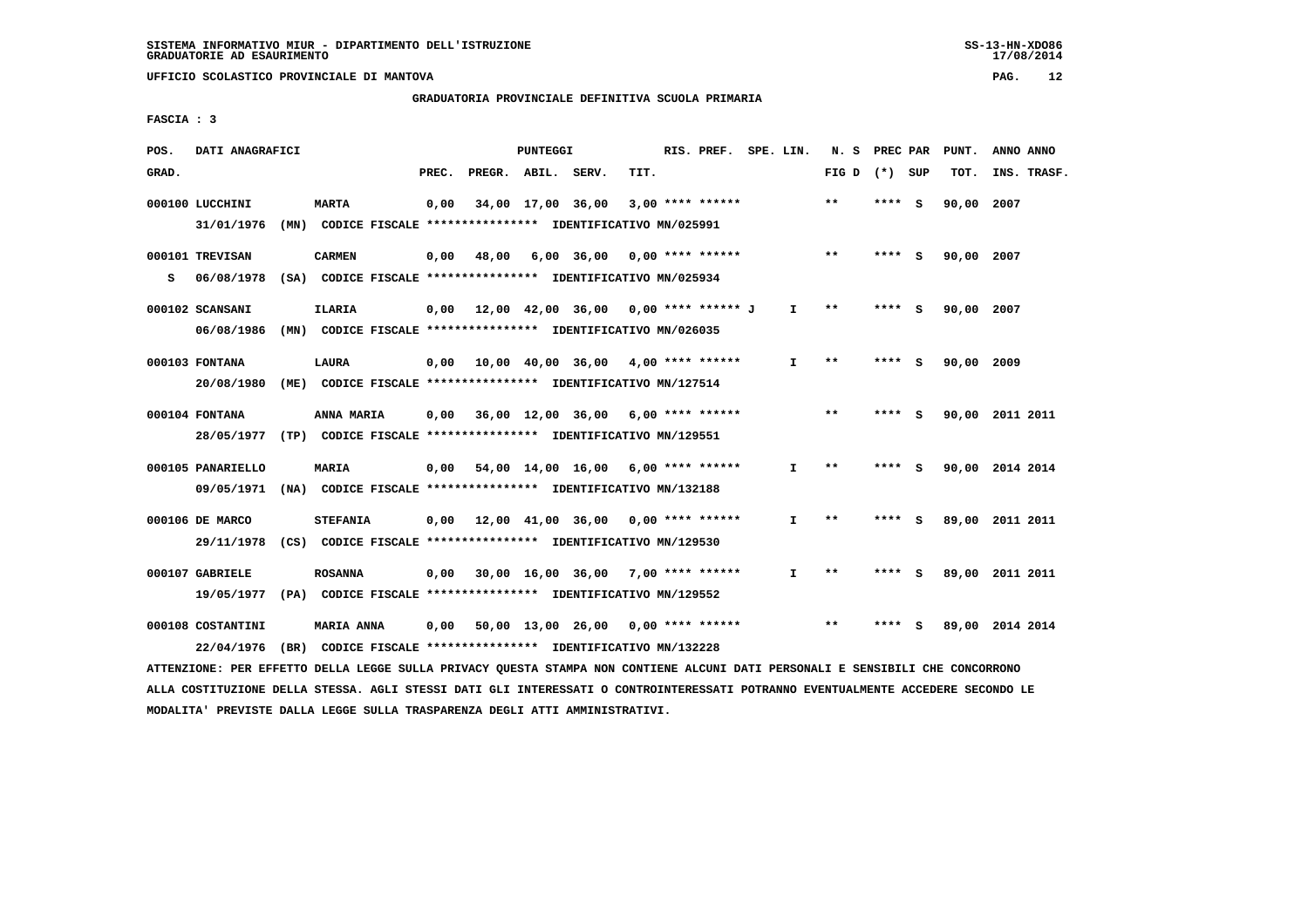#### **GRADUATORIA PROVINCIALE DEFINITIVA SCUOLA PRIMARIA**

 **FASCIA : 3**

| POS.  | DATI ANAGRAFICI                                                                                                               |                                                               |       |       | PUNTEGGI |                                           |      | RIS. PREF. SPE. LIN. |              |                 | N. S PREC PAR |     | PUNT.      | ANNO ANNO       |  |
|-------|-------------------------------------------------------------------------------------------------------------------------------|---------------------------------------------------------------|-------|-------|----------|-------------------------------------------|------|----------------------|--------------|-----------------|---------------|-----|------------|-----------------|--|
| GRAD. |                                                                                                                               |                                                               | PREC. |       |          | PREGR. ABIL. SERV.                        | TIT. |                      |              | FIG D $(*)$ SUP |               |     | TOT.       | INS. TRASF.     |  |
|       | 000100 LUCCHINI                                                                                                               | <b>MARTA</b>                                                  | 0,00  |       |          | 34,00 17,00 36,00                         |      | $3,00$ **** ******   |              | $**$            | $***$ S       |     | 90,00 2007 |                 |  |
|       | 31/01/1976                                                                                                                    | (MN) CODICE FISCALE **************** IDENTIFICATIVO MN/025991 |       |       |          |                                           |      |                      |              |                 |               |     |            |                 |  |
|       | 000101 TREVISAN                                                                                                               | <b>CARMEN</b>                                                 | 0,00  | 48,00 |          | $6,00$ $36,00$ $0,00$ $***$ **** *****    |      |                      |              | $**$            | **** S        |     | 90,00 2007 |                 |  |
| s     | 06/08/1978                                                                                                                    | (SA) CODICE FISCALE **************** IDENTIFICATIVO MN/025934 |       |       |          |                                           |      |                      |              |                 |               |     |            |                 |  |
|       | 000102 SCANSANI                                                                                                               | <b>ILARIA</b>                                                 | 0,00  |       |          | 12,00 42,00 36,00 0,00 **** ****** J      |      |                      | $\mathbf{I}$ | $* *$           | $***5$        |     | 90,00      | 2007            |  |
|       | 06/08/1986                                                                                                                    | (MN) CODICE FISCALE **************** IDENTIFICATIVO MN/026035 |       |       |          |                                           |      |                      |              |                 |               |     |            |                 |  |
|       | 000103 FONTANA                                                                                                                | LAURA                                                         |       |       |          | $0.00$ 10.00 40.00 36.00 4.00 **** ****** |      |                      | I.           | **              | **** S        |     | 90,00 2009 |                 |  |
|       | 20/08/1980                                                                                                                    | (ME) CODICE FISCALE **************** IDENTIFICATIVO MN/127514 |       |       |          |                                           |      |                      |              |                 |               |     |            |                 |  |
|       | 000104 FONTANA                                                                                                                | ANNA MARIA                                                    |       |       |          | $0,00$ 36,00 12,00 36,00 6,00 **** ****** |      |                      |              | $***$           | **** S        |     |            | 90,00 2011 2011 |  |
|       | 28/05/1977 (TP) CODICE FISCALE **************** IDENTIFICATIVO MN/129551                                                      |                                                               |       |       |          |                                           |      |                      |              |                 |               |     |            |                 |  |
|       | 000105 PANARIELLO                                                                                                             | MARIA                                                         | 0,00  |       |          | 54,00 14,00 16,00 6,00 **** ******        |      |                      | I.           | **              | **** S        |     |            | 90,00 2014 2014 |  |
|       | 09/05/1971                                                                                                                    | (NA) CODICE FISCALE **************** IDENTIFICATIVO MN/132188 |       |       |          |                                           |      |                      |              |                 |               |     |            |                 |  |
|       | 000106 DE MARCO                                                                                                               | <b>STEFANIA</b>                                               |       |       |          | $0,00$ $12,00$ $41,00$ $36,00$            |      | $0.00$ **** ******   | I.           | **              | **** S        |     | 89,00      | 2011 2011       |  |
|       | 29/11/1978                                                                                                                    | (CS) CODICE FISCALE **************** IDENTIFICATIVO MN/129530 |       |       |          |                                           |      |                      |              |                 |               |     |            |                 |  |
|       | 000107 GABRIELE                                                                                                               | <b>ROSANNA</b>                                                | 0,00  |       |          | 30,00 16,00 36,00 7,00 **** ******        |      |                      | $\mathbf{I}$ | $**$            | **** S        |     |            | 89,00 2011 2011 |  |
|       | 19/05/1977                                                                                                                    | (PA) CODICE FISCALE **************** IDENTIFICATIVO MN/129552 |       |       |          |                                           |      |                      |              |                 |               |     |            |                 |  |
|       | 000108 COSTANTINI                                                                                                             | <b>MARIA ANNA</b>                                             | 0,00  |       |          | 50,00 13,00 26,00 0,00 **** ******        |      |                      |              | $* *$           | ****          | - S |            | 89,00 2014 2014 |  |
|       | 22/04/1976                                                                                                                    | (BR) CODICE FISCALE **************** IDENTIFICATIVO MN/132228 |       |       |          |                                           |      |                      |              |                 |               |     |            |                 |  |
|       | ATTENZIONE: PER EFFETTO DELLA LEGGE SULLA PRIVACY QUESTA STAMPA NON CONTIENE ALCUNI DATI PERSONALI E SENSIBILI CHE CONCORRONO |                                                               |       |       |          |                                           |      |                      |              |                 |               |     |            |                 |  |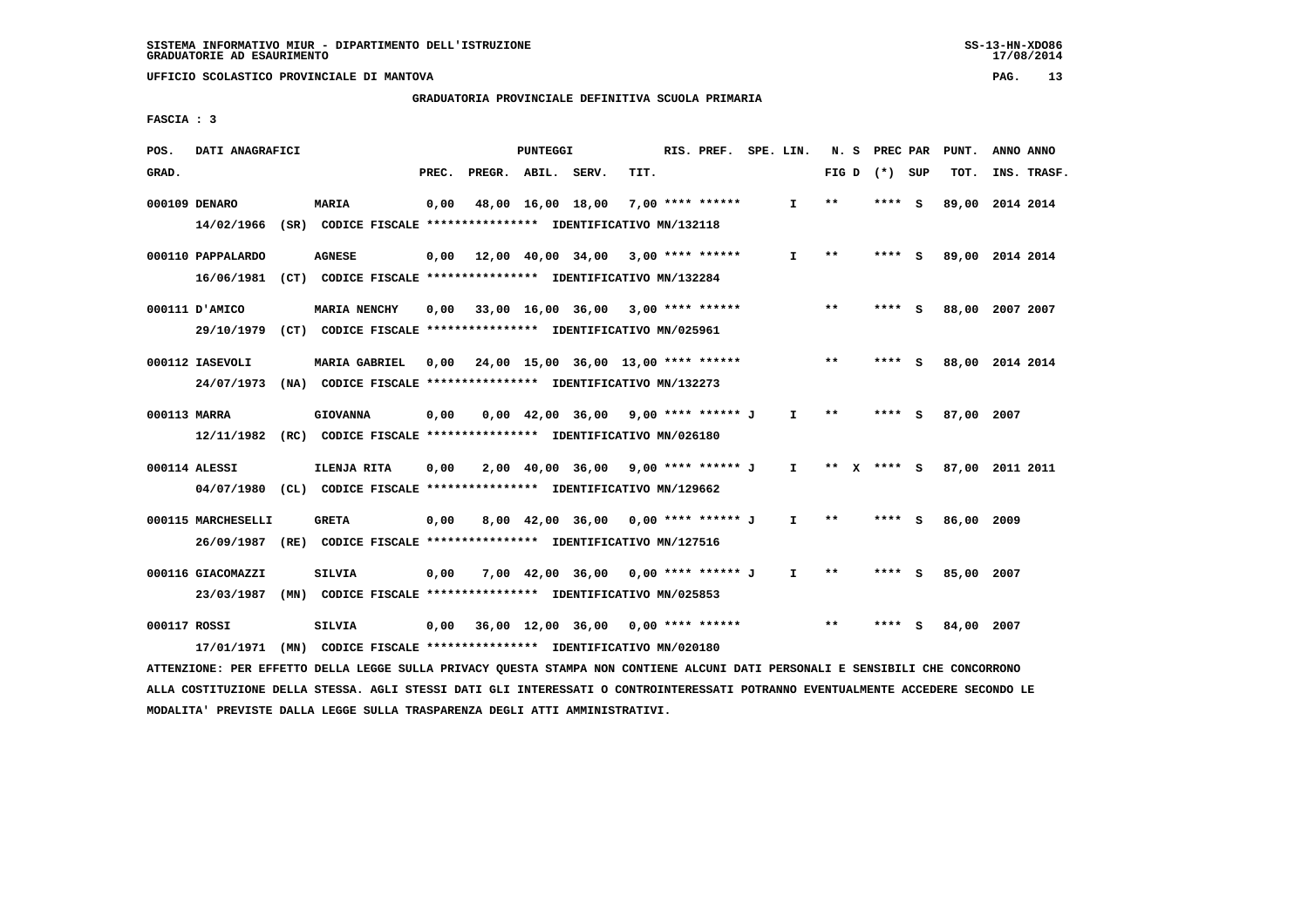#### **GRADUATORIA PROVINCIALE DEFINITIVA SCUOLA PRIMARIA**

 **FASCIA : 3**

| POS.         | DATI ANAGRAFICI    |                                                                                                                               |       | PUNTEGGI |                                            |                  | RIS. PREF. SPE. LIN. |              |       | N. S PREC PAR   | PUNT.           | ANNO ANNO |             |
|--------------|--------------------|-------------------------------------------------------------------------------------------------------------------------------|-------|----------|--------------------------------------------|------------------|----------------------|--------------|-------|-----------------|-----------------|-----------|-------------|
| GRAD.        |                    |                                                                                                                               | PREC. |          | PREGR. ABIL. SERV.                         | TIT.             |                      |              |       | FIG D $(*)$ SUP | TOT.            |           | INS. TRASF. |
|              | 000109 DENARO      | <b>MARIA</b>                                                                                                                  | 0,00  |          | 48,00 16,00 18,00                          | 7,00 **** ****** |                      | $\mathbf{I}$ | $***$ | **** S          | 89,00 2014 2014 |           |             |
|              |                    | 14/02/1966 (SR) CODICE FISCALE *************** IDENTIFICATIVO MN/132118                                                       |       |          |                                            |                  |                      |              |       |                 |                 |           |             |
|              | 000110 PAPPALARDO  | <b>AGNESE</b>                                                                                                                 |       |          | $0,00$ 12,00 40,00 34,00 3,00 **** ******  |                  |                      | $\mathbf{I}$ | $* *$ | **** S          | 89,00 2014 2014 |           |             |
|              |                    | 16/06/1981 (CT) CODICE FISCALE *************** IDENTIFICATIVO MN/132284                                                       |       |          |                                            |                  |                      |              |       |                 |                 |           |             |
|              | 000111 D'AMICO     | <b>MARIA NENCHY</b>                                                                                                           | 0,00  |          | 33,00 16,00 36,00 3,00 **** ******         |                  |                      |              | $* *$ | **** S          | 88,00 2007 2007 |           |             |
|              |                    | 29/10/1979 (CT) CODICE FISCALE *************** IDENTIFICATIVO MN/025961                                                       |       |          |                                            |                  |                      |              |       |                 |                 |           |             |
|              | 000112 IASEVOLI    | <b>MARIA GABRIEL</b>                                                                                                          |       |          | $0,00$ 24,00 15,00 36,00 13,00 **** ****** |                  |                      |              | $* *$ | **** S          | 88,00 2014 2014 |           |             |
|              |                    | 24/07/1973 (NA) CODICE FISCALE *************** IDENTIFICATIVO MN/132273                                                       |       |          |                                            |                  |                      |              |       |                 |                 |           |             |
| 000113 MARRA |                    | <b>GIOVANNA</b>                                                                                                               | 0,00  |          | $0,00$ 42,00 36,00 9,00 **** ****** J      |                  |                      | $\mathbf{I}$ | $* *$ | **** S          | 87,00 2007      |           |             |
|              |                    | 12/11/1982 (RC) CODICE FISCALE **************** IDENTIFICATIVO MN/026180                                                      |       |          |                                            |                  |                      |              |       |                 |                 |           |             |
|              | 000114 ALESSI      | ILENJA RITA                                                                                                                   | 0,00  |          | 2,00 40,00 36,00 9,00 **** ****** J I      |                  |                      |              |       | ** x **** S     | 87.00 2011 2011 |           |             |
|              |                    | 04/07/1980 (CL) CODICE FISCALE *************** IDENTIFICATIVO MN/129662                                                       |       |          |                                            |                  |                      |              |       |                 |                 |           |             |
|              |                    |                                                                                                                               |       |          |                                            |                  |                      |              |       |                 |                 |           |             |
|              | 000115 MARCHESELLI | <b>GRETA</b>                                                                                                                  | 0,00  |          | 8,00 42,00 36,00 0,00 **** ****** J        |                  |                      | $\mathbf{I}$ | **    | **** S          | 86,00 2009      |           |             |
|              |                    | 26/09/1987 (RE) CODICE FISCALE *************** IDENTIFICATIVO MN/127516                                                       |       |          |                                            |                  |                      |              |       |                 |                 |           |             |
|              | 000116 GIACOMAZZI  | <b>SILVIA</b>                                                                                                                 | 0,00  |          | 7,00 42,00 36,00 0,00 **** ****** J        |                  |                      | $\mathbf{I}$ | $* *$ | **** S          | 85,00 2007      |           |             |
|              |                    | 23/03/1987 (MN) CODICE FISCALE *************** IDENTIFICATIVO MN/025853                                                       |       |          |                                            |                  |                      |              |       |                 |                 |           |             |
| 000117 ROSSI |                    | SILVIA                                                                                                                        | 0,00  |          | 36,00 12,00 36,00 0,00 **** ******         |                  |                      |              | $* *$ | **** S          | 84,00 2007      |           |             |
|              | 17/01/1971         | (MN) CODICE FISCALE **************** IDENTIFICATIVO MN/020180                                                                 |       |          |                                            |                  |                      |              |       |                 |                 |           |             |
|              |                    | ATTENZIONE: PER EFFETTO DELLA LEGGE SULLA PRIVACY QUESTA STAMPA NON CONTIENE ALCUNI DATI PERSONALI E SENSIBILI CHE CONCORRONO |       |          |                                            |                  |                      |              |       |                 |                 |           |             |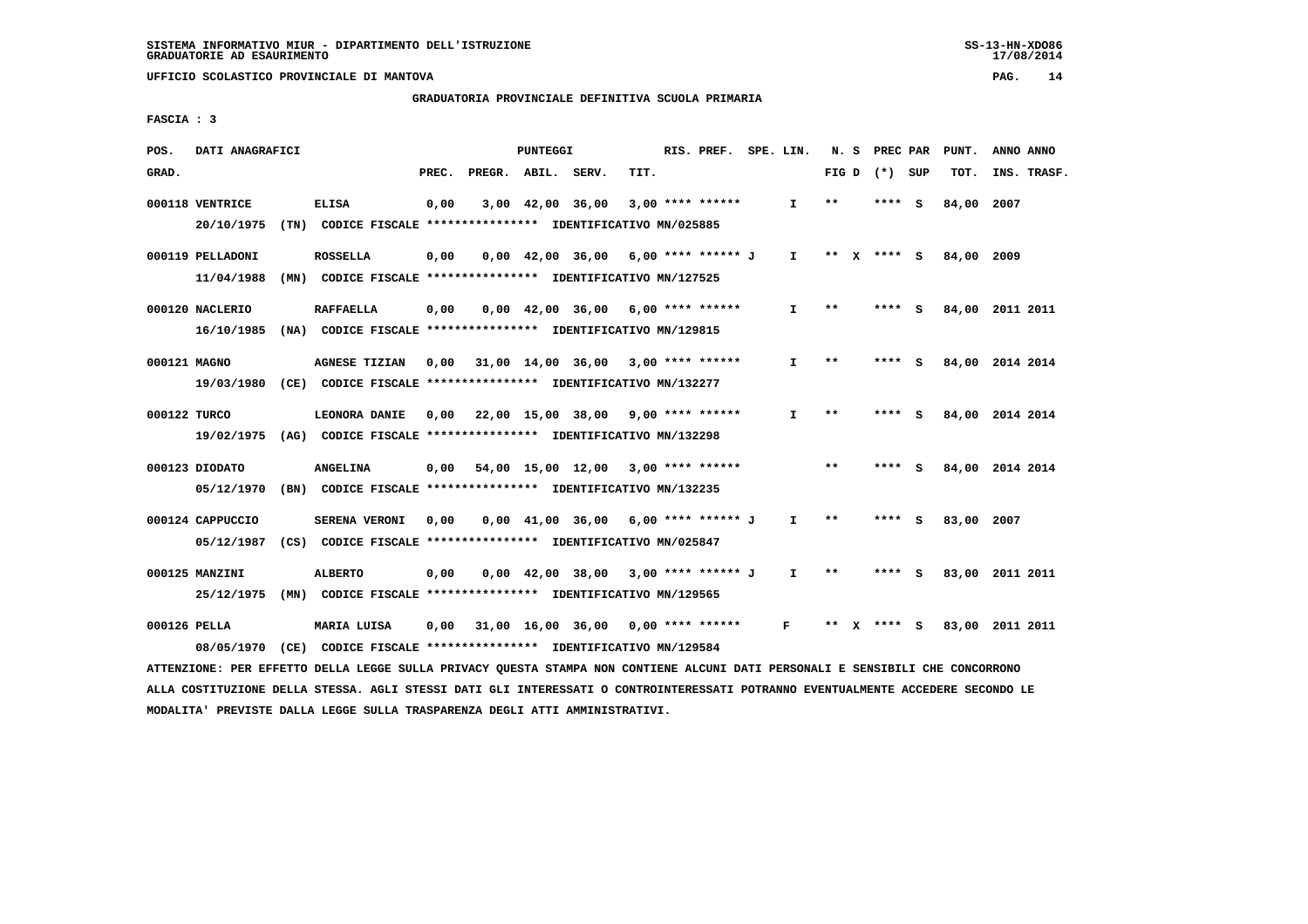#### **GRADUATORIA PROVINCIALE DEFINITIVA SCUOLA PRIMARIA**

 **FASCIA : 3**

| POS.  | DATI ANAGRAFICI                                                                                                               |                      |       |                    | PUNTEGGI |                                                                       |      | RIS. PREF.         | SPE. LIN.    | N.S   | PREC PAR    |     | PUNT.      | ANNO ANNO       |  |
|-------|-------------------------------------------------------------------------------------------------------------------------------|----------------------|-------|--------------------|----------|-----------------------------------------------------------------------|------|--------------------|--------------|-------|-------------|-----|------------|-----------------|--|
| GRAD. |                                                                                                                               |                      | PREC. | PREGR. ABIL. SERV. |          |                                                                       | TIT. |                    |              | FIG D | (*) SUP     |     | TOT.       | INS. TRASF.     |  |
|       | 000118 VENTRICE                                                                                                               | <b>ELISA</b>         | 0,00  |                    |          | 3,00 42,00 36,00                                                      |      | $3,00$ **** ****** | I.           | $* *$ | **** S      |     | 84,00      | 2007            |  |
|       | 20/10/1975                                                                                                                    |                      |       |                    |          | (TN) CODICE FISCALE **************** IDENTIFICATIVO MN/025885         |      |                    |              |       |             |     |            |                 |  |
|       | 000119 PELLADONI                                                                                                              | <b>ROSSELLA</b>      | 0,00  |                    |          | $0.00 \quad 42.00 \quad 36.00 \quad 6.00 \quad *** \quad *** \quad$ J |      |                    | I.           |       | ** X **** S |     | 84,00 2009 |                 |  |
|       | 11/04/1988                                                                                                                    |                      |       |                    |          | (MN) CODICE FISCALE **************** IDENTIFICATIVO MN/127525         |      |                    |              |       |             |     |            |                 |  |
|       | 000120 NACLERIO                                                                                                               | <b>RAFFAELLA</b>     | 0,00  |                    |          | $0,00$ 42,00 36,00 6,00 **** ******                                   |      |                    | I.           | $***$ | **** S      |     |            | 84,00 2011 2011 |  |
|       | 16/10/1985                                                                                                                    |                      |       |                    |          | (NA) CODICE FISCALE **************** IDENTIFICATIVO MN/129815         |      |                    |              |       |             |     |            |                 |  |
|       | 000121 MAGNO                                                                                                                  | <b>AGNESE TIZIAN</b> | 0,00  |                    |          | 31,00 14,00 36,00 3,00 **** ******                                    |      |                    | I.           | $***$ | **** S      |     |            | 84,00 2014 2014 |  |
|       | 19/03/1980                                                                                                                    |                      |       |                    |          | (CE) CODICE FISCALE **************** IDENTIFICATIVO MN/132277         |      |                    |              |       |             |     |            |                 |  |
|       | 000122 TURCO                                                                                                                  | LEONORA DANIE        | 0,00  |                    |          | 22,00 15,00 38,00 9,00 **** ******                                    |      |                    | $\mathbf{I}$ | $***$ | **** S      |     |            | 84,00 2014 2014 |  |
|       | 19/02/1975 (AG) CODICE FISCALE *************** IDENTIFICATIVO MN/132298                                                       |                      |       |                    |          |                                                                       |      |                    |              |       |             |     |            |                 |  |
|       | 000123 DIODATO                                                                                                                | ANGELINA             | 0,00  |                    |          | 54,00 15,00 12,00 3,00 **** ******                                    |      |                    |              | $* *$ | ****        | - S |            | 84,00 2014 2014 |  |
|       | 05/12/1970                                                                                                                    |                      |       |                    |          | (BN) CODICE FISCALE **************** IDENTIFICATIVO MN/132235         |      |                    |              |       |             |     |            |                 |  |
|       | 000124 CAPPUCCIO                                                                                                              | SERENA VERONI        | 0,00  |                    |          | $0.00 \quad 41.00 \quad 36.00 \quad 6.00 \quad *** \quad *** \quad J$ |      |                    | $\mathbf{I}$ | $* *$ | **** S      |     | 83,00      | 2007            |  |
|       | 05/12/1987                                                                                                                    |                      |       |                    |          | (CS) CODICE FISCALE *************** IDENTIFICATIVO MN/025847          |      |                    |              |       |             |     |            |                 |  |
|       | 000125 MANZINI                                                                                                                | <b>ALBERTO</b>       | 0.00  |                    |          | $0.00 \quad 42.00 \quad 38.00 \quad 3.00 \quad *** \quad *** \quad$   |      |                    | $\mathbf{I}$ | $* *$ | **** S      |     |            | 83,00 2011 2011 |  |
|       | 25/12/1975                                                                                                                    |                      |       |                    |          | (MN) CODICE FISCALE **************** IDENTIFICATIVO MN/129565         |      |                    |              |       |             |     |            |                 |  |
|       | 000126 PELLA                                                                                                                  | MARIA LUISA          | 0,00  |                    |          | $31,00$ $16,00$ $36,00$ $0,00$ $***$ **** *****                       |      |                    | F.           | ** X  | **** S      |     |            | 83,00 2011 2011 |  |
|       | 08/05/1970                                                                                                                    |                      |       |                    |          | (CE) CODICE FISCALE **************** IDENTIFICATIVO MN/129584         |      |                    |              |       |             |     |            |                 |  |
|       | ATTENZIONE: PER EFFETTO DELLA LEGGE SULLA PRIVACY QUESTA STAMPA NON CONTIENE ALCUNI DATI PERSONALI E SENSIBILI CHE CONCORRONO |                      |       |                    |          |                                                                       |      |                    |              |       |             |     |            |                 |  |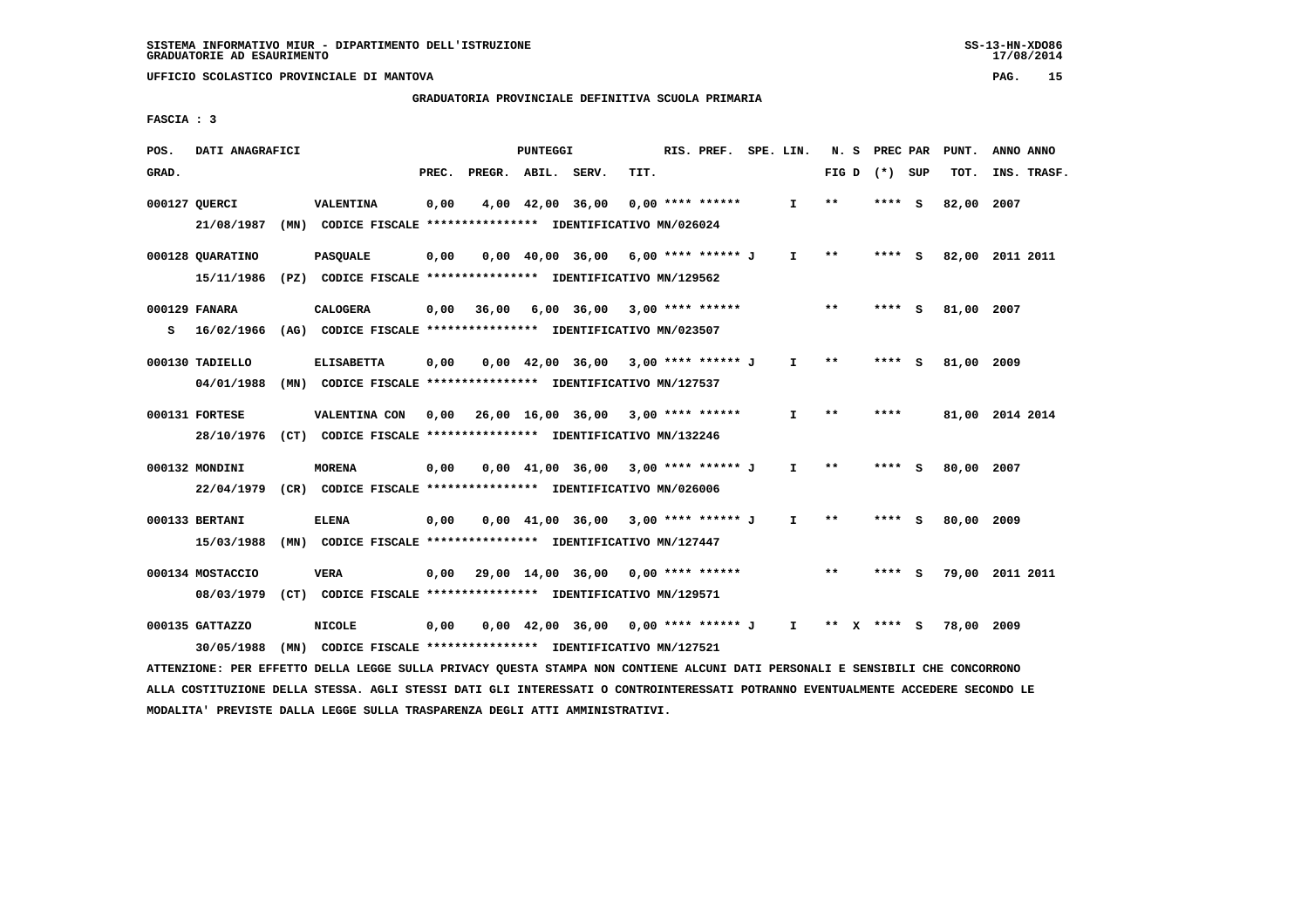#### **GRADUATORIA PROVINCIALE DEFINITIVA SCUOLA PRIMARIA**

 **FASCIA : 3**

| POS.  | DATI ANAGRAFICI  |      |                                                                                                                               |       |                                           | PUNTEGGI |                                                                     |      | RIS. PREF. SPE. LIN. |              |             | N. S PREC PAR   | PUNT.           | ANNO ANNO |             |
|-------|------------------|------|-------------------------------------------------------------------------------------------------------------------------------|-------|-------------------------------------------|----------|---------------------------------------------------------------------|------|----------------------|--------------|-------------|-----------------|-----------------|-----------|-------------|
| GRAD. |                  |      |                                                                                                                               | PREC. | PREGR. ABIL. SERV.                        |          |                                                                     | TIT. |                      |              |             | FIG D $(*)$ SUP | TOT.            |           | INS. TRASF. |
|       | 000127 QUERCI    |      | <b>VALENTINA</b>                                                                                                              | 0,00  |                                           |          | 4,00 42,00 36,00                                                    |      | 0,00 **** ******     | $\mathbf{I}$ | $* *$       | **** S          | 82,00 2007      |           |             |
|       | 21/08/1987       | (MN) | CODICE FISCALE **************** IDENTIFICATIVO MN/026024                                                                      |       |                                           |          |                                                                     |      |                      |              |             |                 |                 |           |             |
|       | 000128 QUARATINO |      | <b>PASQUALE</b>                                                                                                               | 0,00  |                                           |          | $0,00$ 40,00 36,00 6,00 **** ****** J                               |      |                      | $\mathbf{I}$ | $***$       | **** S          | 82,00 2011 2011 |           |             |
|       |                  |      | 15/11/1986 (PZ) CODICE FISCALE *************** IDENTIFICATIVO MN/129562                                                       |       |                                           |          |                                                                     |      |                      |              |             |                 |                 |           |             |
|       | 000129 FANARA    |      | CALOGERA                                                                                                                      | 0,00  | 36,00                                     |          | $6,00$ $36,00$ $3,00$ **** ******                                   |      |                      |              | $***$       | $***$ S         | 81,00 2007      |           |             |
| s     |                  |      | 16/02/1966 (AG) CODICE FISCALE *************** IDENTIFICATIVO MN/023507                                                       |       |                                           |          |                                                                     |      |                      |              |             |                 |                 |           |             |
|       | 000130 TADIELLO  |      | <b>ELISABETTA</b>                                                                                                             | 0,00  |                                           |          | $0,00$ 42,00 36,00 3,00 **** ****** J                               |      |                      | $\mathbf{I}$ | $* *$       | **** S          | 81,00 2009      |           |             |
|       | 04/01/1988       |      | (MN) CODICE FISCALE **************** IDENTIFICATIVO MN/127537                                                                 |       |                                           |          |                                                                     |      |                      |              |             |                 |                 |           |             |
|       | 000131 FORTESE   |      | VALENTINA CON 0,00                                                                                                            |       | 26,00 16,00 36,00 3,00 **** ******        |          |                                                                     |      |                      | $\mathbf{I}$ | $* *$       | ****            | 81,00 2014 2014 |           |             |
|       |                  |      | 28/10/1976 (CT) CODICE FISCALE *************** IDENTIFICATIVO MN/132246                                                       |       |                                           |          |                                                                     |      |                      |              |             |                 |                 |           |             |
|       | 000132 MONDINI   |      | <b>MORENA</b>                                                                                                                 | 0,00  |                                           |          | $0,00$ 41,00 36,00 3,00 **** ****** J                               |      |                      | $\mathbf{I}$ | $***$       | **** S          | 80,00 2007      |           |             |
|       |                  |      | 22/04/1979 (CR) CODICE FISCALE *************** IDENTIFICATIVO MN/026006                                                       |       |                                           |          |                                                                     |      |                      |              |             |                 |                 |           |             |
|       | 000133 BERTANI   |      | <b>ELENA</b>                                                                                                                  | 0,00  |                                           |          | $0.00 \quad 41.00 \quad 36.00 \quad 3.00 \quad *** \quad *** \quad$ |      |                      | $\mathbf{I}$ | $* *$       | **** S          | 80,00 2009      |           |             |
|       | 15/03/1988       |      | (MN) CODICE FISCALE **************** IDENTIFICATIVO MN/127447                                                                 |       |                                           |          |                                                                     |      |                      |              |             |                 |                 |           |             |
|       | 000134 MOSTACCIO |      | VERA                                                                                                                          |       | $0,00$ 29,00 14,00 36,00 0,00 **** ****** |          |                                                                     |      |                      |              | $***$       | **** S          | 79,00 2011 2011 |           |             |
|       | 08/03/1979       |      | (CT) CODICE FISCALE **************** IDENTIFICATIVO MN/129571                                                                 |       |                                           |          |                                                                     |      |                      |              |             |                 |                 |           |             |
|       | 000135 GATTAZZO  |      | <b>NICOLE</b>                                                                                                                 | 0,00  |                                           |          | $0,00$ 42,00 36,00 0,00 **** ****** J I                             |      |                      |              | ** x **** S |                 | 78,00 2009      |           |             |
|       | 30/05/1988       |      | (MN) CODICE FISCALE **************** IDENTIFICATIVO MN/127521                                                                 |       |                                           |          |                                                                     |      |                      |              |             |                 |                 |           |             |
|       |                  |      | ATTENZIONE: PER EFFETTO DELLA LEGGE SULLA PRIVACY OUESTA STAMPA NON CONTIENE ALCUNI DATI PERSONALI E SENSIBILI CHE CONCORRONO |       |                                           |          |                                                                     |      |                      |              |             |                 |                 |           |             |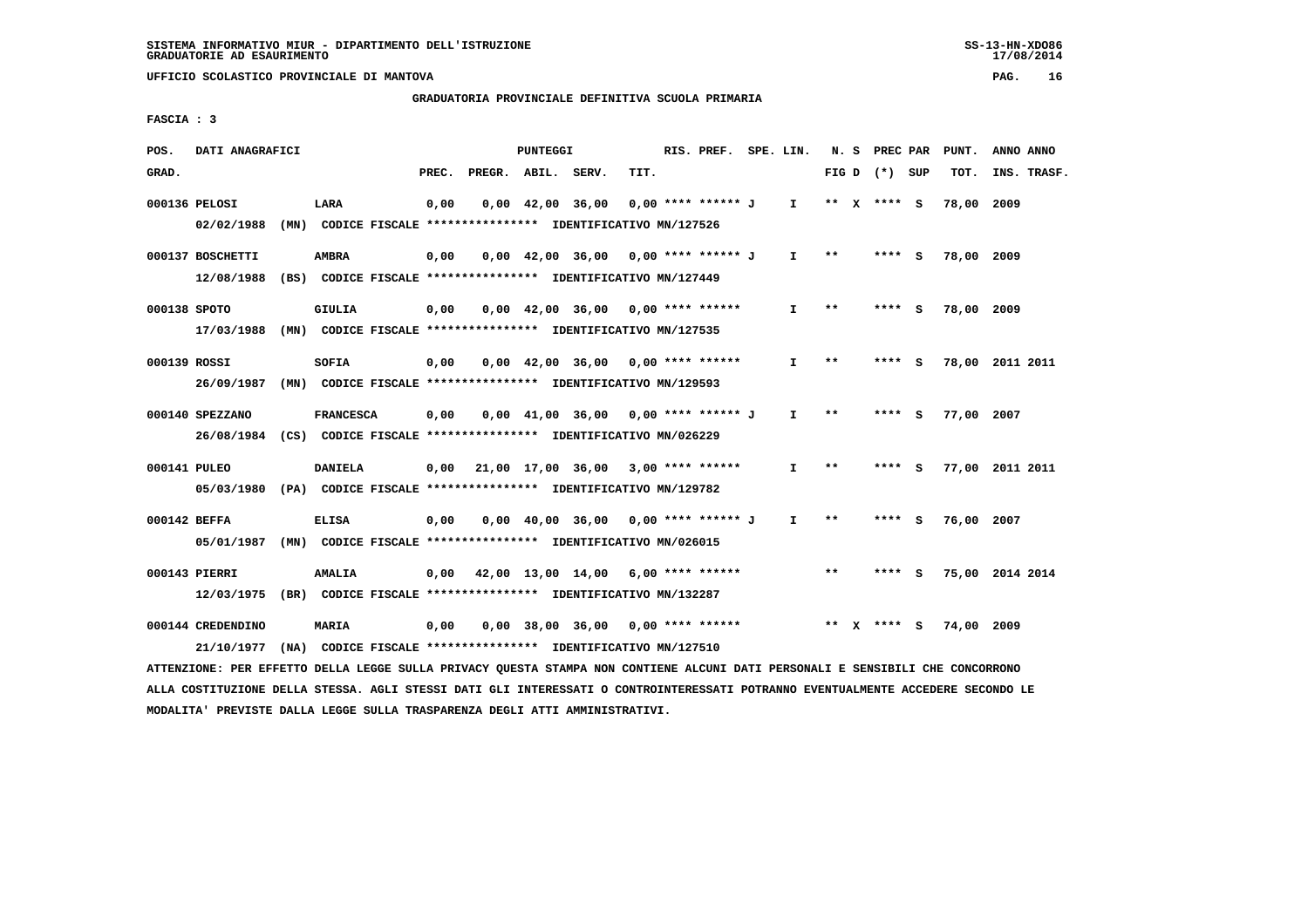# **GRADUATORIA PROVINCIALE DEFINITIVA SCUOLA PRIMARIA**

 **FASCIA : 3**

| POS.  | DATI ANAGRAFICI                                                                                                               |                  |       |                    | PUNTEGGI |                                                                        |      | RIS. PREF. SPE. LIN.             |              |                   | N. S PREC PAR   | PUNT.      | ANNO ANNO       |  |
|-------|-------------------------------------------------------------------------------------------------------------------------------|------------------|-------|--------------------|----------|------------------------------------------------------------------------|------|----------------------------------|--------------|-------------------|-----------------|------------|-----------------|--|
| GRAD. |                                                                                                                               |                  | PREC. | PREGR. ABIL. SERV. |          |                                                                        | TIT. |                                  |              |                   | FIG D $(*)$ SUP | TOT.       | INS. TRASF.     |  |
|       | 000136 PELOSI                                                                                                                 | LARA             | 0,00  |                    |          | 0,00 42,00 36,00                                                       |      | 0,00 **** ****** J I ** X **** S |              |                   |                 | 78,00 2009 |                 |  |
|       | 02/02/1988                                                                                                                    |                  |       |                    |          | (MN) CODICE FISCALE **************** IDENTIFICATIVO MN/127526          |      |                                  |              |                   |                 |            |                 |  |
|       | 000137 BOSCHETTI                                                                                                              | <b>AMBRA</b>     | 0,00  |                    |          | $0,00$ 42,00 36,00 0,00 **** ****** J                                  |      |                                  |              | $I \quad * \quad$ | **** S          | 78,00 2009 |                 |  |
|       | 12/08/1988 (BS) CODICE FISCALE *************** IDENTIFICATIVO MN/127449                                                       |                  |       |                    |          |                                                                        |      |                                  |              |                   |                 |            |                 |  |
|       | 000138 SPOTO                                                                                                                  | GIULIA           | 0,00  |                    |          | 0,00 42,00 36,00 0,00 **** ******                                      |      |                                  | $\mathbf{I}$ | $**$              | **** S          | 78,00 2009 |                 |  |
|       | 17/03/1988                                                                                                                    |                  |       |                    |          | (MN) CODICE FISCALE **************** IDENTIFICATIVO MN/127535          |      |                                  |              |                   |                 |            |                 |  |
|       | 000139 ROSSI                                                                                                                  | SOFIA            | 0,00  |                    |          | $0,00$ 42,00 36,00 0,00 **** ******                                    |      |                                  | $\mathbf{I}$ | **                | **** S          |            | 78,00 2011 2011 |  |
|       | 26/09/1987 (MN) CODICE FISCALE *************** IDENTIFICATIVO MN/129593                                                       |                  |       |                    |          |                                                                        |      |                                  |              |                   |                 |            |                 |  |
|       | 000140 SPEZZANO                                                                                                               | <b>FRANCESCA</b> | 0,00  |                    |          | 0,00 41,00 36,00 0,00 **** ****** J                                    |      |                                  | $\mathbf{I}$ | $\star \star$     | **** S          | 77,00 2007 |                 |  |
|       | 26/08/1984 (CS) CODICE FISCALE *************** IDENTIFICATIVO MN/026229                                                       |                  |       |                    |          |                                                                        |      |                                  |              |                   |                 |            |                 |  |
|       | 000141 PULEO                                                                                                                  | <b>DANIELA</b>   |       |                    |          | $0,00$ 21,00 17,00 36,00 3,00 **** ******                              |      |                                  | $\mathbf{I}$ | $**$              | **** S          |            | 77,00 2011 2011 |  |
|       | 05/03/1980 (PA) CODICE FISCALE **************** IDENTIFICATIVO MN/129782                                                      |                  |       |                    |          |                                                                        |      |                                  |              |                   |                 |            |                 |  |
|       | 000142 BEFFA                                                                                                                  | <b>ELISA</b>     | 0,00  |                    |          | 0,00 40,00 36,00 0,00 **** ****** J                                    |      |                                  | $\mathbf{I}$ | **                | **** S          | 76,00 2007 |                 |  |
|       | 05/01/1987 (MN) CODICE FISCALE *************** IDENTIFICATIVO MN/026015                                                       |                  |       |                    |          |                                                                        |      |                                  |              |                   |                 |            |                 |  |
|       | 000143 PIERRI                                                                                                                 | <b>AMALIA</b>    |       |                    |          | $0,00$ 42,00 13,00 14,00 6,00 **** ******                              |      |                                  |              | $* *$             | **** S          |            | 75,00 2014 2014 |  |
|       | 12/03/1975 (BR) CODICE FISCALE **************** IDENTIFICATIVO MN/132287                                                      |                  |       |                    |          |                                                                        |      |                                  |              |                   |                 |            |                 |  |
|       | 000144 CREDENDINO                                                                                                             | MARIA            | 0,00  |                    |          | 0,00 38,00 36,00 0,00 **** ******               ** x **** S 74,00 2009 |      |                                  |              |                   |                 |            |                 |  |
|       | 21/10/1977                                                                                                                    |                  |       |                    |          | (NA) CODICE FISCALE **************** IDENTIFICATIVO MN/127510          |      |                                  |              |                   |                 |            |                 |  |
|       | ATTENZIONE: PER EFFETTO DELLA LEGGE SULLA PRIVACY QUESTA STAMPA NON CONTIENE ALCUNI DATI PERSONALI E SENSIBILI CHE CONCORRONO |                  |       |                    |          |                                                                        |      |                                  |              |                   |                 |            |                 |  |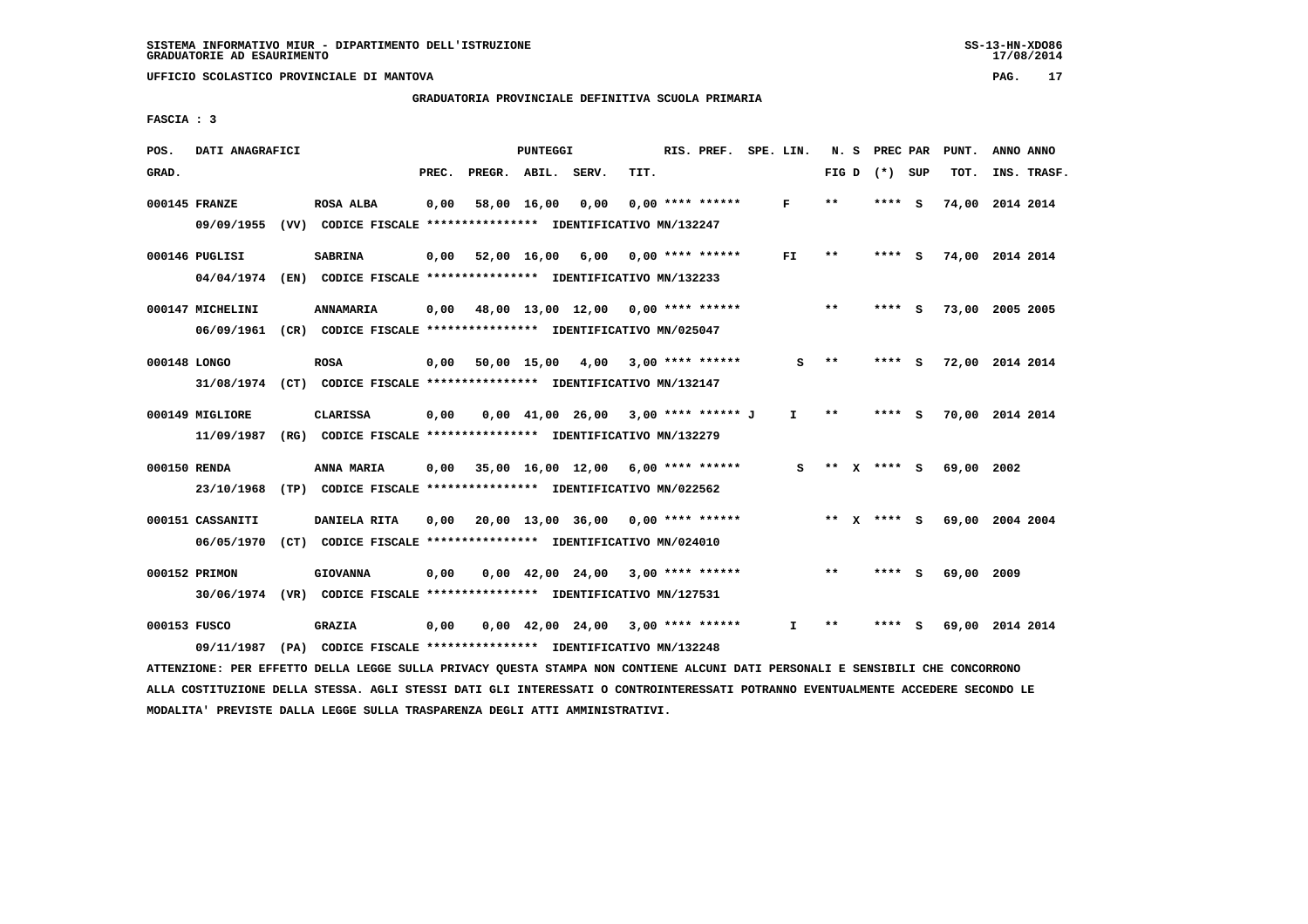#### **GRADUATORIA PROVINCIALE DEFINITIVA SCUOLA PRIMARIA**

 **FASCIA : 3**

| POS.         | DATI ANAGRAFICI  |                                                                                                                               |       |                                           | <b>PUNTEGGI</b> |                                       |      | RIS. PREF. SPE. LIN. |              |       | N. S PREC PAR   | PUNT.                       | ANNO ANNO |             |
|--------------|------------------|-------------------------------------------------------------------------------------------------------------------------------|-------|-------------------------------------------|-----------------|---------------------------------------|------|----------------------|--------------|-------|-----------------|-----------------------------|-----------|-------------|
| GRAD.        |                  |                                                                                                                               | PREC. | PREGR. ABIL. SERV.                        |                 |                                       | TIT. |                      |              |       | FIG D $(*)$ SUP | TOT.                        |           | INS. TRASF. |
|              | 000145 FRANZE    | ROSA ALBA                                                                                                                     | 0,00  |                                           |                 | 58,00 16,00 0,00                      |      | $0,00$ **** ******   | F            | $* *$ | **** S          | 74,00 2014 2014             |           |             |
|              |                  | 09/09/1955 (VV) CODICE FISCALE *************** IDENTIFICATIVO MN/132247                                                       |       |                                           |                 |                                       |      |                      |              |       |                 |                             |           |             |
|              | 000146 PUGLISI   | <b>SABRINA</b>                                                                                                                |       | $0,00$ 52,00 16,00 6,00 0,00 **** ******  |                 |                                       |      |                      | FI.          | **    | **** S          | 74,00 2014 2014             |           |             |
|              |                  | 04/04/1974 (EN) CODICE FISCALE *************** IDENTIFICATIVO MN/132233                                                       |       |                                           |                 |                                       |      |                      |              |       |                 |                             |           |             |
|              | 000147 MICHELINI | <b>ANNAMARIA</b>                                                                                                              |       | $0,00$ 48,00 13,00 12,00 0,00 **** ****** |                 |                                       |      |                      |              | $***$ | $***$ S         | 73,00 2005 2005             |           |             |
|              |                  | 06/09/1961 (CR) CODICE FISCALE *************** IDENTIFICATIVO MN/025047                                                       |       |                                           |                 |                                       |      |                      |              |       |                 |                             |           |             |
| 000148 LONGO |                  | <b>ROSA</b>                                                                                                                   |       | 0,00 50,00 15,00 4,00                     |                 |                                       |      | $3,00$ **** ******   | s            | $***$ | $***$ S         | 72,00 2014 2014             |           |             |
|              |                  | 31/08/1974 (CT) CODICE FISCALE *************** IDENTIFICATIVO MN/132147                                                       |       |                                           |                 |                                       |      |                      |              |       |                 |                             |           |             |
|              | 000149 MIGLIORE  | <b>CLARISSA</b>                                                                                                               | 0,00  |                                           |                 | $0,00$ 41,00 26,00 3,00 **** ****** J |      |                      | I.           | $***$ | **** S          | 70,00 2014 2014             |           |             |
|              |                  | 11/09/1987 (RG) CODICE FISCALE *************** IDENTIFICATIVO MN/132279                                                       |       |                                           |                 |                                       |      |                      |              |       |                 |                             |           |             |
| 000150 RENDA |                  | ANNA MARIA                                                                                                                    | 0,00  | 35,00 16,00 12,00 6,00 **** ******        |                 |                                       |      |                      | s            |       | ** $X$ **** S   | 69,00 2002                  |           |             |
|              |                  | 23/10/1968 (TP) CODICE FISCALE *************** IDENTIFICATIVO MN/022562                                                       |       |                                           |                 |                                       |      |                      |              |       |                 |                             |           |             |
|              | 000151 CASSANITI | DANIELA RITA                                                                                                                  |       | $0,00$ 20,00 13,00 36,00 0,00 **** ****** |                 |                                       |      |                      |              |       |                 | ** X **** S 69,00 2004 2004 |           |             |
|              |                  | 06/05/1970 (CT) CODICE FISCALE *************** IDENTIFICATIVO MN/024010                                                       |       |                                           |                 |                                       |      |                      |              |       |                 |                             |           |             |
|              | 000152 PRIMON    | <b>GIOVANNA</b>                                                                                                               | 0,00  |                                           |                 | $0,00$ 42,00 24,00 3,00 **** ******   |      |                      |              | $* *$ | **** S          | 69,00 2009                  |           |             |
|              |                  | 30/06/1974 (VR) CODICE FISCALE *************** IDENTIFICATIVO MN/127531                                                       |       |                                           |                 |                                       |      |                      |              |       |                 |                             |           |             |
| 000153 FUSCO |                  | <b>GRAZIA</b>                                                                                                                 | 0,00  |                                           |                 | $0,00$ 42,00 24,00 3,00 **** ******   |      |                      | $\mathbf{I}$ | $***$ | **** S          | 69,00 2014 2014             |           |             |
|              |                  | 09/11/1987 (PA) CODICE FISCALE *************** IDENTIFICATIVO MN/132248                                                       |       |                                           |                 |                                       |      |                      |              |       |                 |                             |           |             |
|              |                  | ATTENZIONE: PER EFFETTO DELLA LEGGE SULLA PRIVACY QUESTA STAMPA NON CONTIENE ALCUNI DATI PERSONALI E SENSIBILI CHE CONCORRONO |       |                                           |                 |                                       |      |                      |              |       |                 |                             |           |             |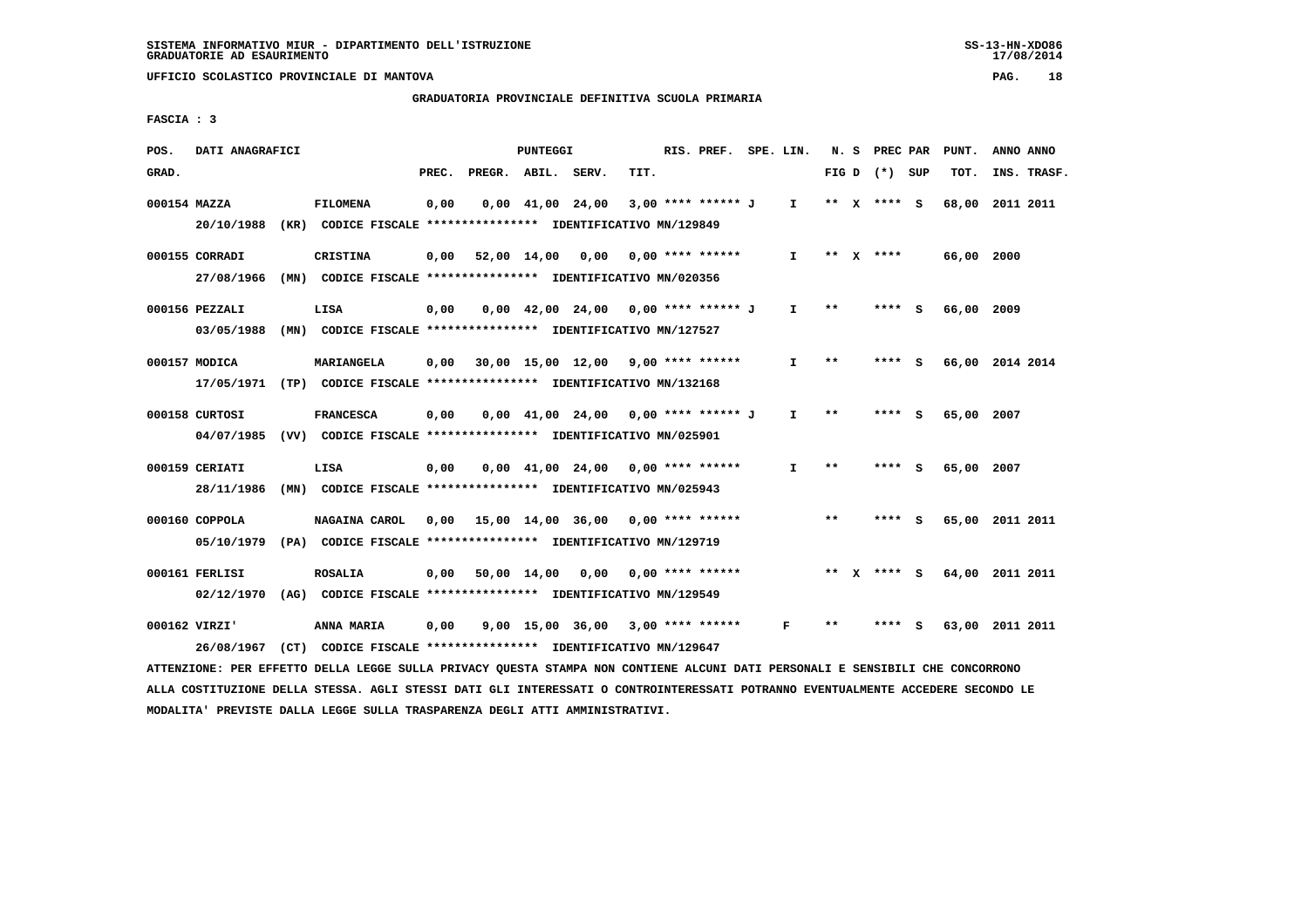**GRADUATORIA PROVINCIALE DEFINITIVA SCUOLA PRIMARIA**

 **FASCIA : 3**

| POS.  | DATI ANAGRAFICI |                                                                                                                                 |       |                                           | PUNTEGGI    |                                       |      | RIS. PREF. SPE. LIN. |              |       | N. S PREC PAR     | PUNT.      | ANNO ANNO       |
|-------|-----------------|---------------------------------------------------------------------------------------------------------------------------------|-------|-------------------------------------------|-------------|---------------------------------------|------|----------------------|--------------|-------|-------------------|------------|-----------------|
| GRAD. |                 |                                                                                                                                 | PREC. | PREGR. ABIL. SERV.                        |             |                                       | TIT. |                      |              |       | FIG $D$ $(*)$ SUP | TOT.       | INS. TRASF.     |
|       | 000154 MAZZA    | <b>FILOMENA</b>                                                                                                                 | 0,00  |                                           |             | $0,00 \quad 41,00 \quad 24,00$        |      | 3,00 **** ****** J   | $\mathbf{I}$ |       | ** X **** S       | 68,00      | 2011 2011       |
|       |                 | 20/10/1988 (KR) CODICE FISCALE *************** IDENTIFICATIVO MN/129849                                                         |       |                                           |             |                                       |      |                      |              |       |                   |            |                 |
|       | 000155 CORRADI  | <b>CRISTINA</b>                                                                                                                 | 0,00  |                                           | 52,00 14,00 | 0,00                                  |      | $0.00$ **** ******   | $\mathbf{I}$ |       | ** x ****         | 66,00 2000 |                 |
|       |                 | 27/08/1966 (MN) CODICE FISCALE *************** IDENTIFICATIVO MN/020356                                                         |       |                                           |             |                                       |      |                      |              |       |                   |            |                 |
|       | 000156 PEZZALI  | LISA                                                                                                                            | 0,00  |                                           |             | $0,00$ 42,00 24,00 0,00 **** ****** J |      |                      | $\mathbf{I}$ | $* *$ | $***$ S           | 66,00 2009 |                 |
|       |                 | 03/05/1988 (MN) CODICE FISCALE *************** IDENTIFICATIVO MN/127527                                                         |       |                                           |             |                                       |      |                      |              |       |                   |            |                 |
|       | 000157 MODICA   | MARIANGELA                                                                                                                      | 0,00  |                                           |             | $30,00$ 15,00 12,00 9,00 **** ******  |      |                      | Ι.           | $* *$ | **** S            |            | 66,00 2014 2014 |
|       |                 | 17/05/1971 (TP) CODICE FISCALE *************** IDENTIFICATIVO MN/132168                                                         |       |                                           |             |                                       |      |                      |              |       |                   |            |                 |
|       | 000158 CURTOSI  | <b>FRANCESCA</b>                                                                                                                | 0,00  |                                           |             | $0,00$ 41,00 24,00 0,00 **** ****** J |      |                      | $\mathbf{I}$ | $* *$ | **** S            | 65,00 2007 |                 |
|       |                 | 04/07/1985 (VV) CODICE FISCALE *************** IDENTIFICATIVO MN/025901                                                         |       |                                           |             |                                       |      |                      |              |       |                   |            |                 |
|       | 000159 CERIATI  | LISA                                                                                                                            | 0,00  |                                           |             | $0,00$ 41,00 24,00 0,00 **** ******   |      |                      | I.           | $* *$ | ****              | 65,00 2007 |                 |
|       |                 | 28/11/1986 (MN) CODICE FISCALE *************** IDENTIFICATIVO MN/025943                                                         |       |                                           |             |                                       |      |                      |              |       |                   |            |                 |
|       | 000160 COPPOLA  | NAGAINA CAROL                                                                                                                   |       | $0,00$ 15,00 14,00 36,00 0,00 **** ****** |             |                                       |      |                      |              | $***$ | **** S            |            | 65,00 2011 2011 |
|       |                 | 05/10/1979 (PA) CODICE FISCALE *************** IDENTIFICATIVO MN/129719                                                         |       |                                           |             |                                       |      |                      |              |       |                   |            |                 |
|       | 000161 FERLISI  | <b>ROSALIA</b>                                                                                                                  |       | 0,00 50,00 14,00 0,00                     |             |                                       |      | $0.00$ **** ******   |              |       | ** x **** s       |            | 64,00 2011 2011 |
|       |                 | 02/12/1970 (AG) CODICE FISCALE *************** IDENTIFICATIVO MN/129549                                                         |       |                                           |             |                                       |      |                      |              |       |                   |            |                 |
|       |                 |                                                                                                                                 |       |                                           |             |                                       |      |                      |              |       |                   |            |                 |
|       | 000162 VIRZI'   | ANNA MARIA                                                                                                                      | 0,00  |                                           |             | $9,00$ 15,00 36,00 3,00 **** ******   |      |                      | F            | **    | **** S            |            | 63,00 2011 2011 |
|       |                 | 26/08/1967 (CT) CODICE FISCALE *************** IDENTIFICATIVO MN/129647                                                         |       |                                           |             |                                       |      |                      |              |       |                   |            |                 |
|       |                 | ATTENZIONE: PER EFFETTO DELLA LEGGE SULLA PRIVACY OUESTA STAMPA NON CONTIENE ALCUNI DATI PERSONALI E SENSIBILI CHE CONCORRONO   |       |                                           |             |                                       |      |                      |              |       |                   |            |                 |
|       |                 | ALLA COSTITUZIONE DELLA STESSA. AGLI STESSI DATI GLI INTERESSATI O CONTROINTERESSATI POTRANNO EVENTUALMENTE ACCEDERE SECONDO LE |       |                                           |             |                                       |      |                      |              |       |                   |            |                 |

 **MODALITA' PREVISTE DALLA LEGGE SULLA TRASPARENZA DEGLI ATTI AMMINISTRATIVI.**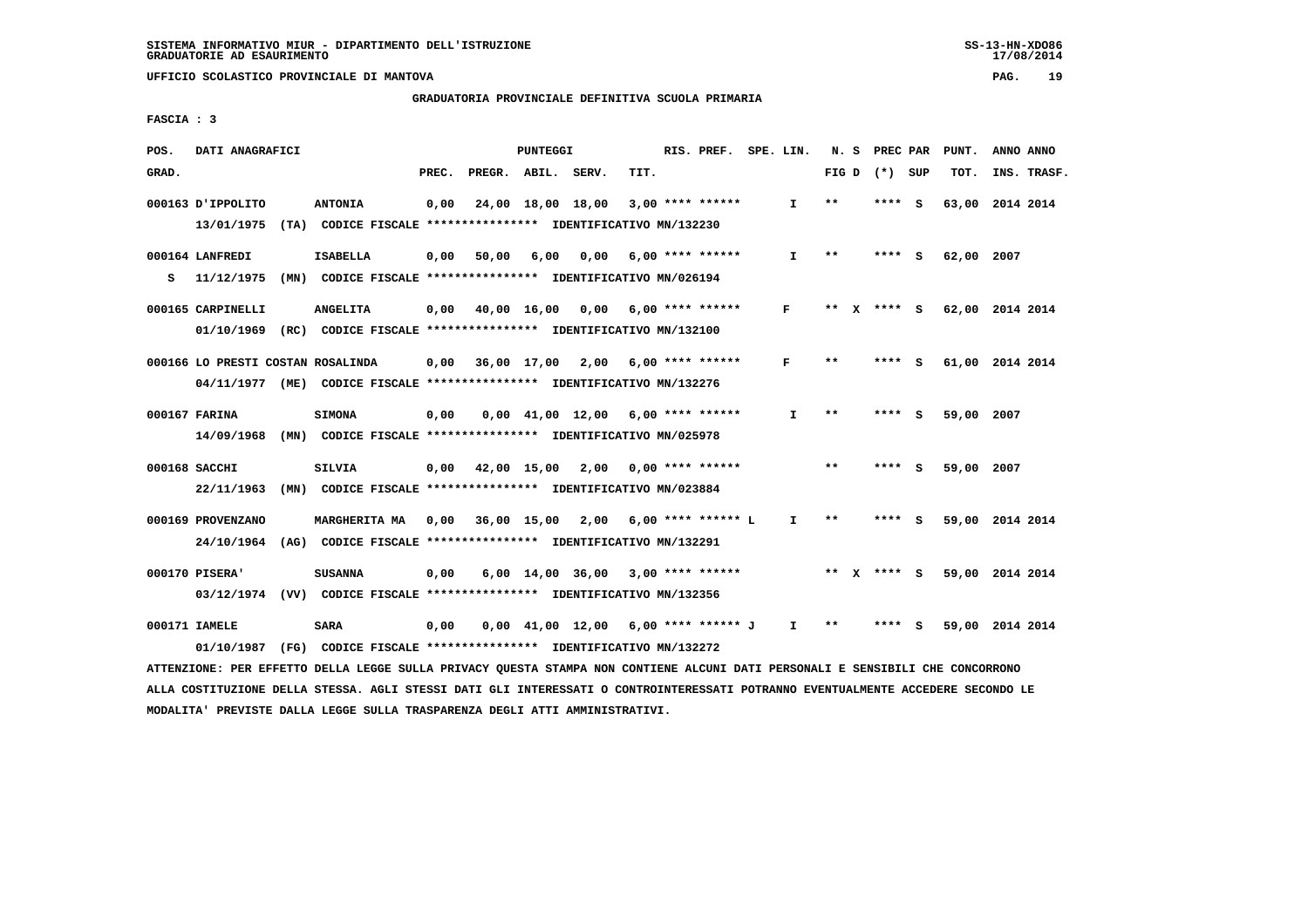#### **GRADUATORIA PROVINCIALE DEFINITIVA SCUOLA PRIMARIA**

 **FASCIA : 3**

| POS.  | DATI ANAGRAFICI                                                                                                               |                                                               |       |                    | PUNTEGGI |                                                                               |      | RIS. PREF. SPE. LIN. |              |       | N. S PREC PAR   | PUNT.           | ANNO ANNO |             |
|-------|-------------------------------------------------------------------------------------------------------------------------------|---------------------------------------------------------------|-------|--------------------|----------|-------------------------------------------------------------------------------|------|----------------------|--------------|-------|-----------------|-----------------|-----------|-------------|
| GRAD. |                                                                                                                               |                                                               | PREC. | PREGR. ABIL. SERV. |          |                                                                               | TIT. |                      |              |       | FIG D $(*)$ SUP | TOT.            |           | INS. TRASF. |
|       | 000163 D'IPPOLITO                                                                                                             | <b>ANTONIA</b>                                                | 0,00  |                    |          | 24,00 18,00 18,00                                                             |      | $3,00$ **** ******   | $\mathbf{I}$ | **    | $***$ S         | 63,00           | 2014 2014 |             |
|       | 13/01/1975 (TA) CODICE FISCALE *************** IDENTIFICATIVO MN/132230                                                       |                                                               |       |                    |          |                                                                               |      |                      |              |       |                 |                 |           |             |
|       | 000164 LANFREDI                                                                                                               | <b>ISABELLA</b>                                               | 0,00  |                    |          | 50,00 6,00 0,00 6,00 **** ******                                              |      |                      | $\mathbf{I}$ | $* *$ | $***$ S         | 62,00 2007      |           |             |
| s     | 11/12/1975 (MN) CODICE FISCALE **************** IDENTIFICATIVO MN/026194                                                      |                                                               |       |                    |          |                                                                               |      |                      |              |       |                 |                 |           |             |
|       |                                                                                                                               |                                                               |       |                    |          |                                                                               |      |                      |              |       |                 |                 |           |             |
|       | 000165 CARPINELLI                                                                                                             | <b>ANGELITA</b>                                               |       |                    |          | $0,00$ 40,00 16,00 0,00 6,00 **** ******                                      |      |                      | F            |       | ** x **** S     | 62,00 2014 2014 |           |             |
|       | 01/10/1969 (RC) CODICE FISCALE *************** IDENTIFICATIVO MN/132100                                                       |                                                               |       |                    |          |                                                                               |      |                      |              |       |                 |                 |           |             |
|       | 000166 LO PRESTI COSTAN ROSALINDA                                                                                             |                                                               | 0,00  |                    |          | $36,00$ 17,00 2,00 6,00 **** ******                                           |      |                      | F            | $* *$ | **** S          | 61,00 2014 2014 |           |             |
|       | 04/11/1977 (ME) CODICE FISCALE *************** IDENTIFICATIVO MN/132276                                                       |                                                               |       |                    |          |                                                                               |      |                      |              |       |                 |                 |           |             |
|       |                                                                                                                               |                                                               |       |                    |          |                                                                               |      |                      |              |       |                 |                 |           |             |
|       | 000167 FARINA                                                                                                                 | <b>SIMONA</b>                                                 | 0,00  |                    |          | $0,00$ 41,00 12,00 6,00 **** ******                                           |      |                      | $\mathbf{I}$ | $***$ | $***$ S         | 59,00 2007      |           |             |
|       | 14/09/1968 (MN) CODICE FISCALE *************** IDENTIFICATIVO MN/025978                                                       |                                                               |       |                    |          |                                                                               |      |                      |              |       |                 |                 |           |             |
|       | 000168 SACCHI                                                                                                                 | SILVIA                                                        |       |                    |          | $0,00$ 42,00 15,00 2,00 0,00 **** ******                                      |      |                      |              | $***$ | $***$ S         | 59,00 2007      |           |             |
|       | 22/11/1963 (MN) CODICE FISCALE *************** IDENTIFICATIVO MN/023884                                                       |                                                               |       |                    |          |                                                                               |      |                      |              |       |                 |                 |           |             |
|       |                                                                                                                               |                                                               |       |                    |          |                                                                               |      |                      |              |       |                 |                 |           |             |
|       | 000169 PROVENZANO                                                                                                             | <b>MARGHERITA MA</b>                                          |       |                    |          | 0,00 36,00 15,00 2,00 6,00 **** ****** L                                      |      |                      | $\mathbf{I}$ | $* *$ | $***5$          | 59,00 2014 2014 |           |             |
|       | 24/10/1964 (AG) CODICE FISCALE *************** IDENTIFICATIVO MN/132291                                                       |                                                               |       |                    |          |                                                                               |      |                      |              |       |                 |                 |           |             |
|       | 000170 PISERA'                                                                                                                | <b>SUSANNA</b>                                                | 0,00  |                    |          | $6,00$ 14,00 36,00 3,00 **** ******                                           |      |                      |              |       | ** X **** S     | 59,00 2014 2014 |           |             |
|       | 03/12/1974 (VV) CODICE FISCALE *************** IDENTIFICATIVO MN/132356                                                       |                                                               |       |                    |          |                                                                               |      |                      |              |       |                 |                 |           |             |
|       |                                                                                                                               |                                                               |       |                    |          |                                                                               |      |                      |              |       |                 |                 |           |             |
|       | 000171 IAMELE                                                                                                                 | SARA                                                          | 0,00  |                    |          | $0.00 \quad 41.00 \quad 12.00 \quad 6.00 \quad *** \quad *** \quad J \quad I$ |      |                      |              | $***$ | **** S          | 59,00 2014 2014 |           |             |
|       | 01/10/1987                                                                                                                    | (FG) CODICE FISCALE **************** IDENTIFICATIVO MN/132272 |       |                    |          |                                                                               |      |                      |              |       |                 |                 |           |             |
|       | ATTENZIONE: PER EFFETTO DELLA LEGGE SULLA PRIVACY QUESTA STAMPA NON CONTIENE ALCUNI DATI PERSONALI E SENSIBILI CHE CONCORRONO |                                                               |       |                    |          |                                                                               |      |                      |              |       |                 |                 |           |             |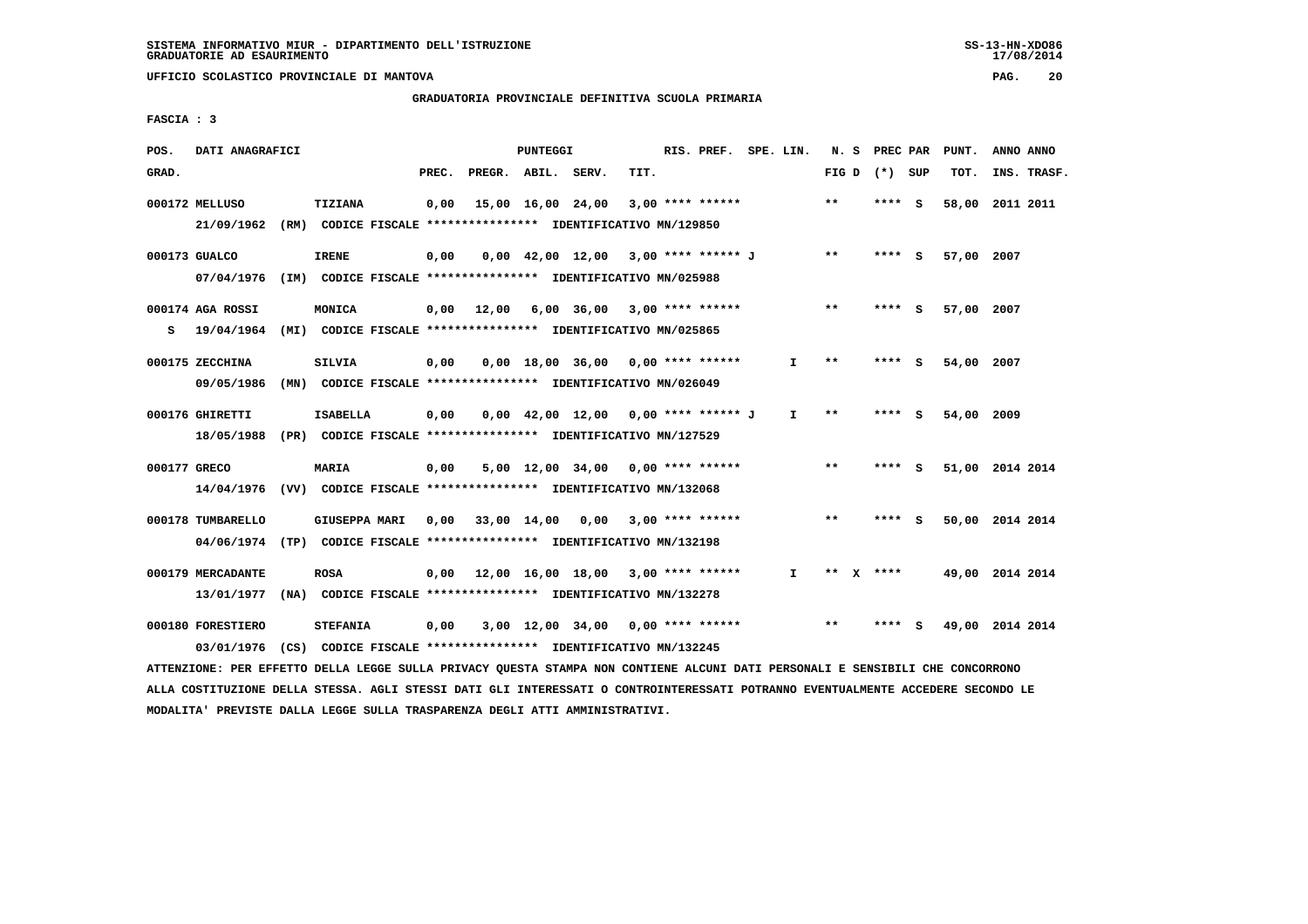# **GRADUATORIA PROVINCIALE DEFINITIVA SCUOLA PRIMARIA**

 **FASCIA : 3**

| POS.         | DATI ANAGRAFICI                                                                                                               |                                                              |       |                    | <b>PUNTEGGI</b> |                                                                     |      | RIS. PREF. SPE. LIN. |              |       |      | N. S PREC PAR   | PUNT.           | ANNO ANNO |             |
|--------------|-------------------------------------------------------------------------------------------------------------------------------|--------------------------------------------------------------|-------|--------------------|-----------------|---------------------------------------------------------------------|------|----------------------|--------------|-------|------|-----------------|-----------------|-----------|-------------|
| GRAD.        |                                                                                                                               |                                                              | PREC. | PREGR. ABIL. SERV. |                 |                                                                     | TIT. |                      |              |       |      | FIG D $(*)$ SUP | TOT.            |           | INS. TRASF. |
|              | 000172 MELLUSO<br>21/09/1962 (RM) CODICE FISCALE *************** IDENTIFICATIVO MN/129850                                     | TIZIANA                                                      | 0,00  |                    |                 | 15,00 16,00 24,00                                                   |      | $3,00$ **** ******   |              | $***$ |      | **** S          | 58,00 2011 2011 |           |             |
|              |                                                                                                                               |                                                              |       |                    |                 |                                                                     |      |                      |              |       |      |                 |                 |           |             |
|              | 000173 GUALCO                                                                                                                 | <b>IRENE</b>                                                 | 0,00  |                    |                 | $0,00$ 42,00 12,00 3,00 **** ****** J                               |      |                      |              | $* *$ |      | **** S          | 57,00 2007      |           |             |
|              | 07/04/1976 (IM) CODICE FISCALE *************** IDENTIFICATIVO MN/025988                                                       |                                                              |       |                    |                 |                                                                     |      |                      |              |       |      |                 |                 |           |             |
|              | 000174 AGA ROSSI                                                                                                              | MONICA                                                       |       | $0,00$ 12,00       |                 | 6,00 36,00                                                          |      | $3,00$ **** ******   |              | $***$ |      | **** S          | 57,00 2007      |           |             |
| s            | 19/04/1964 (MI) CODICE FISCALE *************** IDENTIFICATIVO MN/025865                                                       |                                                              |       |                    |                 |                                                                     |      |                      |              |       |      |                 |                 |           |             |
|              | 000175 ZECCHINA                                                                                                               | <b>SILVIA</b>                                                | 0,00  |                    |                 | $0,00$ 18,00 36,00 0,00 **** ******                                 |      |                      | I.           | $* *$ |      | **** S          | 54,00 2007      |           |             |
|              | 09/05/1986                                                                                                                    | (MN) CODICE FISCALE *************** IDENTIFICATIVO MN/026049 |       |                    |                 |                                                                     |      |                      |              |       |      |                 |                 |           |             |
|              |                                                                                                                               |                                                              |       |                    |                 |                                                                     |      |                      |              |       |      |                 |                 |           |             |
|              | 000176 GHIRETTI<br>18/05/1988 (PR) CODICE FISCALE *************** IDENTIFICATIVO MN/127529                                    | <b>ISABELLA</b>                                              | 0,00  |                    |                 | $0.00 \quad 42.00 \quad 12.00 \quad 0.00 \quad *** \quad *** \quad$ |      |                      | $\mathbf{I}$ | $***$ |      | $***5$          | 54,00 2009      |           |             |
|              |                                                                                                                               |                                                              |       |                    |                 |                                                                     |      |                      |              |       |      |                 |                 |           |             |
| 000177 GRECO |                                                                                                                               | MARIA                                                        | 0,00  |                    |                 | $5,00$ 12,00 34,00 0,00 **** ******                                 |      |                      |              | $***$ |      | **** S          | 51,00 2014 2014 |           |             |
|              | 14/04/1976 (VV) CODICE FISCALE *************** IDENTIFICATIVO MN/132068                                                       |                                                              |       |                    |                 |                                                                     |      |                      |              |       |      |                 |                 |           |             |
|              | 000178 TUMBARELLO                                                                                                             | <b>GIUSEPPA MARI</b>                                         |       |                    |                 | 0,00 33,00 14,00 0,00                                               |      | $3,00$ **** ******   |              | $* *$ |      | **** S          | 50,00 2014 2014 |           |             |
|              | 04/06/1974 (TP) CODICE FISCALE *************** IDENTIFICATIVO MN/132198                                                       |                                                              |       |                    |                 |                                                                     |      |                      |              |       |      |                 |                 |           |             |
|              | 000179 MERCADANTE                                                                                                             | <b>ROSA</b>                                                  |       |                    |                 | $0,00$ 12,00 16,00 18,00 3,00 **** ******                           |      |                      | $\mathbf{I}$ |       | ** X | ****            | 49,00 2014 2014 |           |             |
|              | 13/01/1977 (NA) CODICE FISCALE **************** IDENTIFICATIVO MN/132278                                                      |                                                              |       |                    |                 |                                                                     |      |                      |              |       |      |                 |                 |           |             |
|              |                                                                                                                               |                                                              |       |                    |                 |                                                                     |      |                      |              |       |      |                 |                 |           |             |
|              | 000180 FORESTIERO                                                                                                             | <b>STEFANIA</b>                                              | 0,00  |                    |                 | $3,00$ 12,00 34,00 0,00 **** ******                                 |      |                      |              | $* *$ |      | **** S          | 49,00 2014 2014 |           |             |
|              | 03/01/1976                                                                                                                    | (CS) CODICE FISCALE *************** IDENTIFICATIVO MN/132245 |       |                    |                 |                                                                     |      |                      |              |       |      |                 |                 |           |             |
|              | ATTENZIONE: PER EFFETTO DELLA LEGGE SULLA PRIVACY QUESTA STAMPA NON CONTIENE ALCUNI DATI PERSONALI E SENSIBILI CHE CONCORRONO |                                                              |       |                    |                 |                                                                     |      |                      |              |       |      |                 |                 |           |             |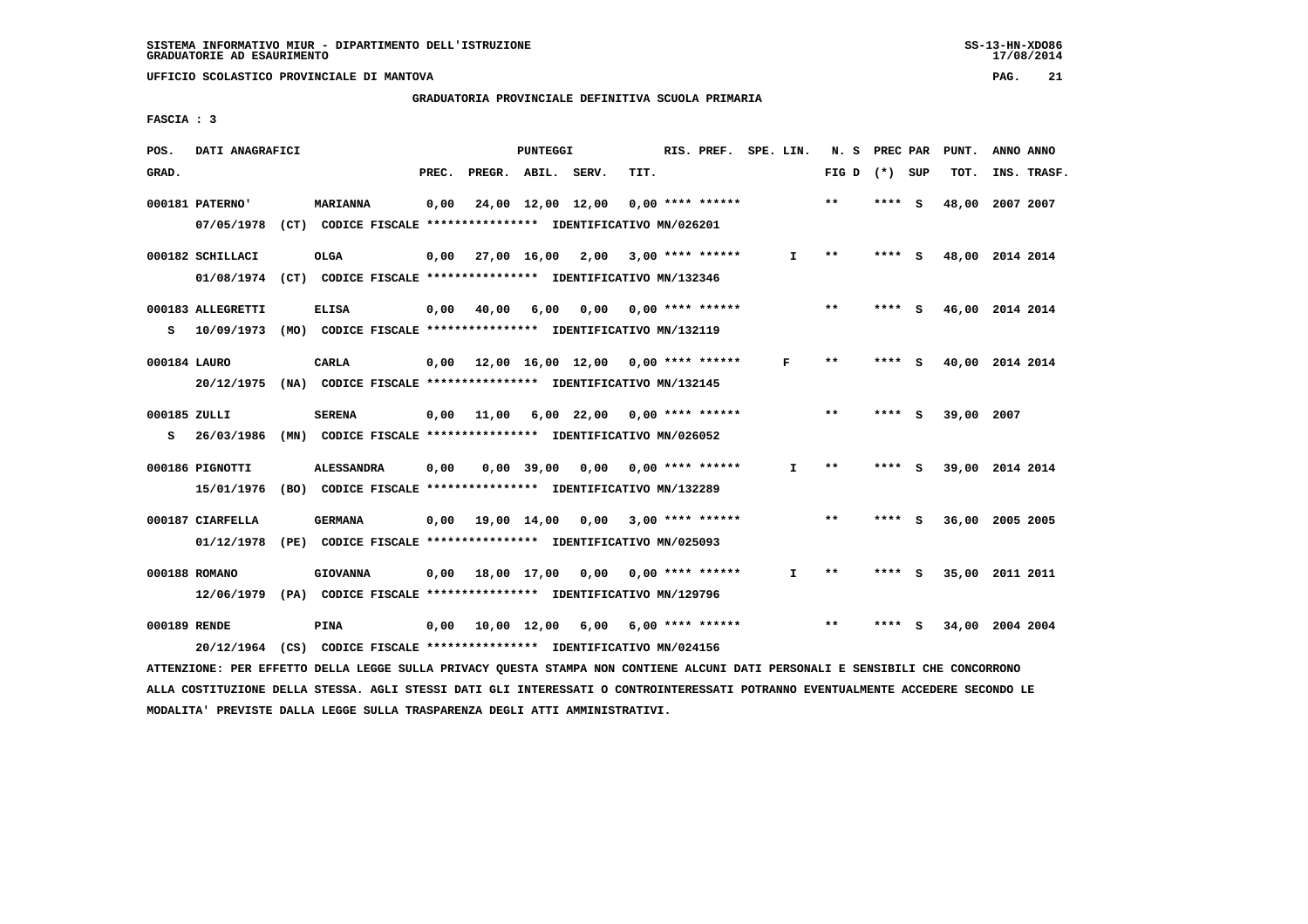# **GRADUATORIA PROVINCIALE DEFINITIVA SCUOLA PRIMARIA**

 **FASCIA : 3**

| POS.         | DATI ANAGRAFICI   |                                                                                                                               |       |                               | PUNTEGGI     |                                                        |      | RIS. PREF. SPE. LIN.      |              | N. S PREC PAR   |        | PUNT.           | ANNO ANNO |             |
|--------------|-------------------|-------------------------------------------------------------------------------------------------------------------------------|-------|-------------------------------|--------------|--------------------------------------------------------|------|---------------------------|--------------|-----------------|--------|-----------------|-----------|-------------|
| GRAD.        |                   |                                                                                                                               | PREC. | PREGR. ABIL. SERV.            |              |                                                        | TIT. |                           |              | FIG D $(*)$ SUP |        | TOT.            |           | INS. TRASF. |
|              | 000181 PATERNO'   | <b>MARIANNA</b>                                                                                                               | 0,00  |                               |              | 24,00 12,00 12,00                                      |      | $0.00$ **** ******        |              | $* *$           | **** S | 48,00 2007 2007 |           |             |
|              |                   | 07/05/1978 (CT) CODICE FISCALE *************** IDENTIFICATIVO MN/026201                                                       |       |                               |              |                                                        |      |                           |              |                 |        |                 |           |             |
|              | 000182 SCHILLACI  | <b>OLGA</b>                                                                                                                   |       |                               |              | $0,00$ 27,00 16,00 2,00 3,00 **** ******               |      |                           | $\mathbf{I}$ | $* *$           | **** S | 48,00 2014 2014 |           |             |
|              |                   | 01/08/1974 (CT) CODICE FISCALE *************** IDENTIFICATIVO MN/132346                                                       |       |                               |              |                                                        |      |                           |              |                 |        |                 |           |             |
|              | 000183 ALLEGRETTI | <b>ELISA</b>                                                                                                                  | 0,00  | 40,00                         | 6,00         |                                                        |      | $0,00$ $0,00$ **** ****** |              | $***$           | **** S | 46,00 2014 2014 |           |             |
|              |                   | S 10/09/1973 (MO) CODICE FISCALE *************** IDENTIFICATIVO MN/132119                                                     |       |                               |              |                                                        |      |                           |              |                 |        |                 |           |             |
| 000184 LAURO |                   | CARLA                                                                                                                         |       |                               |              | $0,00$ 12,00 16,00 12,00 0,00 **** ******              |      |                           | F            | $* *$           | **** S | 40,00 2014 2014 |           |             |
|              |                   | 20/12/1975 (NA) CODICE FISCALE *************** IDENTIFICATIVO MN/132145                                                       |       |                               |              |                                                        |      |                           |              |                 |        |                 |           |             |
| 000185 ZULLI |                   | <b>SERENA</b>                                                                                                                 |       |                               |              | $0,00$ 11,00 6,00 22,00 0,00 **** ******               |      |                           |              | $* *$           | **** S | 39,00 2007      |           |             |
| S.           |                   | 26/03/1986 (MN) CODICE FISCALE **************** IDENTIFICATIVO MN/026052                                                      |       |                               |              |                                                        |      |                           |              |                 |        |                 |           |             |
|              | 000186 PIGNOTTI   | <b>ALESSANDRA</b>                                                                                                             | 0,00  |                               | $0,00$ 39,00 | 0,00                                                   |      | $0.00$ **** ******        | $\mathbf{I}$ | **              | **** S | 39,00 2014 2014 |           |             |
|              |                   | 15/01/1976 (BO) CODICE FISCALE *************** IDENTIFICATIVO MN/132289                                                       |       |                               |              |                                                        |      |                           |              |                 |        |                 |           |             |
|              | 000187 CIARFELLA  | <b>GERMANA</b>                                                                                                                |       | $0,00$ $19,00$ $14,00$ $0,00$ |              |                                                        |      | $3,00$ **** ******        |              | $\star\star$    | **** S | 36,00 2005 2005 |           |             |
|              |                   | 01/12/1978 (PE) CODICE FISCALE *************** IDENTIFICATIVO MN/025093                                                       |       |                               |              |                                                        |      |                           |              |                 |        |                 |           |             |
|              | 000188 ROMANO     | <b>GIOVANNA</b>                                                                                                               |       |                               |              | $0,00$ 18,00 17,00 0,00 0,00 **** ******               |      |                           | I.           | $***$           | **** S | 35,00 2011 2011 |           |             |
|              |                   | 12/06/1979 (PA) CODICE FISCALE **************** IDENTIFICATIVO MN/129796                                                      |       |                               |              |                                                        |      |                           |              |                 |        |                 |           |             |
| 000189 RENDE |                   | PINA                                                                                                                          |       |                               |              | $0,00$ $10,00$ $12,00$ $6,00$ $6,00$ $***$ $***$ $***$ |      |                           |              | $* *$           | **** S | 34,00 2004 2004 |           |             |
|              |                   | 20/12/1964 (CS) CODICE FISCALE *************** IDENTIFICATIVO MN/024156                                                       |       |                               |              |                                                        |      |                           |              |                 |        |                 |           |             |
|              |                   | ATTENZIONE: PER EFFETTO DELLA LEGGE SULLA PRIVACY QUESTA STAMPA NON CONTIENE ALCUNI DATI PERSONALI E SENSIBILI CHE CONCORRONO |       |                               |              |                                                        |      |                           |              |                 |        |                 |           |             |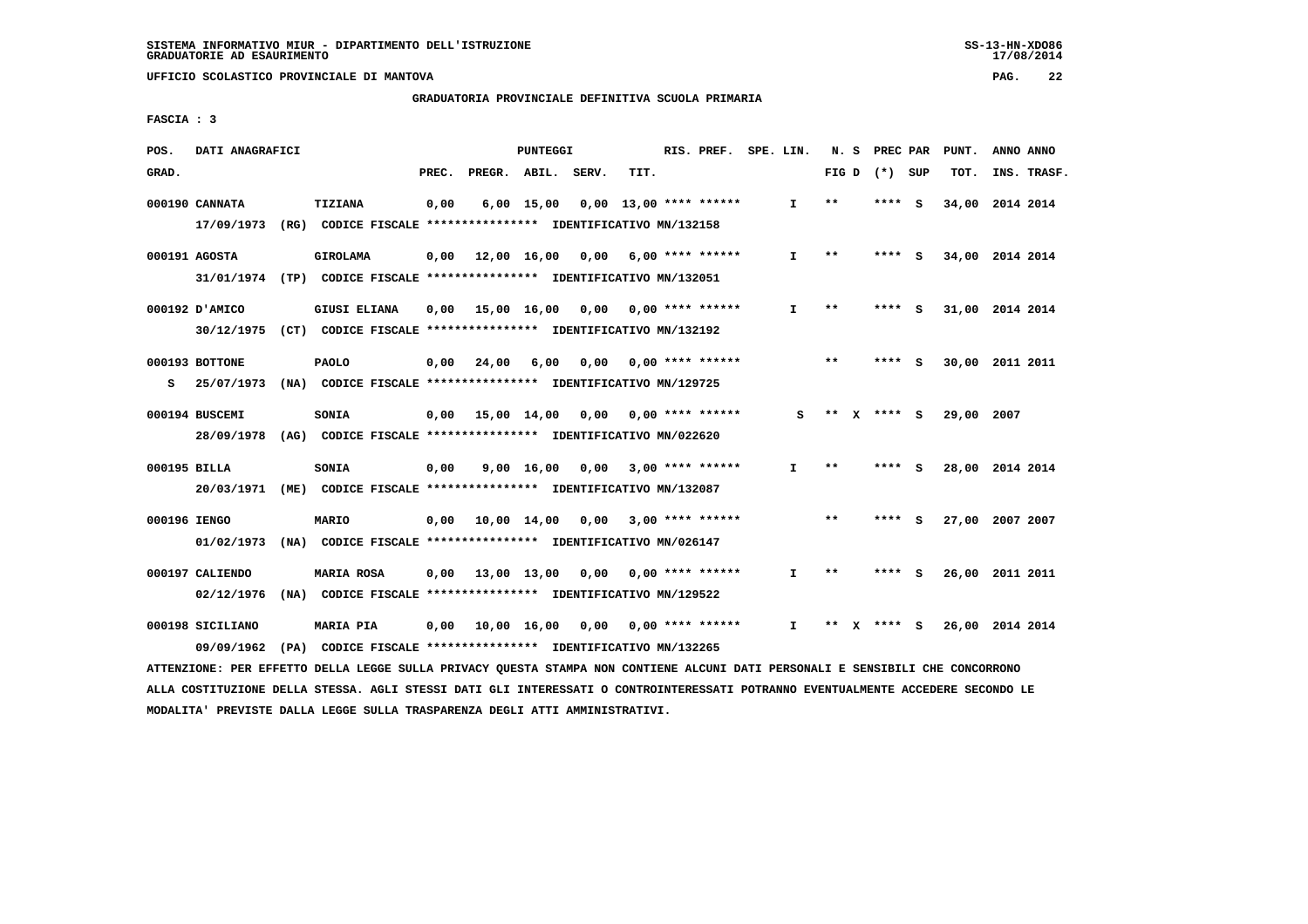#### **GRADUATORIA PROVINCIALE DEFINITIVA SCUOLA PRIMARIA**

 **FASCIA : 3**

| POS.         | DATI ANAGRAFICI                |                                                                                                |       |                    | PUNTEGGI           |      |      | RIS. PREF.               | SPE. LIN.    | N.S   |      | PREC PAR | PUNT.           | ANNO ANNO |             |
|--------------|--------------------------------|------------------------------------------------------------------------------------------------|-------|--------------------|--------------------|------|------|--------------------------|--------------|-------|------|----------|-----------------|-----------|-------------|
| GRAD.        |                                |                                                                                                | PREC. | PREGR. ABIL. SERV. |                    |      | TIT. |                          |              | FIG D |      | (*) SUP  | TOT.            |           | INS. TRASF. |
|              | 000190 CANNATA<br>17/09/1973   | TIZIANA<br>(RG) CODICE FISCALE **************** IDENTIFICATIVO MN/132158                       | 0,00  |                    | $6,00$ 15,00       |      |      | $0.00$ 13.00 **** ****** | $\mathbf{I}$ | $**$  |      | **** S   | 34,00           | 2014 2014 |             |
|              | 000191 AGOSTA                  | <b>GIROLAMA</b>                                                                                | 0,00  |                    | 12,00 16,00        | 0,00 |      | $6,00$ **** ******       | I.           | $**$  | **** | - S      | 34,00 2014 2014 |           |             |
|              | 000192 D'AMICO                 | 31/01/1974 (TP) CODICE FISCALE *************** IDENTIFICATIVO MN/132051<br><b>GIUSI ELIANA</b> | 0,00  | 15,00 16,00        |                    | 0.00 |      | $0.00$ **** ******       | I.           | $* *$ | **** | - S      | 31,00 2014 2014 |           |             |
|              | 30/12/1975<br>000193 BOTTONE   | (CT) CODICE FISCALE **************** IDENTIFICATIVO MN/132192<br><b>PAOLO</b>                  | 0,00  | 24,00              | 6,00               | 0.00 |      | $0.00$ **** ******       |              | $* *$ | **** | <b>S</b> | 30,00           | 2011 2011 |             |
| s            | 25/07/1973                     | (NA) CODICE FISCALE **************** IDENTIFICATIVO MN/129725                                  |       |                    |                    |      |      |                          |              |       |      |          |                 |           |             |
|              | 000194 BUSCEMI<br>28/09/1978   | SONIA<br>(AG) CODICE FISCALE **************** IDENTIFICATIVO MN/022620                         | 0,00  | 15,00 14,00        |                    | 0,00 |      | $0.00$ **** ******       | s            | $* *$ |      | X **** S | 29,00           | 2007      |             |
| 000195 BILLA |                                | SONIA                                                                                          | 0,00  |                    | $9,00 \quad 16,00$ | 0.00 |      | $3.00$ **** ******       | $\mathbf{I}$ | $**$  |      | **** S   | 28,00 2014 2014 |           |             |
| 000196 IENGO | 20/03/1971                     | (ME) CODICE FISCALE **************** IDENTIFICATIVO MN/132087<br><b>MARIO</b>                  | 0,00  | 10,00 14,00        |                    | 0,00 |      | $3.00$ **** ******       |              | $***$ | **** | - S      | 27,00           | 2007 2007 |             |
|              | 01/02/1973                     | (NA) CODICE FISCALE **************** IDENTIFICATIVO MN/026147                                  |       |                    |                    |      |      |                          |              |       |      |          |                 |           |             |
|              | 000197 CALIENDO<br>02/12/1976  | MARIA ROSA<br>(NA) CODICE FISCALE **************** IDENTIFICATIVO MN/129522                    | 0,00  | 13,00 13,00        |                    | 0,00 |      | $0.00$ **** ******       | I.           | $***$ | **** | - S      | 26,00           | 2011 2011 |             |
|              | 000198 SICILIANO<br>09/09/1962 | <b>MARIA PIA</b><br>(PA) CODICE FISCALE **************** IDENTIFICATIVO MN/132265              | 0,00  |                    | 10,00 16,00        | 0.00 |      | $0.00$ **** ******       | I.           | $* *$ |      | **** S   | 26,00           | 2014 2014 |             |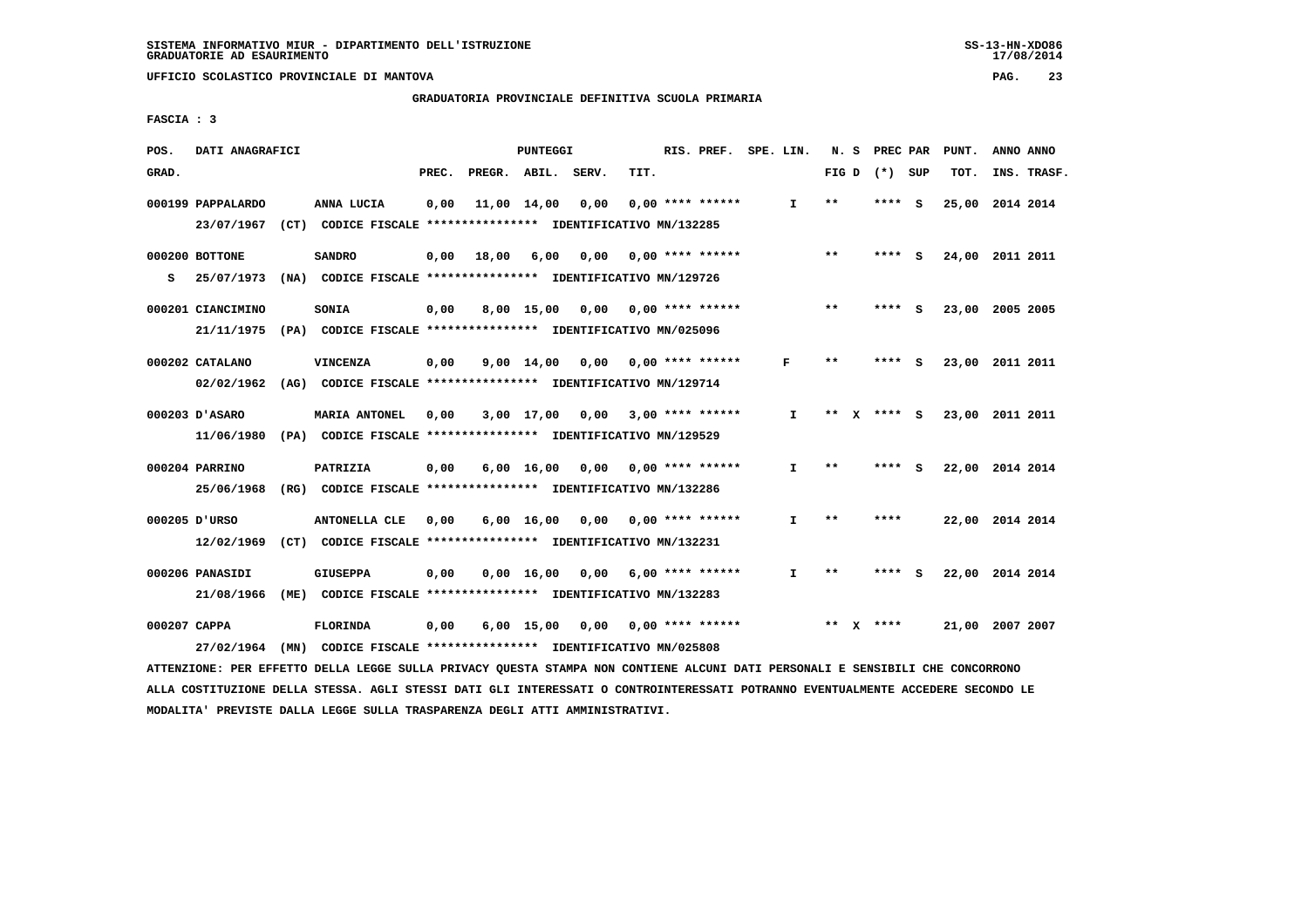**GRADUATORIA PROVINCIALE DEFINITIVA SCUOLA PRIMARIA**

 **FASCIA : 3**

| POS.         | DATI ANAGRAFICI   |                                                                                                                               |       |                    | <b>PUNTEGGI</b>    |                     |      | RIS. PREF.                | SPE. LIN. |              |       | N. S PREC PAR   |     | PUNT.           | ANNO ANNO |             |
|--------------|-------------------|-------------------------------------------------------------------------------------------------------------------------------|-------|--------------------|--------------------|---------------------|------|---------------------------|-----------|--------------|-------|-----------------|-----|-----------------|-----------|-------------|
| GRAD.        |                   |                                                                                                                               | PREC. | PREGR. ABIL. SERV. |                    |                     | TIT. |                           |           |              |       | FIG D $(*)$ SUP |     | TOT.            |           | INS. TRASF. |
|              | 000199 PAPPALARDO | ANNA LUCIA                                                                                                                    | 0,00  |                    | 11,00 14,00        | 0,00                |      | $0.00$ **** ******        |           | I.           | $* *$ | ****            | - S | 25,00 2014 2014 |           |             |
|              | 23/07/1967        | (CT) CODICE FISCALE **************** IDENTIFICATIVO MN/132285                                                                 |       |                    |                    |                     |      |                           |           |              |       |                 |     |                 |           |             |
|              | 000200 BOTTONE    | <b>SANDRO</b>                                                                                                                 | 0,00  | 18,00              | 6,00               | 0,00                |      | $0.00$ **** ******        |           |              | $* *$ | ****            | - S | 24,00           | 2011 2011 |             |
| s            | 25/07/1973        | (NA) CODICE FISCALE **************** IDENTIFICATIVO MN/129726                                                                 |       |                    |                    |                     |      |                           |           |              |       |                 |     |                 |           |             |
|              | 000201 CIANCIMINO | SONIA                                                                                                                         | 0,00  |                    | 8,00 15,00         |                     |      | $0,00$ $0,00$ **** ****** |           |              | **    | **** S          |     | 23,00 2005 2005 |           |             |
|              | 21/11/1975        | (PA) CODICE FISCALE **************** IDENTIFICATIVO MN/025096                                                                 |       |                    |                    |                     |      |                           |           |              |       |                 |     |                 |           |             |
|              |                   |                                                                                                                               |       |                    |                    |                     |      |                           |           |              |       |                 |     |                 |           |             |
|              | 000202 CATALANO   | <b>VINCENZA</b>                                                                                                               | 0,00  |                    |                    | $9,00$ $14,00$ 0,00 |      | $0.00$ **** ******        |           | F            | $* *$ | ****            | - S | 23,00 2011 2011 |           |             |
|              | 02/02/1962        | (AG) CODICE FISCALE **************** IDENTIFICATIVO MN/129714                                                                 |       |                    |                    |                     |      |                           |           |              |       |                 |     |                 |           |             |
|              | 000203 D'ASARO    | <b>MARIA ANTONEL</b>                                                                                                          | 0,00  |                    | 3,00 17,00         |                     |      | $0,00$ 3,00 **** ******   |           | I.           | **    | **** S          |     | 23,00 2011 2011 |           |             |
|              | 11/06/1980        | (PA) CODICE FISCALE **************** IDENTIFICATIVO MN/129529                                                                 |       |                    |                    |                     |      |                           |           |              |       |                 |     |                 |           |             |
|              | 000204 PARRINO    |                                                                                                                               |       |                    |                    |                     |      | $0.00$ $0.00$ **** ****** |           | I.           | $***$ | **** S          |     | 22,00 2014 2014 |           |             |
|              |                   | PATRIZIA                                                                                                                      | 0,00  |                    | $6,00 \quad 16,00$ |                     |      |                           |           |              |       |                 |     |                 |           |             |
|              | 25/06/1968        | (RG) CODICE FISCALE **************** IDENTIFICATIVO MN/132286                                                                 |       |                    |                    |                     |      |                           |           |              |       |                 |     |                 |           |             |
|              | 000205 D'URSO     | <b>ANTONELLA CLE</b>                                                                                                          | 0,00  |                    | 6,00 16,00         | 0,00                |      | $0.00$ **** ******        |           | I.           | $* *$ | ****            |     | 22,00 2014 2014 |           |             |
|              | 12/02/1969        | (CT) CODICE FISCALE **************** IDENTIFICATIVO MN/132231                                                                 |       |                    |                    |                     |      |                           |           |              |       |                 |     |                 |           |             |
|              | 000206 PANASIDI   | <b>GIUSEPPA</b>                                                                                                               | 0,00  |                    | 0.00 16.00         |                     |      | $0.00$ 6.00 **** ******   |           | $\mathbf{I}$ | $* *$ | **** S          |     | 22,00 2014 2014 |           |             |
|              | 21/08/1966        | (ME) CODICE FISCALE **************** IDENTIFICATIVO MN/132283                                                                 |       |                    |                    |                     |      |                           |           |              |       |                 |     |                 |           |             |
|              |                   |                                                                                                                               |       |                    |                    |                     |      |                           |           |              |       |                 |     |                 |           |             |
| 000207 CAPPA |                   | <b>FLORINDA</b>                                                                                                               | 0,00  |                    | $6,00$ 15,00       | 0,00                |      | $0.00$ **** ******        |           |              |       | ** $X$ ****     |     | 21,00 2007 2007 |           |             |
|              | 27/02/1964        | (MN) CODICE FISCALE *************** IDENTIFICATIVO MN/025808                                                                  |       |                    |                    |                     |      |                           |           |              |       |                 |     |                 |           |             |
|              |                   | ATTENZIONE: PER EFFETTO DELLA LEGGE SULLA PRIVACY QUESTA STAMPA NON CONTIENE ALCUNI DATI PERSONALI E SENSIBILI CHE CONCORRONO |       |                    |                    |                     |      |                           |           |              |       |                 |     |                 |           |             |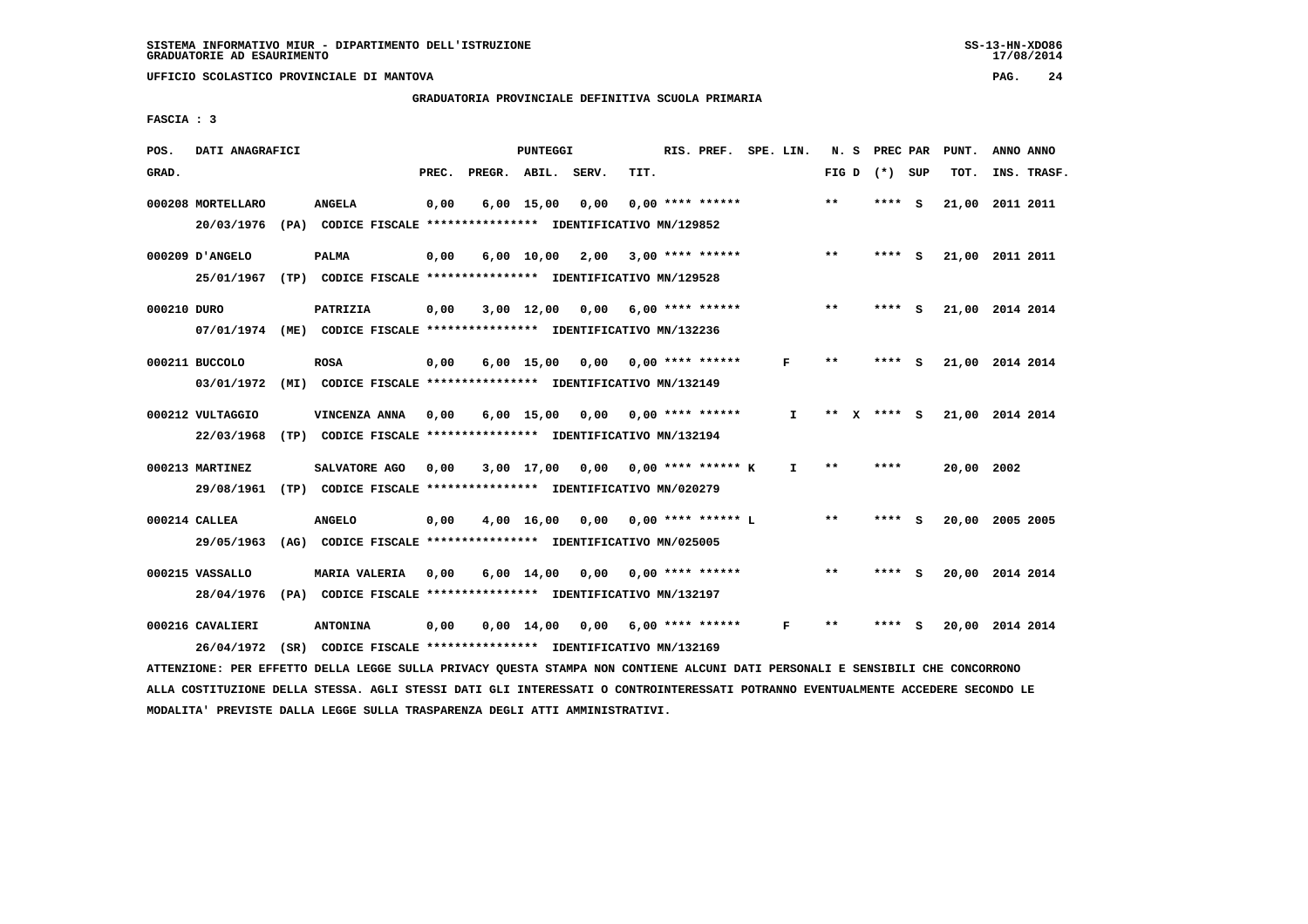# **GRADUATORIA PROVINCIALE DEFINITIVA SCUOLA PRIMARIA**

 **FASCIA : 3**

| POS.        | DATI ANAGRAFICI                                                                                                               |                                                                         |       | PUNTEGGI     |                                    |      | RIS. PREF. SPE. LIN. |              |                 | N. S PREC PAR | PUNT.      | ANNO ANNO       |  |
|-------------|-------------------------------------------------------------------------------------------------------------------------------|-------------------------------------------------------------------------|-------|--------------|------------------------------------|------|----------------------|--------------|-----------------|---------------|------------|-----------------|--|
| GRAD.       |                                                                                                                               |                                                                         | PREC. |              | PREGR. ABIL. SERV.                 | TIT. |                      |              | FIG D $(*)$ SUP |               | TOT.       | INS. TRASF.     |  |
|             | 000208 MORTELLARO                                                                                                             | <b>ANGELA</b>                                                           | 0,00  | $6,00$ 15,00 | 0,00                               |      | $0.00$ **** ******   |              | $* *$           | **** S        |            | 21,00 2011 2011 |  |
|             | 20/03/1976                                                                                                                    | (PA) CODICE FISCALE **************** IDENTIFICATIVO MN/129852           |       |              |                                    |      |                      |              |                 |               |            |                 |  |
|             | 000209 D'ANGELO                                                                                                               | <b>PALMA</b>                                                            | 0,00  |              | $6,00$ 10,00 2,00 3,00 **** ****** |      |                      |              | $***$           | **** S        |            | 21,00 2011 2011 |  |
|             |                                                                                                                               | 25/01/1967 (TP) CODICE FISCALE *************** IDENTIFICATIVO MN/129528 |       |              |                                    |      |                      |              |                 |               |            |                 |  |
| 000210 DURO |                                                                                                                               | PATRIZIA                                                                | 0,00  |              | $3,00$ 12,00 0,00 6,00 **** ****** |      |                      |              | $***$           | **** S        |            | 21,00 2014 2014 |  |
|             | 07/01/1974 (ME) CODICE FISCALE *************** IDENTIFICATIVO MN/132236                                                       |                                                                         |       |              |                                    |      |                      |              |                 |               |            |                 |  |
|             | 000211 BUCCOLO                                                                                                                | <b>ROSA</b>                                                             | 0,00  |              | $6,00$ 15,00 0,00 0,00 **** ****** |      |                      | F            | $***$           | **** S        |            | 21,00 2014 2014 |  |
|             | 03/01/1972                                                                                                                    | (MI) CODICE FISCALE **************** IDENTIFICATIVO MN/132149           |       |              |                                    |      |                      |              |                 |               |            |                 |  |
|             | 000212 VULTAGGIO                                                                                                              | VINCENZA ANNA                                                           | 0,00  |              | $6,00$ 15,00 0,00 0,00 **** ****** |      |                      | $\mathbf{I}$ | ** X **** S     |               |            | 21,00 2014 2014 |  |
|             | 22/03/1968                                                                                                                    | (TP) CODICE FISCALE **************** IDENTIFICATIVO MN/132194           |       |              |                                    |      |                      |              |                 |               |            |                 |  |
|             | 000213 MARTINEZ                                                                                                               | SALVATORE AGO                                                           | 0,00  |              | 3,00 17,00 0,00 0,00 **** ****** K |      |                      | $\mathbf{I}$ | $***$           | ****          | 20,00 2002 |                 |  |
|             |                                                                                                                               | 29/08/1961 (TP) CODICE FISCALE *************** IDENTIFICATIVO MN/020279 |       |              |                                    |      |                      |              |                 |               |            |                 |  |
|             | 000214 CALLEA                                                                                                                 | <b>ANGELO</b>                                                           | 0,00  |              | 4,00 16,00 0,00 0,00 **** ****** L |      |                      |              | $***$           | **** S        |            | 20,00 2005 2005 |  |
|             | 29/05/1963                                                                                                                    | (AG) CODICE FISCALE **************** IDENTIFICATIVO MN/025005           |       |              |                                    |      |                      |              |                 |               |            |                 |  |
|             | 000215 VASSALLO                                                                                                               | MARIA VALERIA                                                           | 0,00  |              | $6,00$ 14,00 0,00 0,00 **** ****** |      |                      |              | $***$           | **** S        |            | 20,00 2014 2014 |  |
|             |                                                                                                                               | 28/04/1976 (PA) CODICE FISCALE *************** IDENTIFICATIVO MN/132197 |       |              |                                    |      |                      |              |                 |               |            |                 |  |
|             | 000216 CAVALIERI                                                                                                              | <b>ANTONINA</b>                                                         | 0,00  |              | $0,00$ 14,00 0,00 6,00 **** ****** |      |                      | F            | $\star\star$    | **** S        |            | 20,00 2014 2014 |  |
|             | 26/04/1972                                                                                                                    | (SR) CODICE FISCALE *************** IDENTIFICATIVO MN/132169            |       |              |                                    |      |                      |              |                 |               |            |                 |  |
|             | ATTENZIONE: PER EFFETTO DELLA LEGGE SULLA PRIVACY QUESTA STAMPA NON CONTIENE ALCUNI DATI PERSONALI E SENSIBILI CHE CONCORRONO |                                                                         |       |              |                                    |      |                      |              |                 |               |            |                 |  |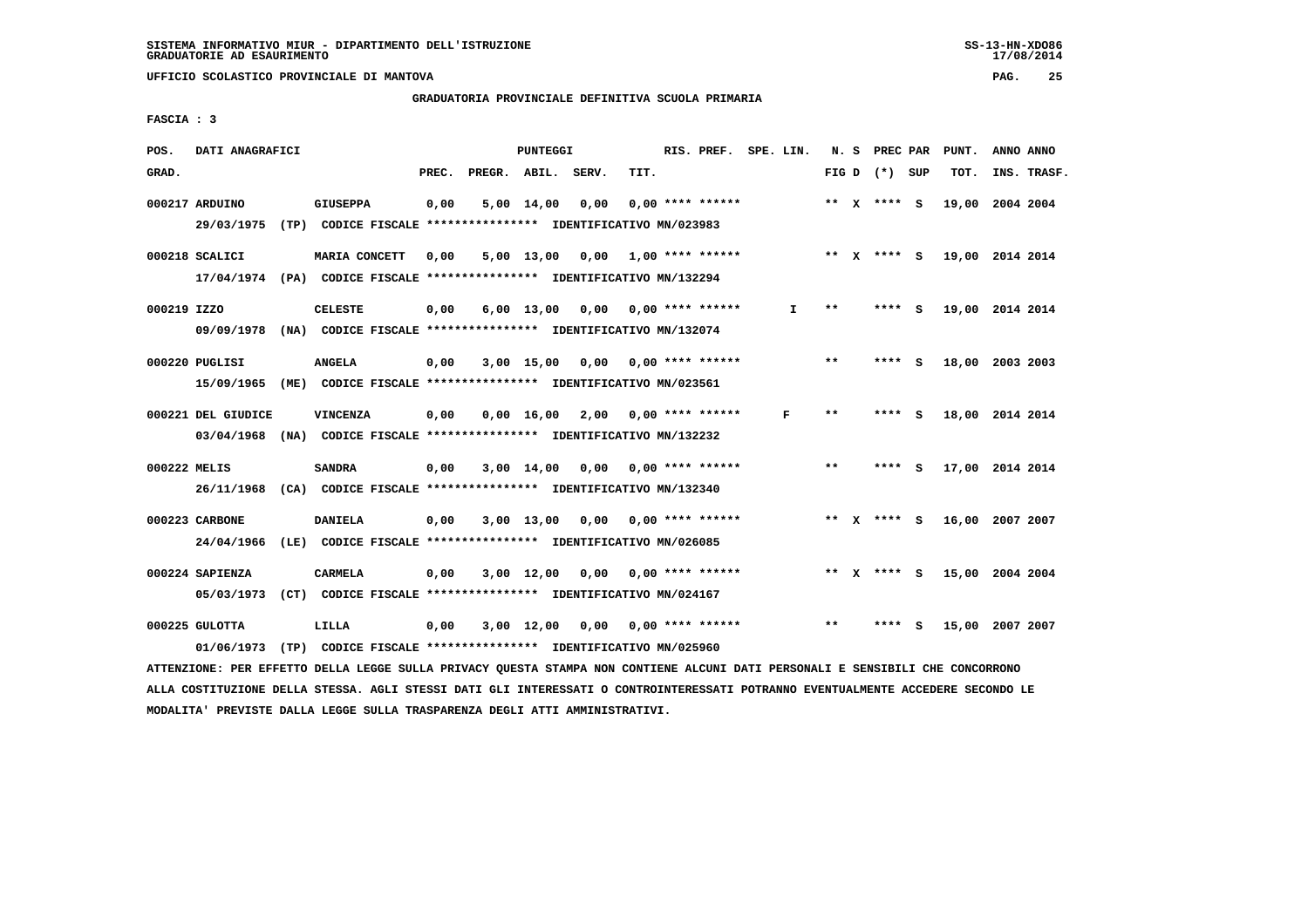#### **GRADUATORIA PROVINCIALE DEFINITIVA SCUOLA PRIMARIA**

 **FASCIA : 3**

| POS.         | DATI ANAGRAFICI                                                                           |  |                 | <b>PUNTEGGI</b> |              |                    |                                                                       |      | RIS. PREF. SPE. LIN. |    |       |  | N. S PREC PAR   |   | PUNT.           | ANNO ANNO |             |
|--------------|-------------------------------------------------------------------------------------------|--|-----------------|-----------------|--------------|--------------------|-----------------------------------------------------------------------|------|----------------------|----|-------|--|-----------------|---|-----------------|-----------|-------------|
| GRAD.        |                                                                                           |  |                 | PREC.           | PREGR. ABIL. |                    | SERV.                                                                 | TIT. |                      |    |       |  | FIG D $(*)$ SUP |   | TOT.            |           | INS. TRASF. |
|              | 000217 ARDUINO<br>29/03/1975                                                              |  | <b>GIUSEPPA</b> | 0,00            |              | $5,00 \quad 14,00$ | 0,00<br>(TP) CODICE FISCALE **************** IDENTIFICATIVO MN/023983 |      | $0.00$ **** ******   |    |       |  | ** X **** S     |   | 19,00           | 2004 2004 |             |
|              | 000218 SCALICI<br>17/04/1974 (PA) CODICE FISCALE *************** IDENTIFICATIVO MN/132294 |  | MARIA CONCETT   | 0,00            |              | 5,00 13,00         | 0,00                                                                  |      | $1.00$ **** ******   |    |       |  | ** $X$ **** S   |   | 19,00 2014 2014 |           |             |
| 000219 IZZO  | 09/09/1978                                                                                |  | <b>CELESTE</b>  | 0,00            |              | $6,00 \quad 13,00$ | 0,00<br>(NA) CODICE FISCALE **************** IDENTIFICATIVO MN/132074 |      | $0.00$ **** ******   | I. | **    |  | **** S          |   | 19,00 2014 2014 |           |             |
|              | 000220 PUGLISI<br>15/09/1965                                                              |  | <b>ANGELA</b>   | 0,00            |              | 3,00 15,00         | 0,00<br>(ME) CODICE FISCALE **************** IDENTIFICATIVO MN/023561 |      | $0.00$ **** ******   |    | **    |  | **** S          |   | 18,00 2003 2003 |           |             |
|              | 000221 DEL GIUDICE<br>03/04/1968                                                          |  | VINCENZA        | 0,00            |              | 0.00 16.00         | 2,00<br>(NA) CODICE FISCALE **************** IDENTIFICATIVO MN/132232 |      | $0.00$ **** ******   | F  | $***$ |  | **** S          |   | 18,00 2014 2014 |           |             |
| 000222 MELIS | 26/11/1968 (CA) CODICE FISCALE **************** IDENTIFICATIVO MN/132340                  |  | <b>SANDRA</b>   | 0,00            |              | $3,00$ 14,00       | 0,00                                                                  |      | $0.00$ **** ******   |    | $**$  |  | **** S          |   | 17,00 2014 2014 |           |             |
|              | 000223 CARBONE<br>24/04/1966                                                              |  | <b>DANIELA</b>  | 0,00            |              | $3,00$ 13,00       | 0,00<br>(LE) CODICE FISCALE **************** IDENTIFICATIVO MN/026085 |      | $0.00$ **** ******   |    |       |  | ** x **** s     |   | 16,00           | 2007 2007 |             |
|              | 000224 SAPIENZA<br>05/03/1973                                                             |  | <b>CARMELA</b>  | 0,00            |              | $3,00$ 12,00       | 0,00<br>(CT) CODICE FISCALE **************** IDENTIFICATIVO MN/024167 |      | $0.00$ **** ******   |    |       |  | ** x **** s     |   | 15,00 2004 2004 |           |             |
|              | 000225 GULOTTA<br>01/06/1973                                                              |  | LILLA           | 0,00            |              | $3,00$ 12,00       | 0.00<br>(TP) CODICE FISCALE **************** IDENTIFICATIVO MN/025960 |      | $0.00$ **** ******   |    | $**$  |  | ****            | s | 15,00           | 2007 2007 |             |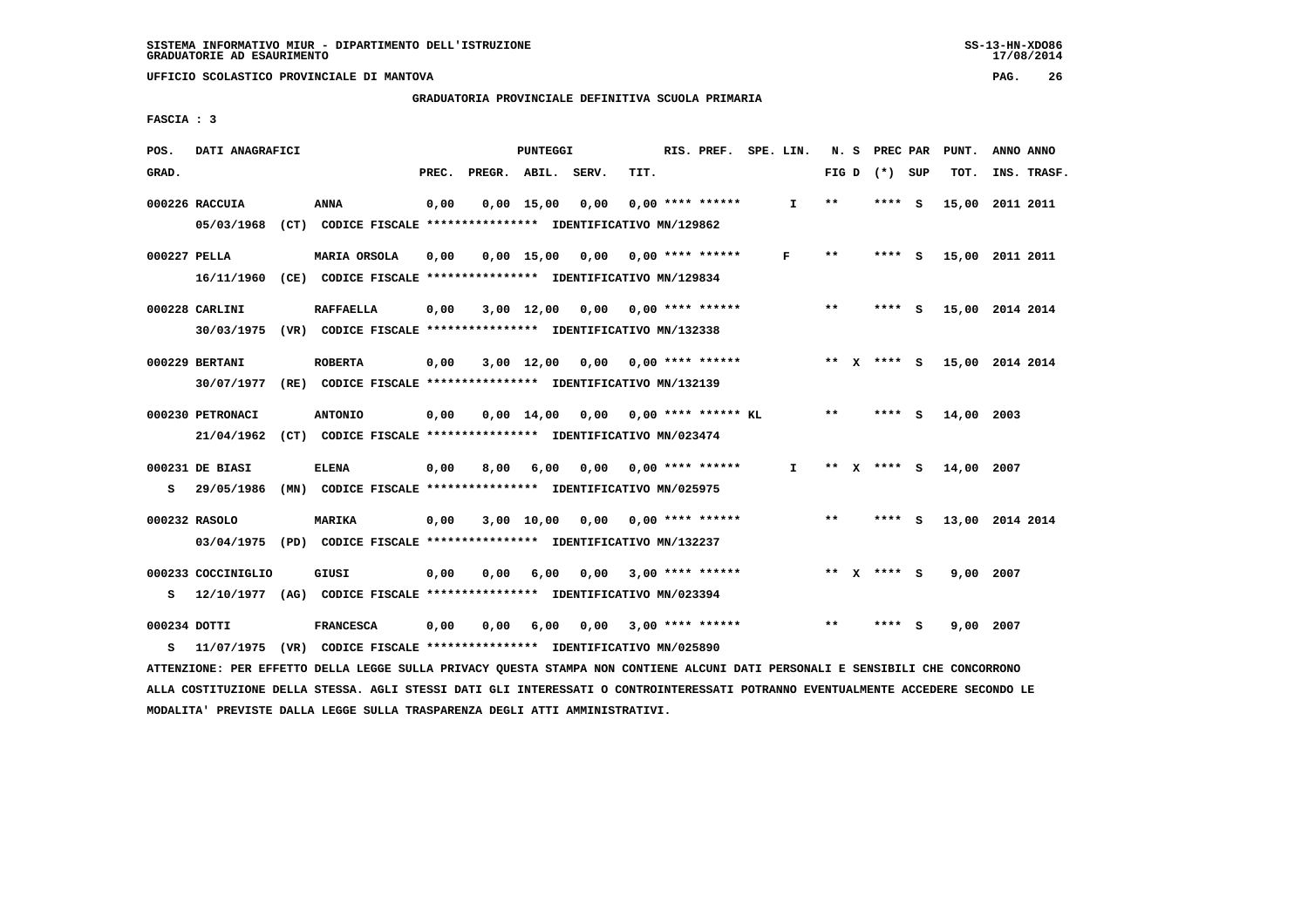**GRADUATORIA PROVINCIALE DEFINITIVA SCUOLA PRIMARIA**

 **FASCIA : 3**

| POS.         | DATI ANAGRAFICI                                                                                                               |                  | PUNTEGGI |      |            |                                                               |      |                         | RIS. PREF. SPE. LIN. |    |       |  | N. S PREC PAR   |     | PUNT.<br>ANNO ANNO |  |             |
|--------------|-------------------------------------------------------------------------------------------------------------------------------|------------------|----------|------|------------|---------------------------------------------------------------|------|-------------------------|----------------------|----|-------|--|-----------------|-----|--------------------|--|-------------|
| GRAD.        |                                                                                                                               |                  | PREC.    |      |            | PREGR. ABIL. SERV.                                            | TIT. |                         |                      |    |       |  | FIG D $(*)$ SUP |     | TOT.               |  | INS. TRASF. |
|              | 000226 RACCUIA                                                                                                                | <b>ANNA</b>      | 0,00     |      |            | $0,00$ 15,00 0,00                                             |      | $0.00$ **** ******      |                      | I. | $***$ |  | **** S          |     | 15,00 2011 2011    |  |             |
|              | 05/03/1968 (CT) CODICE FISCALE *************** IDENTIFICATIVO MN/129862                                                       |                  |          |      |            |                                                               |      |                         |                      |    |       |  |                 |     |                    |  |             |
| 000227 PELLA |                                                                                                                               | MARIA ORSOLA     | 0,00     |      |            | $0,00$ 15,00 0,00 0,00 **** ******                            |      |                         |                      | F  | $* *$ |  | **** S          |     | 15,00 2011 2011    |  |             |
|              | 16/11/1960 (CE) CODICE FISCALE *************** IDENTIFICATIVO MN/129834                                                       |                  |          |      |            |                                                               |      |                         |                      |    |       |  |                 |     |                    |  |             |
|              | 000228 CARLINI                                                                                                                | <b>RAFFAELLA</b> | 0,00     |      | 3,00 12,00 |                                                               |      |                         |                      |    | $***$ |  | $***$ S         |     | 15,00 2014 2014    |  |             |
|              | 30/03/1975 (VR) CODICE FISCALE *************** IDENTIFICATIVO MN/132338                                                       |                  |          |      |            |                                                               |      |                         |                      |    |       |  |                 |     |                    |  |             |
|              | 000229 BERTANI                                                                                                                | <b>ROBERTA</b>   | 0,00     |      |            | $3,00$ 12,00 0,00 0,00 **** ******                            |      |                         |                      |    |       |  | ** X **** S     |     | 15,00 2014 2014    |  |             |
|              | 30/07/1977 (RE) CODICE FISCALE *************** IDENTIFICATIVO MN/132139                                                       |                  |          |      |            |                                                               |      |                         |                      |    |       |  |                 |     |                    |  |             |
|              | 000230 PETRONACI                                                                                                              | <b>ANTONIO</b>   | 0,00     |      |            | $0.00$ 14.00 0.00 0.00 **** ****** KL                         |      |                         |                      |    | $* *$ |  | $***$ S         |     | 14,00 2003         |  |             |
|              | 21/04/1962                                                                                                                    |                  |          |      |            | (CT) CODICE FISCALE **************** IDENTIFICATIVO MN/023474 |      |                         |                      |    |       |  |                 |     |                    |  |             |
|              | 000231 DE BIASI                                                                                                               | <b>ELENA</b>     | 0,00     | 8,00 | 6,00       |                                                               |      | 0,00 0,00 **** ******   |                      | I. |       |  | ** x **** s     |     | 14,00 2007         |  |             |
|              | S 29/05/1986 (MN) CODICE FISCALE *************** IDENTIFICATIVO MN/025975                                                     |                  |          |      |            |                                                               |      |                         |                      |    |       |  |                 |     |                    |  |             |
|              | 000232 RASOLO                                                                                                                 | <b>MARIKA</b>    | 0,00     |      |            | $3,00$ 10,00 0,00 0,00 **** ******                            |      |                         |                      |    | $***$ |  | **** S          |     | 13,00 2014 2014    |  |             |
|              | 03/04/1975 (PD) CODICE FISCALE *************** IDENTIFICATIVO MN/132237                                                       |                  |          |      |            |                                                               |      |                         |                      |    |       |  |                 |     |                    |  |             |
|              | 000233 COCCINIGLIO                                                                                                            | GIUSI            | 0,00     | 0,00 | 6,00       |                                                               |      | $0,00$ 3,00 **** ****** |                      |    |       |  | ** x **** S     |     | 9,00 2007          |  |             |
| s            | 12/10/1977 (AG) CODICE FISCALE *************** IDENTIFICATIVO MN/023394                                                       |                  |          |      |            |                                                               |      |                         |                      |    |       |  |                 |     |                    |  |             |
| 000234 DOTTI |                                                                                                                               | <b>FRANCESCA</b> | 0,00     | 0,00 | 6,00       |                                                               |      | $0,00$ 3,00 **** ****** |                      |    | $* *$ |  | ****            | - S | 9,00 2007          |  |             |
| s            | 11/07/1975 (VR) CODICE FISCALE *************** IDENTIFICATIVO MN/025890                                                       |                  |          |      |            |                                                               |      |                         |                      |    |       |  |                 |     |                    |  |             |
|              | ATTENZIONE: PER EFFETTO DELLA LEGGE SULLA PRIVACY QUESTA STAMPA NON CONTIENE ALCUNI DATI PERSONALI E SENSIBILI CHE CONCORRONO |                  |          |      |            |                                                               |      |                         |                      |    |       |  |                 |     |                    |  |             |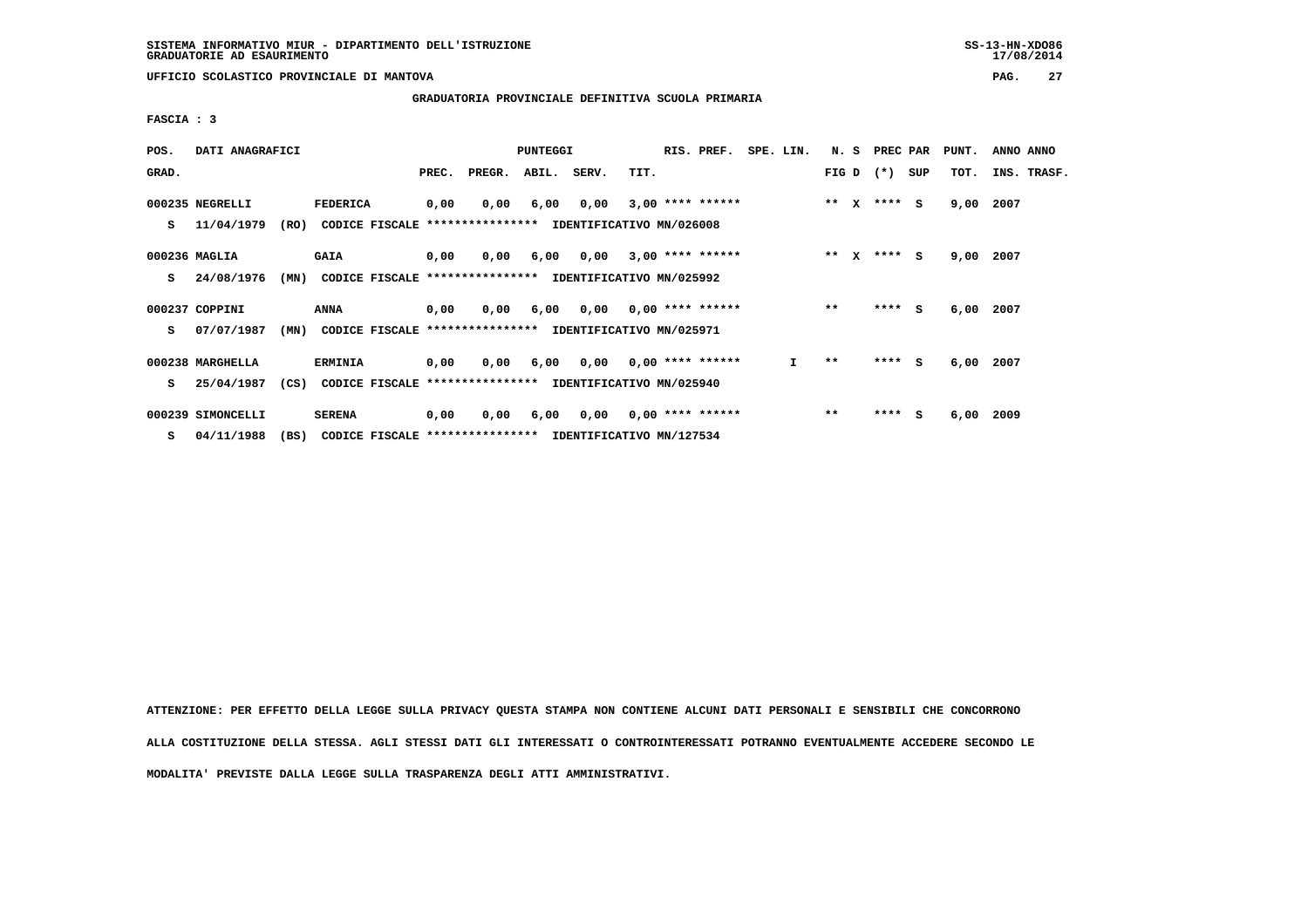$17/08/2014$ 

 **UFFICIO SCOLASTICO PROVINCIALE DI MANTOVA PAG. 27**

 **GRADUATORIA PROVINCIALE DEFINITIVA SCUOLA PRIMARIA**

 **FASCIA : 3**

| POS.  | DATI ANAGRAFICI   |      |                                                          | <b>PUNTEGGI</b> |                  |             |                          |      | RIS. PREF.                | SPE. LIN. |         | N. S         | PREC PAR    |     | PUNT. | ANNO ANNO |             |
|-------|-------------------|------|----------------------------------------------------------|-----------------|------------------|-------------|--------------------------|------|---------------------------|-----------|---------|--------------|-------------|-----|-------|-----------|-------------|
| GRAD. |                   |      |                                                          | PREC.           | PREGR.           | ABIL. SERV. |                          | TIT. |                           |           |         |              | FIG D $(*)$ | SUP | тот.  |           | INS. TRASF. |
|       | 000235 NEGRELLI   |      | <b>FEDERICA</b>                                          | 0,00            | 0,00             | 6,00        | 0,00                     |      | $3,00$ **** ******        |           | $***$ X |              | **** S      |     | 9,00  | 2007      |             |
| s     | 11/04/1979        | (RO) | CODICE FISCALE                                           |                 | **************** |             | IDENTIFICATIVO MN/026008 |      |                           |           |         |              |             |     |       |           |             |
|       | 000236 MAGLIA     |      | <b>GAIA</b>                                              | 0,00            | 0,00             | 6,00        | 0,00                     |      | $3,00$ **** ******        |           | $***$   | $\mathbf{x}$ | **** S      |     | 9,00  | 2007      |             |
| s     | 24/08/1976        | (MN) | CODICE FISCALE **************** IDENTIFICATIVO MN/025992 |                 |                  |             |                          |      |                           |           |         |              |             |     |       |           |             |
|       | 000237 COPPINI    |      | ANNA                                                     | 0,00            | 0,00             | 6,00        |                          |      | $0,00$ $0,00$ **** ****** |           | $**$    |              | $***$ S     |     | 6,00  | 2007      |             |
| s     | 07/07/1987        | (MN) | CODICE FISCALE **************** IDENTIFICATIVO MN/025971 |                 |                  |             |                          |      |                           |           |         |              |             |     |       |           |             |
|       |                   |      |                                                          |                 |                  |             |                          |      |                           |           |         |              |             |     |       |           |             |
|       | 000238 MARGHELLA  |      | <b>ERMINIA</b>                                           | 0,00            | 0,00             | 6,00        |                          |      | $0,00$ $0,00$ **** ****** | I.        | $* *$   |              | **** S      |     | 6,00  | 2007      |             |
| s     | 25/04/1987        | (CS) | CODICE FISCALE **************** IDENTIFICATIVO MN/025940 |                 |                  |             |                          |      |                           |           |         |              |             |     |       |           |             |
|       | 000239 SIMONCELLI |      | <b>SERENA</b>                                            | 0,00            | 0,00             | 6,00        |                          |      | $0,00$ $0,00$ **** ****** |           | $***$   |              | $***$ S     |     | 6,00  | 2009      |             |
| s     | 04/11/1988        | (BS) | CODICE FISCALE **************** IDENTIFICATIVO MN/127534 |                 |                  |             |                          |      |                           |           |         |              |             |     |       |           |             |